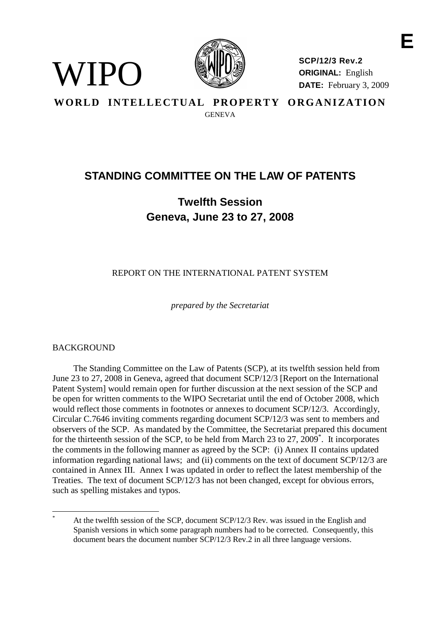

**SCP/12/3 Rev.2 ORIGINAL:** English **DATE:** February 3, 2009

**WORLD INTELLECTUAL PROPERTY ORGANIZATION**

#### **GENEVA**

# **STANDING COMMITTEE ON THE LAW OF PATENTS**

**Twelfth Session Geneva, June 23 to 27, 2008**

REPORT ON THE INTERNATIONAL PATENT SYSTEM

*prepared by the Secretariat*

#### **BACKGROUND**

WIPO)

The Standing Committee on the Law of Patents (SCP), at its twelfth session held from June 23 to 27, 2008 in Geneva, agreed that document SCP/12/3 [Report on the International Patent System] would remain open for further discussion at the next session of the SCP and be open for written comments to the WIPO Secretariat until the end of October 2008, which would reflect those comments in footnotes or annexes to document SCP/12/3. Accordingly, Circular C.7646 inviting comments regarding document SCP/12/3 was sent to members and observers of the SCP. As mandated by the Committee, the Secretariat prepared this document for the thirteenth session of the SCP, to be held from March 23 to 27,  $2009$ <sup>\*</sup>. It incorporates the comments in the following manner as agreed by the SCP: (i) Annex II contains updated information regarding national laws; and (ii) comments on the text of document SCP/12/3 are contained in Annex III. Annex I was updated in order to reflect the latest membership of the Treaties. The text of document SCP/12/3 has not been changed, except for obvious errors, such as spelling mistakes and typos.

At the twelfth session of the SCP, document SCP/12/3 Rev. was issued in the English and Spanish versions in which some paragraph numbers had to be corrected. Consequently, this document bears the document number SCP/12/3 Rev.2 in all three language versions.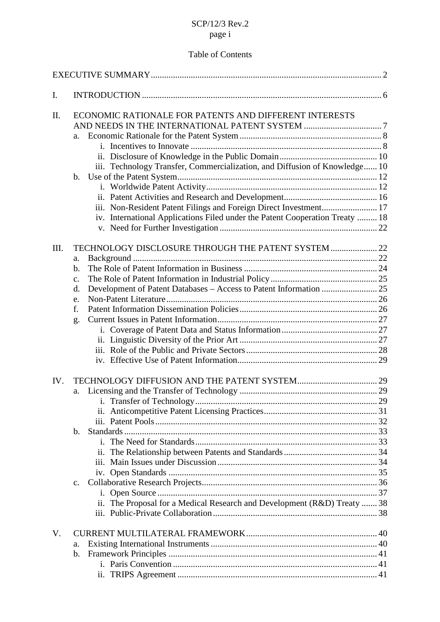## Table of Contents

| I.   |                                                              |                                                                              |  |  |
|------|--------------------------------------------------------------|------------------------------------------------------------------------------|--|--|
| II.  | ECONOMIC RATIONALE FOR PATENTS AND DIFFERENT INTERESTS<br>a. |                                                                              |  |  |
|      |                                                              |                                                                              |  |  |
|      |                                                              |                                                                              |  |  |
|      |                                                              | iii. Technology Transfer, Commercialization, and Diffusion of Knowledge 10   |  |  |
|      | b.                                                           |                                                                              |  |  |
|      |                                                              |                                                                              |  |  |
|      |                                                              |                                                                              |  |  |
|      |                                                              | iii. Non-Resident Patent Filings and Foreign Direct Investment 17            |  |  |
|      |                                                              | iv. International Applications Filed under the Patent Cooperation Treaty  18 |  |  |
| III. | a.                                                           | TECHNOLOGY DISCLOSURE THROUGH THE PATENT SYSTEM  22                          |  |  |
|      | b.                                                           |                                                                              |  |  |
|      | $\mathbf{c}$ .                                               |                                                                              |  |  |
|      | d.                                                           |                                                                              |  |  |
|      | e.                                                           |                                                                              |  |  |
|      | f.                                                           |                                                                              |  |  |
|      | g.                                                           |                                                                              |  |  |
|      |                                                              |                                                                              |  |  |
|      |                                                              |                                                                              |  |  |
|      |                                                              |                                                                              |  |  |
|      |                                                              |                                                                              |  |  |
| IV.  |                                                              |                                                                              |  |  |
|      | a.                                                           |                                                                              |  |  |
|      |                                                              |                                                                              |  |  |
|      |                                                              |                                                                              |  |  |
|      |                                                              |                                                                              |  |  |
|      | b.                                                           |                                                                              |  |  |
|      |                                                              |                                                                              |  |  |
|      |                                                              |                                                                              |  |  |
|      |                                                              |                                                                              |  |  |
|      |                                                              |                                                                              |  |  |
|      | $C_{\bullet}$                                                |                                                                              |  |  |
|      |                                                              |                                                                              |  |  |
|      |                                                              | ii. The Proposal for a Medical Research and Development (R&D) Treaty  38     |  |  |
| V.   |                                                              |                                                                              |  |  |
|      | a.                                                           |                                                                              |  |  |
|      | b.                                                           |                                                                              |  |  |
|      |                                                              |                                                                              |  |  |
|      |                                                              | ii.                                                                          |  |  |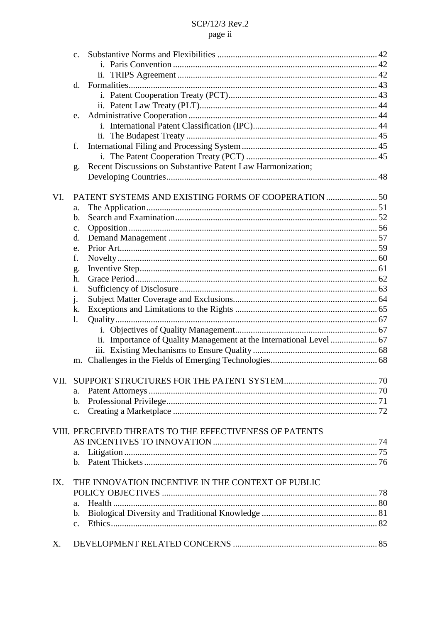|     | $C_{\bullet}$                                                       |  |
|-----|---------------------------------------------------------------------|--|
|     |                                                                     |  |
|     |                                                                     |  |
|     | d.                                                                  |  |
|     |                                                                     |  |
|     |                                                                     |  |
|     | e.                                                                  |  |
|     |                                                                     |  |
|     |                                                                     |  |
|     | f.                                                                  |  |
|     |                                                                     |  |
|     | Recent Discussions on Substantive Patent Law Harmonization;<br>g.   |  |
|     |                                                                     |  |
| VI. | PATENT SYSTEMS AND EXISTING FORMS OF COOPERATION  50                |  |
|     | a.                                                                  |  |
|     | b.                                                                  |  |
|     | $\mathbf{C}$ .                                                      |  |
|     | d.                                                                  |  |
|     | e.                                                                  |  |
|     | f.                                                                  |  |
|     | g.                                                                  |  |
|     | h.                                                                  |  |
|     | $\mathbf{i}$ .                                                      |  |
|     | j.                                                                  |  |
|     | k.                                                                  |  |
|     | 1.                                                                  |  |
|     |                                                                     |  |
|     | ii. Importance of Quality Management at the International Level  67 |  |
|     |                                                                     |  |
|     | m.                                                                  |  |
|     |                                                                     |  |
|     | a.                                                                  |  |
|     | b.                                                                  |  |
|     | $\mathbf{c}$ .                                                      |  |
|     | VIII. PERCEIVED THREATS TO THE EFFECTIVENESS OF PATENTS             |  |
|     |                                                                     |  |
|     | a.                                                                  |  |
|     | $\mathbf{b}$ .                                                      |  |
| IX. | THE INNOVATION INCENTIVE IN THE CONTEXT OF PUBLIC                   |  |
|     |                                                                     |  |
|     | a.                                                                  |  |
|     | $\mathbf{b}$ .                                                      |  |
|     | $\mathbf{c}$ .                                                      |  |
| X.  |                                                                     |  |
|     |                                                                     |  |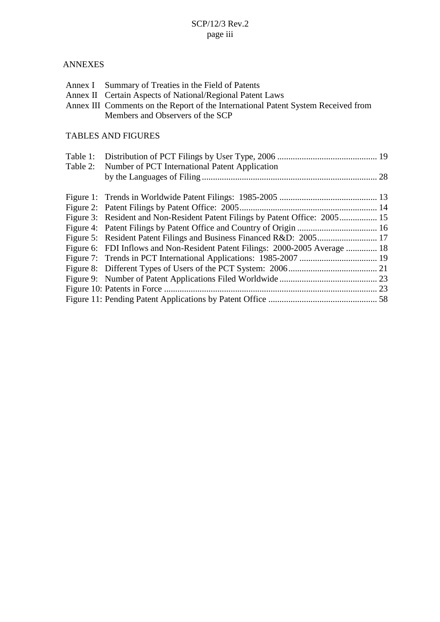## ANNEXES

- Annex I Summary of Treaties in the Field of Patents
- Annex II Certain Aspects of National/Regional Patent Laws
- Annex III Comments on the Report of the International Patent System Received from Members and Observers of the SCP

## TABLES AND FIGURES

| Table 1: |                                                                              |  |
|----------|------------------------------------------------------------------------------|--|
| Table 2: | Number of PCT International Patent Application                               |  |
|          |                                                                              |  |
|          |                                                                              |  |
|          |                                                                              |  |
|          | Figure 3: Resident and Non-Resident Patent Filings by Patent Office: 2005 15 |  |
|          |                                                                              |  |
|          |                                                                              |  |
|          | Figure 6: FDI Inflows and Non-Resident Patent Filings: 2000-2005 Average  18 |  |
|          |                                                                              |  |
|          |                                                                              |  |
|          |                                                                              |  |
|          |                                                                              |  |
|          |                                                                              |  |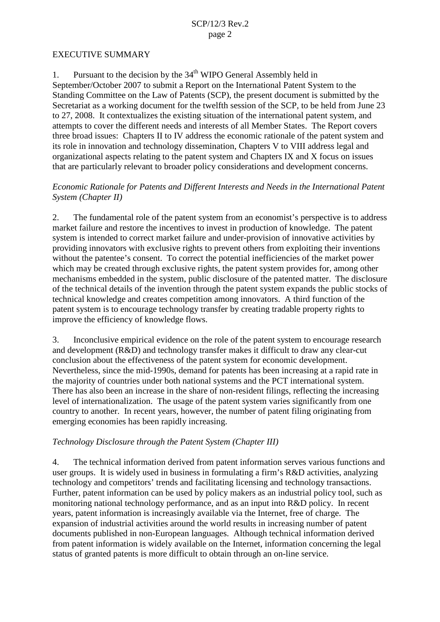#### EXECUTIVE SUMMARY

1. Pursuant to the decision by the  $34<sup>th</sup>$  WIPO General Assembly held in September/October 2007 to submit a Report on the International Patent System to the Standing Committee on the Law of Patents (SCP), the present document is submitted by the Secretariat as a working document for the twelfth session of the SCP, to be held from June 23 to 27, 2008. It contextualizes the existing situation of the international patent system, and attempts to cover the different needs and interests of all Member States. The Report covers three broad issues: Chapters II to IV address the economic rationale of the patent system and its role in innovation and technology dissemination, Chapters V to VIII address legal and organizational aspects relating to the patent system and Chapters IX and X focus on issues that are particularly relevant to broader policy considerations and development concerns.

## *Economic Rationale for Patents and Different Interests and Needs in the International Patent System (Chapter II)*

2. The fundamental role of the patent system from an economist's perspective is to address market failure and restore the incentives to invest in production of knowledge. The patent system is intended to correct market failure and under-provision of innovative activities by providing innovators with exclusive rights to prevent others from exploiting their inventions without the patentee's consent. To correct the potential inefficiencies of the market power which may be created through exclusive rights, the patent system provides for, among other mechanisms embedded in the system, public disclosure of the patented matter. The disclosure of the technical details of the invention through the patent system expands the public stocks of technical knowledge and creates competition among innovators. A third function of the patent system is to encourage technology transfer by creating tradable property rights to improve the efficiency of knowledge flows.

3. Inconclusive empirical evidence on the role of the patent system to encourage research and development (R&D) and technology transfer makes it difficult to draw any clear-cut conclusion about the effectiveness of the patent system for economic development. Nevertheless, since the mid-1990s, demand for patents has been increasing at a rapid rate in the majority of countries under both national systems and the PCT international system. There has also been an increase in the share of non-resident filings, reflecting the increasing level of internationalization. The usage of the patent system varies significantly from one country to another. In recent years, however, the number of patent filing originating from emerging economies has been rapidly increasing.

## *Technology Disclosure through the Patent System (Chapter III)*

4. The technical information derived from patent information serves various functions and user groups. It is widely used in business in formulating a firm's R&D activities, analyzing technology and competitors' trends and facilitating licensing and technology transactions. Further, patent information can be used by policy makers as an industrial policy tool, such as monitoring national technology performance, and as an input into R&D policy. In recent years, patent information is increasingly available via the Internet, free of charge. The expansion of industrial activities around the world results in increasing number of patent documents published in non-European languages. Although technical information derived from patent information is widely available on the Internet, information concerning the legal status of granted patents is more difficult to obtain through an on-line service.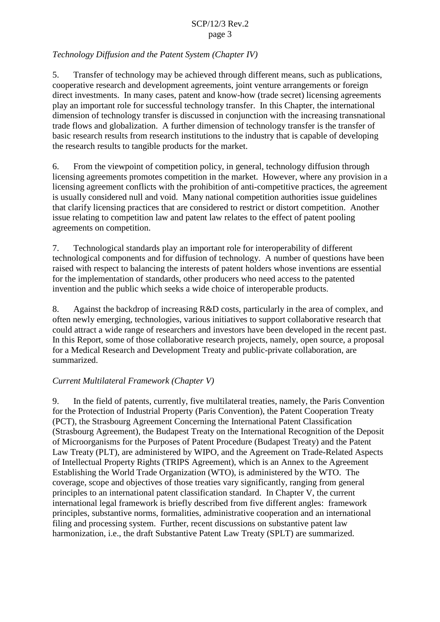## *Technology Diffusion and the Patent System (Chapter IV)*

5. Transfer of technology may be achieved through different means, such as publications, cooperative research and development agreements, joint venture arrangements or foreign direct investments. In many cases, patent and know-how (trade secret) licensing agreements play an important role for successful technology transfer. In this Chapter, the international dimension of technology transfer is discussed in conjunction with the increasing transnational trade flows and globalization. A further dimension of technology transfer is the transfer of basic research results from research institutions to the industry that is capable of developing the research results to tangible products for the market.

6. From the viewpoint of competition policy, in general, technology diffusion through licensing agreements promotes competition in the market. However, where any provision in a licensing agreement conflicts with the prohibition of anti-competitive practices, the agreement is usually considered null and void. Many national competition authorities issue guidelines that clarify licensing practices that are considered to restrict or distort competition. Another issue relating to competition law and patent law relates to the effect of patent pooling agreements on competition.

7. Technological standards play an important role for interoperability of different technological components and for diffusion of technology. A number of questions have been raised with respect to balancing the interests of patent holders whose inventions are essential for the implementation of standards, other producers who need access to the patented invention and the public which seeks a wide choice of interoperable products.

8. Against the backdrop of increasing R&D costs, particularly in the area of complex, and often newly emerging, technologies, various initiatives to support collaborative research that could attract a wide range of researchers and investors have been developed in the recent past. In this Report, some of those collaborative research projects, namely, open source, a proposal for a Medical Research and Development Treaty and public-private collaboration, are summarized.

## *Current Multilateral Framework (Chapter V)*

9. In the field of patents, currently, five multilateral treaties, namely, the Paris Convention for the Protection of Industrial Property (Paris Convention), the Patent Cooperation Treaty (PCT), the Strasbourg Agreement Concerning the International Patent Classification (Strasbourg Agreement), the Budapest Treaty on the International Recognition of the Deposit of Microorganisms for the Purposes of Patent Procedure (Budapest Treaty) and the Patent Law Treaty (PLT), are administered by WIPO, and the Agreement on Trade-Related Aspects of Intellectual Property Rights (TRIPS Agreement), which is an Annex to the Agreement Establishing the World Trade Organization (WTO), is administered by the WTO. The coverage, scope and objectives of those treaties vary significantly, ranging from general principles to an international patent classification standard. In Chapter V, the current international legal framework is briefly described from five different angles: framework principles, substantive norms, formalities, administrative cooperation and an international filing and processing system. Further, recent discussions on substantive patent law harmonization, i.e., the draft Substantive Patent Law Treaty (SPLT) are summarized.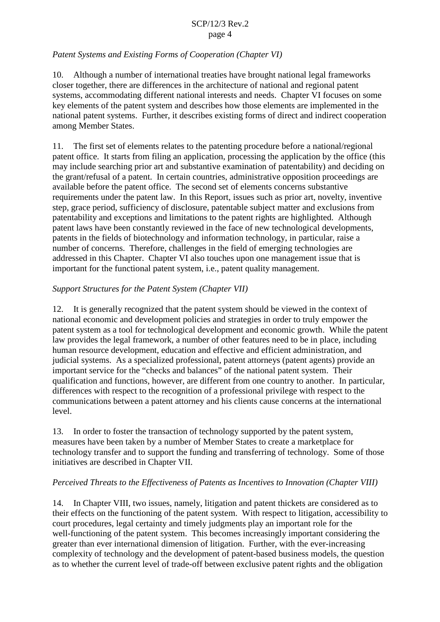## *Patent Systems and Existing Forms of Cooperation (Chapter VI)*

10. Although a number of international treaties have brought national legal frameworks closer together, there are differences in the architecture of national and regional patent systems, accommodating different national interests and needs. Chapter VI focuses on some key elements of the patent system and describes how those elements are implemented in the national patent systems. Further, it describes existing forms of direct and indirect cooperation among Member States.

11. The first set of elements relates to the patenting procedure before a national/regional patent office. It starts from filing an application, processing the application by the office (this may include searching prior art and substantive examination of patentability) and deciding on the grant/refusal of a patent. In certain countries, administrative opposition proceedings are available before the patent office. The second set of elements concerns substantive requirements under the patent law. In this Report, issues such as prior art, novelty, inventive step, grace period, sufficiency of disclosure, patentable subject matter and exclusions from patentability and exceptions and limitations to the patent rights are highlighted. Although patent laws have been constantly reviewed in the face of new technological developments, patents in the fields of biotechnology and information technology, in particular, raise a number of concerns. Therefore, challenges in the field of emerging technologies are addressed in this Chapter. Chapter VI also touches upon one management issue that is important for the functional patent system, i.e., patent quality management.

### *Support Structures for the Patent System (Chapter VII)*

12. It is generally recognized that the patent system should be viewed in the context of national economic and development policies and strategies in order to truly empower the patent system as a tool for technological development and economic growth. While the patent law provides the legal framework, a number of other features need to be in place, including human resource development, education and effective and efficient administration, and judicial systems. As a specialized professional, patent attorneys (patent agents) provide an important service for the "checks and balances" of the national patent system. Their qualification and functions, however, are different from one country to another. In particular, differences with respect to the recognition of a professional privilege with respect to the communications between a patent attorney and his clients cause concerns at the international level.

13. In order to foster the transaction of technology supported by the patent system, measures have been taken by a number of Member States to create a marketplace for technology transfer and to support the funding and transferring of technology. Some of those initiatives are described in Chapter VII.

## *Perceived Threats to the Effectiveness of Patents as Incentives to Innovation (Chapter VIII)*

14. In Chapter VIII, two issues, namely, litigation and patent thickets are considered as to their effects on the functioning of the patent system. With respect to litigation, accessibility to court procedures, legal certainty and timely judgments play an important role for the well-functioning of the patent system. This becomes increasingly important considering the greater than ever international dimension of litigation. Further, with the ever-increasing complexity of technology and the development of patent-based business models, the question as to whether the current level of trade-off between exclusive patent rights and the obligation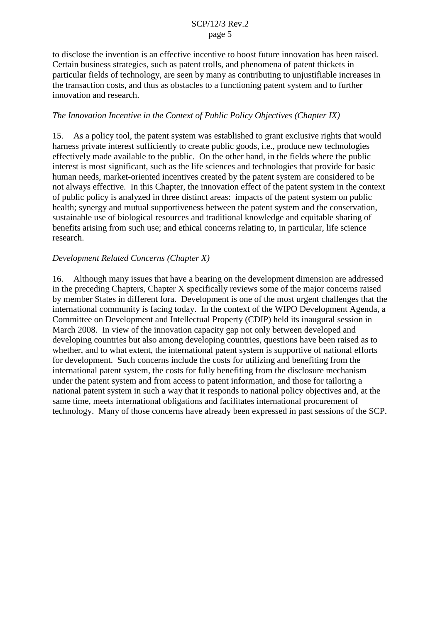to disclose the invention is an effective incentive to boost future innovation has been raised. Certain business strategies, such as patent trolls, and phenomena of patent thickets in particular fields of technology, are seen by many as contributing to unjustifiable increases in the transaction costs, and thus as obstacles to a functioning patent system and to further innovation and research.

## *The Innovation Incentive in the Context of Public Policy Objectives (Chapter IX)*

15. As a policy tool, the patent system was established to grant exclusive rights that would harness private interest sufficiently to create public goods, i.e., produce new technologies effectively made available to the public. On the other hand, in the fields where the public interest is most significant, such as the life sciences and technologies that provide for basic human needs, market-oriented incentives created by the patent system are considered to be not always effective. In this Chapter, the innovation effect of the patent system in the context of public policy is analyzed in three distinct areas: impacts of the patent system on public health; synergy and mutual supportiveness between the patent system and the conservation, sustainable use of biological resources and traditional knowledge and equitable sharing of benefits arising from such use; and ethical concerns relating to, in particular, life science research.

### *Development Related Concerns (Chapter X)*

16. Although many issues that have a bearing on the development dimension are addressed in the preceding Chapters, Chapter X specifically reviews some of the major concerns raised by member States in different fora. Development is one of the most urgent challenges that the international community is facing today. In the context of the WIPO Development Agenda, a Committee on Development and Intellectual Property (CDIP) held its inaugural session in March 2008. In view of the innovation capacity gap not only between developed and developing countries but also among developing countries, questions have been raised as to whether, and to what extent, the international patent system is supportive of national efforts for development. Such concerns include the costs for utilizing and benefiting from the international patent system, the costs for fully benefiting from the disclosure mechanism under the patent system and from access to patent information, and those for tailoring a national patent system in such a way that it responds to national policy objectives and, at the same time, meets international obligations and facilitates international procurement of technology. Many of those concerns have already been expressed in past sessions of the SCP.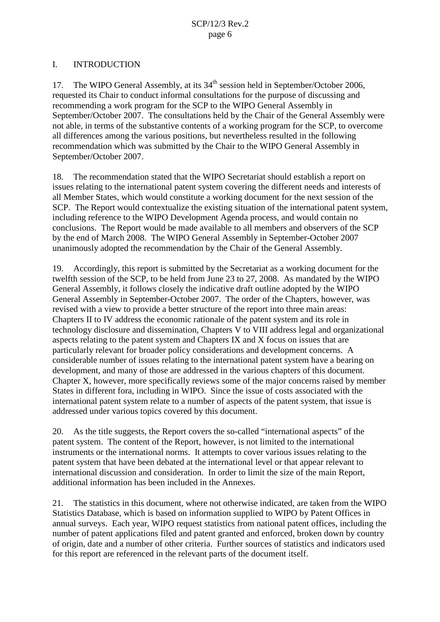## I. INTRODUCTION

17. The WIPO General Assembly, at its 34<sup>th</sup> session held in September/October 2006, requested its Chair to conduct informal consultations for the purpose of discussing and recommending a work program for the SCP to the WIPO General Assembly in September/October 2007. The consultations held by the Chair of the General Assembly were not able, in terms of the substantive contents of a working program for the SCP, to overcome all differences among the various positions, but nevertheless resulted in the following recommendation which was submitted by the Chair to the WIPO General Assembly in September/October 2007.

18. The recommendation stated that the WIPO Secretariat should establish a report on issues relating to the international patent system covering the different needs and interests of all Member States, which would constitute a working document for the next session of the SCP. The Report would contextualize the existing situation of the international patent system, including reference to the WIPO Development Agenda process, and would contain no conclusions. The Report would be made available to all members and observers of the SCP by the end of March 2008. The WIPO General Assembly in September-October 2007 unanimously adopted the recommendation by the Chair of the General Assembly.

19. Accordingly, this report is submitted by the Secretariat as a working document for the twelfth session of the SCP, to be held from June 23 to 27, 2008. As mandated by the WIPO General Assembly, it follows closely the indicative draft outline adopted by the WIPO General Assembly in September-October 2007. The order of the Chapters, however, was revised with a view to provide a better structure of the report into three main areas: Chapters II to IV address the economic rationale of the patent system and its role in technology disclosure and dissemination, Chapters V to VIII address legal and organizational aspects relating to the patent system and Chapters IX and X focus on issues that are particularly relevant for broader policy considerations and development concerns. A considerable number of issues relating to the international patent system have a bearing on development, and many of those are addressed in the various chapters of this document. Chapter X, however, more specifically reviews some of the major concerns raised by member States in different fora, including in WIPO. Since the issue of costs associated with the international patent system relate to a number of aspects of the patent system, that issue is addressed under various topics covered by this document.

20. As the title suggests, the Report covers the so-called "international aspects" of the patent system. The content of the Report, however, is not limited to the international instruments or the international norms. It attempts to cover various issues relating to the patent system that have been debated at the international level or that appear relevant to international discussion and consideration. In order to limit the size of the main Report, additional information has been included in the Annexes.

21. The statistics in this document, where not otherwise indicated, are taken from the WIPO Statistics Database, which is based on information supplied to WIPO by Patent Offices in annual surveys. Each year, WIPO request statistics from national patent offices, including the number of patent applications filed and patent granted and enforced, broken down by country of origin, date and a number of other criteria. Further sources of statistics and indicators used for this report are referenced in the relevant parts of the document itself.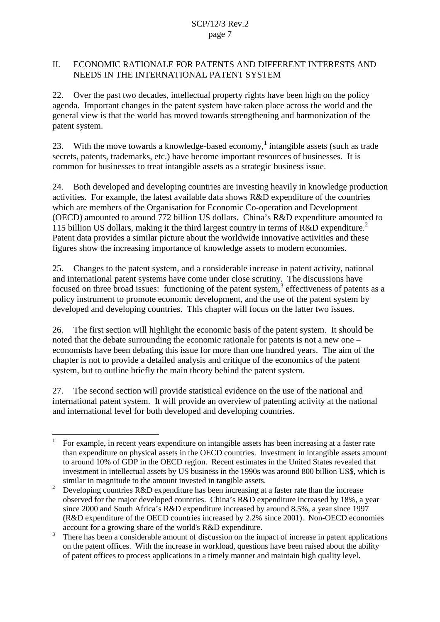### II. ECONOMIC RATIONALE FOR PATENTS AND DIFFERENT INTERESTS AND NEEDS IN THE INTERNATIONAL PATENT SYSTEM

22. Over the past two decades, intellectual property rights have been high on the policy agenda. Important changes in the patent system have taken place across the world and the general view is that the world has moved towards strengthening and harmonization of the patent system.

23. With the move towards a knowledge-based economy,<sup>1</sup> intangible assets (such as trade secrets, patents, trademarks, etc.) have become important resources of businesses. It is common for businesses to treat intangible assets as a strategic business issue.

24. Both developed and developing countries are investing heavily in knowledge production activities. For example, the latest available data shows R&D expenditure of the countries which are members of the Organisation for Economic Co-operation and Development (OECD) amounted to around 772 billion US dollars. China's R&D expenditure amounted to 115 billion US dollars, making it the third largest country in terms of R&D expenditure.<sup>2</sup> Patent data provides a similar picture about the worldwide innovative activities and these figures show the increasing importance of knowledge assets to modern economies.

25. Changes to the patent system, and a considerable increase in patent activity, national and international patent systems have come under close scrutiny. The discussions have focused on three broad issues: functioning of the patent system,<sup>3</sup> effectiveness of patents as a policy instrument to promote economic development, and the use of the patent system by developed and developing countries. This chapter will focus on the latter two issues.

26. The first section will highlight the economic basis of the patent system. It should be noted that the debate surrounding the economic rationale for patents is not a new one – economists have been debating this issue for more than one hundred years. The aim of the chapter is not to provide a detailed analysis and critique of the economics of the patent system, but to outline briefly the main theory behind the patent system.

27. The second section will provide statistical evidence on the use of the national and international patent system. It will provide an overview of patenting activity at the national and international level for both developed and developing countries.

 $1$  For example, in recent years expenditure on intangible assets has been increasing at a faster rate than expenditure on physical assets in the OECD countries. Investment in intangible assets amount to around 10% of GDP in the OECD region. Recent estimates in the United States revealed that investment in intellectual assets by US business in the 1990s was around 800 billion US\$, which is

<sup>&</sup>lt;sup>2</sup> Developing countries R&D expenditure has been increasing at a faster rate than the increase observed for the major developed countries. China's R&D expenditure increased by 18%, a year since 2000 and South Africa's R&D expenditure increased by around 8.5%, a year since 1997 (R&D expenditure of the OECD countries increased by 2.2% since 2001). Non-OECD economies account for a growing share of the world's R&D expenditure.<br><sup>3</sup> There has been a considerable amount of discussion on the impact of increase in patent applications

on the patent offices. With the increase in workload, questions have been raised about the ability of patent offices to process applications in a timely manner and maintain high quality level.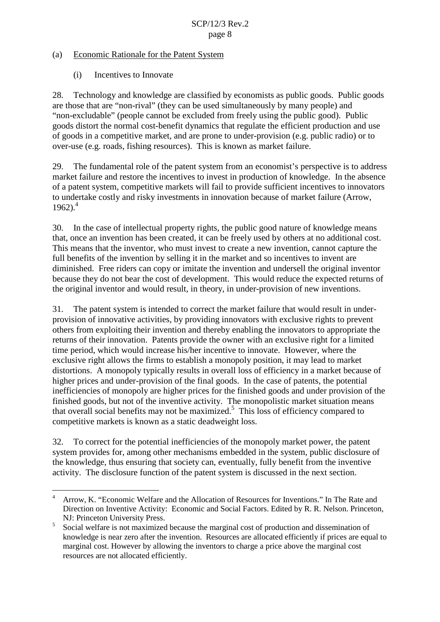## (a) Economic Rationale for the Patent System

## (i) Incentives to Innovate

28. Technology and knowledge are classified by economists as public goods. Public goods are those that are "non-rival" (they can be used simultaneously by many people) and "non-excludable" (people cannot be excluded from freely using the public good). Public goods distort the normal cost-benefit dynamics that regulate the efficient production and use of goods in a competitive market, and are prone to under-provision (e.g. public radio) or to over-use (e.g. roads, fishing resources). This is known as market failure.

29. The fundamental role of the patent system from an economist's perspective is to address market failure and restore the incentives to invest in production of knowledge. In the absence of a patent system, competitive markets will fail to provide sufficient incentives to innovators to undertake costly and risky investments in innovation because of market failure (Arrow, 1962). 4

30. In the case of intellectual property rights, the public good nature of knowledge means that, once an invention has been created, it can be freely used by others at no additional cost. This means that the inventor, who must invest to create a new invention, cannot capture the full benefits of the invention by selling it in the market and so incentives to invent are diminished. Free riders can copy or imitate the invention and undersell the original inventor because they do not bear the cost of development. This would reduce the expected returns of the original inventor and would result, in theory, in under-provision of new inventions.

31. The patent system is intended to correct the market failure that would result in underprovision of innovative activities, by providing innovators with exclusive rights to prevent others from exploiting their invention and thereby enabling the innovators to appropriate the returns of their innovation. Patents provide the owner with an exclusive right for a limited time period, which would increase his/her incentive to innovate. However, where the exclusive right allows the firms to establish a monopoly position, it may lead to market distortions. A monopoly typically results in overall loss of efficiency in a market because of higher prices and under-provision of the final goods. In the case of patents, the potential inefficiencies of monopoly are higher prices for the finished goods and under provision of the finished goods, but not of the inventive activity. The monopolistic market situation means that overall social benefits may not be maximized.<sup>5</sup> This loss of efficiency compared to competitive markets is known as a static deadweight loss.

32. To correct for the potential inefficiencies of the monopoly market power, the patent system provides for, among other mechanisms embedded in the system, public disclosure of the knowledge, thus ensuring that society can, eventually, fully benefit from the inventive activity. The disclosure function of the patent system is discussed in the next section.

<sup>4</sup> Arrow, K. "Economic Welfare and the Allocation of Resources for Inventions." In The Rate and Direction on Inventive Activity: Economic and Social Factors. Edited by R. R. Nelson. Princeton, NJ: Princeton University Press.<br>Social welfare is not maximized because the marginal cost of production and dissemination of

knowledge is near zero after the invention. Resources are allocated efficiently if prices are equal to marginal cost. However by allowing the inventors to charge a price above the marginal cost resources are not allocated efficiently.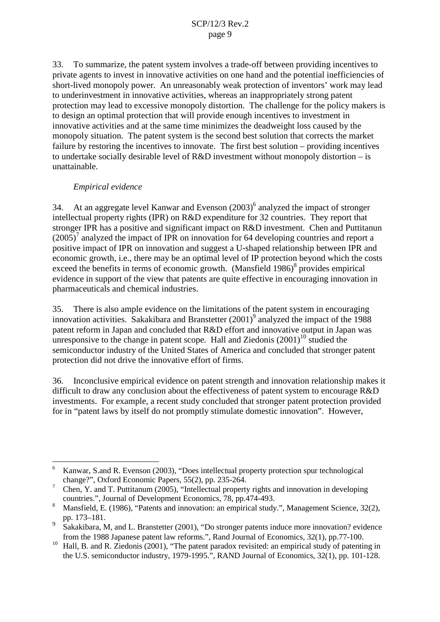33. To summarize, the patent system involves a trade-off between providing incentives to private agents to invest in innovative activities on one hand and the potential inefficiencies of short-lived monopoly power. An unreasonably weak protection of inventors' work may lead to underinvestment in innovative activities, whereas an inappropriately strong patent protection may lead to excessive monopoly distortion. The challenge for the policy makers is to design an optimal protection that will provide enough incentives to investment in innovative activities and at the same time minimizes the deadweight loss caused by the monopoly situation. The patent system is the second best solution that corrects the market failure by restoring the incentives to innovate. The first best solution – providing incentives to undertake socially desirable level of R&D investment without monopoly distortion – is unattainable.

### *Empirical evidence*

34. At an aggregate level Kanwar and Evenson (2003)<sup>6</sup> analyzed the impact of stronger intellectual property rights (IPR) on R&D expenditure for 32 countries. They report that stronger IPR has a positive and significant impact on R&D investment. Chen and Puttitanun  $(2005)^7$  analyzed the impact of IPR on innovation for 64 developing countries and report a positive impact of IPR on innovation and suggest a U-shaped relationship between IPR and economic growth, i.e., there may be an optimal level of IP protection beyond which the costs exceed the benefits in terms of economic growth. (Mansfield 1986)<sup>8</sup> provides empirical evidence in support of the view that patents are quite effective in encouraging innovation in pharmaceuticals and chemical industries.

35. There is also ample evidence on the limitations of the patent system in encouraging innovation activities. Sakakibara and Branstetter (2001) <sup>9</sup> analyzed the impact of the 1988 patent reform in Japan and concluded that R&D effort and innovative output in Japan was unresponsive to the change in patent scope. Hall and Ziedonis  $(2001)^{10}$  studied the semiconductor industry of the United States of America and concluded that stronger patent protection did not drive the innovative effort of firms.

36. Inconclusive empirical evidence on patent strength and innovation relationship makes it difficult to draw any conclusion about the effectiveness of patent system to encourage R&D investments. For example, a recent study concluded that stronger patent protection provided for in "patent laws by itself do not promptly stimulate domestic innovation". However,

<sup>6</sup> Kanwar, S.and R. Evenson (2003), "Does intellectual property protection spur technological

change?", Oxford Economic Papers, 55(2), pp. 235-264.<br>Chen, Y. and T. Puttitanum (2005), "Intellectual property rights and innovation in developing countries.", Journal of Development Economics, 78, pp.474-493.<br>Mansfield, E. (1986), "Patents and innovation: an empirical study.", Management Science, 32(2),

pp. 173–181.<br><sup>9</sup> Sakakibara, M, and L. Branstetter (2001), "Do stronger patents induce more innovation? evidence from the 1988 Japanese patent law reforms.", Rand Journal of Economics, 32(1), pp.77-100.<br><sup>10</sup> Hall, B. and R. Ziedonis (2001), "The patent paradox revisited: an empirical study of patenting in

the U.S. semiconductor industry, 1979-1995.", RAND Journal of Economics, 32(1), pp. 101-128.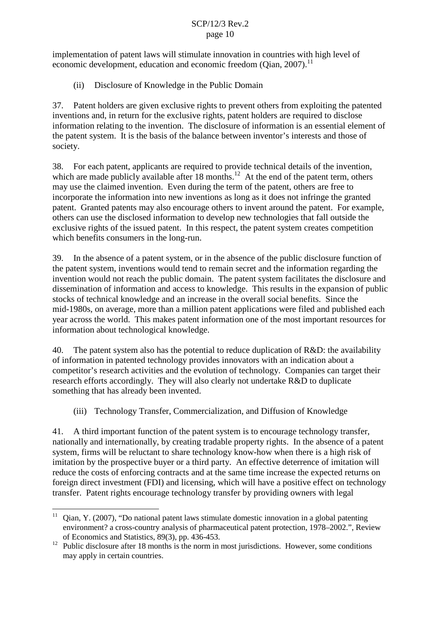implementation of patent laws will stimulate innovation in countries with high level of economic development, education and economic freedom (Qian, 2007).<sup>11</sup>

(ii) Disclosure of Knowledge in the Public Domain

37. Patent holders are given exclusive rights to prevent others from exploiting the patented inventions and, in return for the exclusive rights, patent holders are required to disclose information relating to the invention. The disclosure of information is an essential element of the patent system. It is the basis of the balance between inventor's interests and those of society.

38. For each patent, applicants are required to provide technical details of the invention, which are made publicly available after 18 months.<sup>12</sup> At the end of the patent term, others may use the claimed invention. Even during the term of the patent, others are free to incorporate the information into new inventions as long as it does not infringe the granted patent. Granted patents may also encourage others to invent around the patent. For example, others can use the disclosed information to develop new technologies that fall outside the exclusive rights of the issued patent. In this respect, the patent system creates competition which benefits consumers in the long-run.

39. In the absence of a patent system, or in the absence of the public disclosure function of the patent system, inventions would tend to remain secret and the information regarding the invention would not reach the public domain. The patent system facilitates the disclosure and dissemination of information and access to knowledge. This results in the expansion of public stocks of technical knowledge and an increase in the overall social benefits. Since the mid-1980s, on average, more than a million patent applications were filed and published each year across the world. This makes patent information one of the most important resources for information about technological knowledge.

40. The patent system also has the potential to reduce duplication of R&D: the availability of information in patented technology provides innovators with an indication about a competitor's research activities and the evolution of technology. Companies can target their research efforts accordingly. They will also clearly not undertake R&D to duplicate something that has already been invented.

(iii) Technology Transfer, Commercialization, and Diffusion of Knowledge

41. A third important function of the patent system is to encourage technology transfer, nationally and internationally, by creating tradable property rights. In the absence of a patent system, firms will be reluctant to share technology know-how when there is a high risk of imitation by the prospective buyer or a third party. An effective deterrence of imitation will reduce the costs of enforcing contracts and at the same time increase the expected returns on foreign direct investment (FDI) and licensing, which will have a positive effect on technology transfer. Patent rights encourage technology transfer by providing owners with legal

<sup>&</sup>lt;sup>11</sup> Oian, Y. (2007), "Do national patent laws stimulate domestic innovation in a global patenting environment? a cross-country analysis of pharmaceutical patent protection, 1978–2002.", Review of Economics and Statistics, 89(3), pp. 436-453.<br><sup>12</sup> Public disclosure after 18 months is the norm in most jurisdictions. However, some conditions

may apply in certain countries.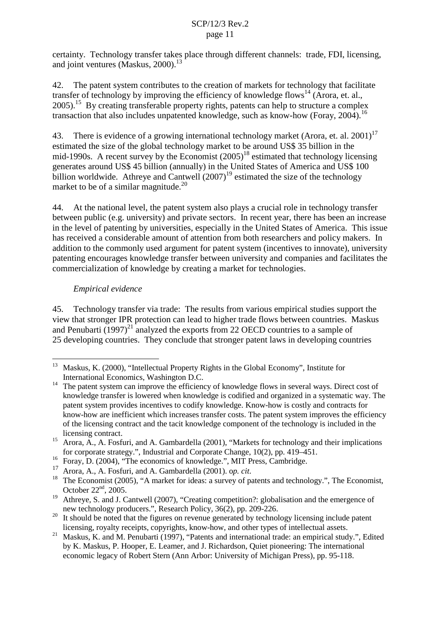certainty. Technology transfer takes place through different channels: trade, FDI, licensing, and joint ventures (Maskus, 2000).<sup>13</sup>

42. The patent system contributes to the creation of markets for technology that facilitate transfer of technology by improving the efficiency of knowledge flows<sup>14</sup> (Arora, et. al., 2005). <sup>15</sup> By creating transferable property rights, patents can help to structure a complex transaction that also includes unpatented knowledge, such as know-how (Foray, 2004).<sup>16</sup>

43. There is evidence of a growing international technology market (Arora, et. al. 2001)<sup>17</sup> estimated the size of the global technology market to be around US\$ 35 billion in the mid-1990s. A recent survey by the Economist (2005)<sup>18</sup> estimated that technology licensing generates around US\$ 45 billion (annually) in the United States of America and US\$ 100 billion worldwide. Athreye and Cantwell (2007)<sup>19</sup> estimated the size of the technology market to be of a similar magnitude.<sup>20</sup>

44. At the national level, the patent system also plays a crucial role in technology transfer between public (e.g. university) and private sectors. In recent year, there has been an increase in the level of patenting by universities, especially in the United States of America. This issue has received a considerable amount of attention from both researchers and policy makers. In addition to the commonly used argument for patent system (incentives to innovate), university patenting encourages knowledge transfer between university and companies and facilitates the commercialization of knowledge by creating a market for technologies.

## *Empirical evidence*

45. Technology transfer via trade: The results from various empirical studies support the view that stronger IPR protection can lead to higher trade flows between countries. Maskus and Penubarti  $(1997)^{21}$  analyzed the exports from 22 OECD countries to a sample of 25 developing countries. They conclude that stronger patent laws in developing countries

<sup>&</sup>lt;sup>13</sup> Maskus, K. (2000), "Intellectual Property Rights in the Global Economy", Institute for

International Economics, Washington D.C.<br><sup>14</sup> The patent system can improve the efficiency of knowledge flows in several ways. Direct cost of knowledge transfer is lowered when knowledge is codified and organized in a systematic way. The patent system provides incentives to codify knowledge. Know-how is costly and contracts for know-how are inefficient which increases transfer costs. The patent system improves the efficiency of the licensing contract and the tacit knowledge component of the technology is included in the licensing contract. <sup>15</sup> Arora, A., A. Fosfuri, and A. Gambardella (2001), "Markets for technology and their implications

for corporate strategy.", Industrial and Corporate Change, 10(2), pp. 419–451.<br><sup>16</sup> Foray, D. (2004), "The economics of knowledge.", MIT Press, Cambridge.<br><sup>17</sup> Arora, A., A. Fosfuri, and A. Gambardella (2001). op. *cit*.

<sup>&</sup>lt;sup>18</sup> The Economist (2005), "A market for ideas: a survey of patents and technology.", The Economist, October  $22<sup>nd</sup>$ , 2005.

<sup>&</sup>lt;sup>19</sup> Athreve, S. and J. Cantwell (2007), "Creating competition?: globalisation and the emergence of

new technology producers.", Research Policy,  $36(2)$ , pp. 209-226.<br><sup>20</sup> It should be noted that the figures on revenue generated by technology licensing include patent

licensing, royalty receipts, copyrights, know-how, and other types of intellectual assets.<br>Maskus, K. and M. Penubarti (1997), "Patents and international trade: an empirical study.", Edited by K. Maskus, P. Hooper, E. Leamer, and J. Richardson, Quiet pioneering: The international economic legacy of Robert Stern (Ann Arbor: University of Michigan Press), pp. 95-118.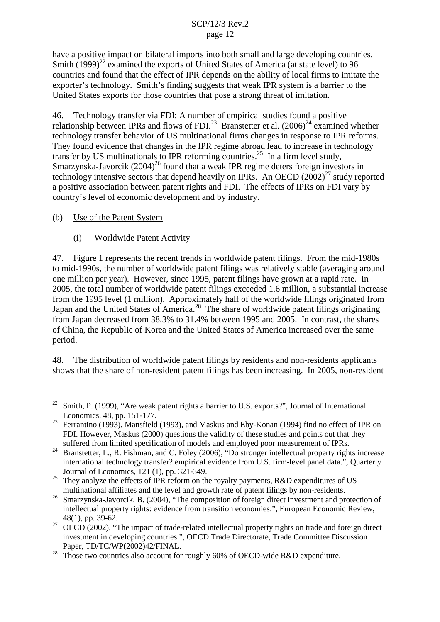have a positive impact on bilateral imports into both small and large developing countries. Smith (1999)<sup>22</sup> examined the exports of United States of America (at state level) to 96 countries and found that the effect of IPR depends on the ability of local firms to imitate the exporter's technology. Smith's finding suggests that weak IPR system is a barrier to the United States exports for those countries that pose a strong threat of imitation.

46. Technology transfer via FDI: A number of empirical studies found a positive relationship between IPRs and flows of FDI.<sup>23</sup> Branstetter et al.  $(2006)^{24}$  examined whether technology transfer behavior of US multinational firms changes in response to IPR reforms. They found evidence that changes in the IPR regime abroad lead to increase in technology transfer by US multinationals to IPR reforming countries.<sup>25</sup> In a firm level study, Smarzynska-Javorcik (2004)<sup>26</sup> found that a weak IPR regime deters foreign investors in technology intensive sectors that depend heavily on IPRs. An OECD  $(2002)^{27}$  study reported a positive association between patent rights and FDI. The effects of IPRs on FDI vary by country's level of economic development and by industry.

(b) Use of the Patent System

(i) Worldwide Patent Activity

47. Figure 1 represents the recent trends in worldwide patent filings. From the mid-1980s to mid-1990s, the number of worldwide patent filings was relatively stable (averaging around one million per year). However, since 1995, patent filings have grown at a rapid rate. In 2005, the total number of worldwide patent filings exceeded 1.6 million, a substantial increase from the 1995 level (1 million). Approximately half of the worldwide filings originated from Japan and the United States of America.<sup>28</sup> The share of worldwide patent filings originating from Japan decreased from 38.3% to 31.4% between 1995 and 2005. In contrast, the shares of China, the Republic of Korea and the United States of America increased over the same period.

48. The distribution of worldwide patent filings by residents and non-residents applicants shows that the share of non-resident patent filings has been increasing. In 2005, non-resident

<sup>&</sup>lt;sup>22</sup> Smith, P. (1999), "Are weak patent rights a barrier to U.S. exports?", Journal of International Economics, 48, pp. 151-177.<br><sup>23</sup> Ferrantino (1993), Mansfield (1993), and Maskus and Eby-Konan (1994) find no effect of IPR on

FDI. However, Maskus (2000) questions the validity of these studies and points out that they

suffered from limited specification of models and employed poor measurement of IPRs. <sup>24</sup> Branstetter, L., R. Fishman, and C. Foley (2006), "Do stronger intellectual property rights increase international technology transfer? empirical evidence from U.S. firm-level panel data.", Quarterly

Journal of Economics, 121 (1), pp. 321-349.<br><sup>25</sup> They analyze the effects of IPR reform on the royalty payments, R&D expenditures of US multinational affiliates and the level and growth rate of patent filings by non-reside

<sup>&</sup>lt;sup>26</sup> Smarzynska-Javorcik, B. (2004), "The composition of foreign direct investment and protection of intellectual property rights: evidence from transition economies.", European Economic Review,

<sup>48(1),</sup> pp. 39-62.<br><sup>27</sup> OECD (2002), "The impact of trade-related intellectual property rights on trade and foreign direct investment in developing countries.", OECD Trade Directorate, Trade Committee Discussion Paper, TD/TC/WP(2002)42/FINAL.<br><sup>28</sup> Those two countries also account for roughly 60% of OECD-wide R&D expenditure.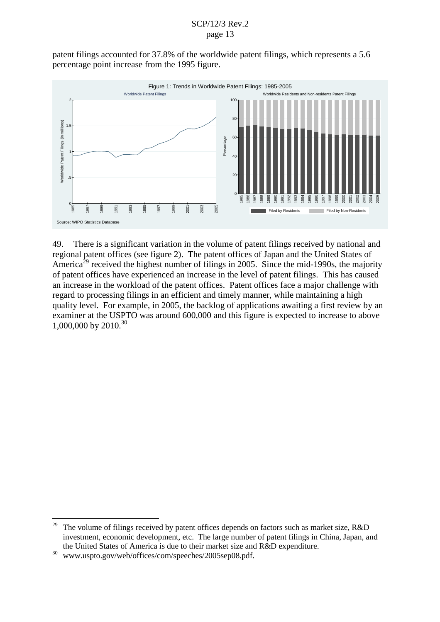patent filings accounted for 37.8% of the worldwide patent filings, which represents a 5.6 percentage point increase from the 1995 figure.



49. There is a significant variation in the volume of patent filings received by national and regional patent offices (see figure 2). The patent offices of Japan and the United States of America<sup>29</sup> received the highest number of filings in 2005. Since the mid-1990s, the majority of patent offices have experienced an increase in the level of patent filings. This has caused an increase in the workload of the patent offices. Patent offices face a major challenge with regard to processing filings in an efficient and timely manner, while maintaining a high quality level. For example, in 2005, the backlog of applications awaiting a first review by an examiner at the USPTO was around 600,000 and this figure is expected to increase to above 1,000,000 by 2010. 30

<sup>&</sup>lt;sup>29</sup> The volume of filings received by patent offices depends on factors such as market size, R&D investment, economic development, etc. The large number of patent filings in China, Japan, and the United States of America is due to their market size and R&D expenditure.<br><sup>30</sup> www.uspto.gov/web/offices/com/speeches/2005sep08.pdf.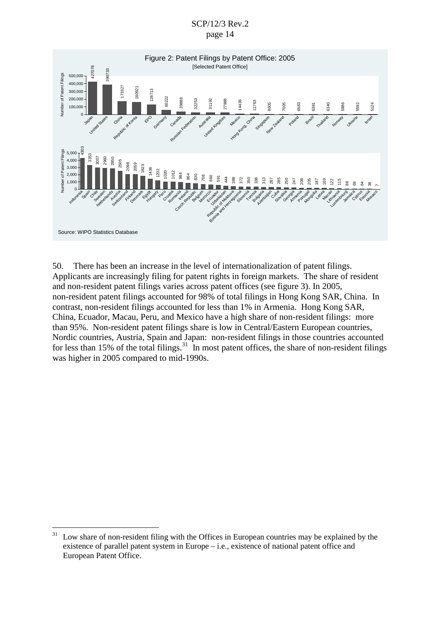

50. There has been an increase in the level of internationalization of patent filings. Applicants are increasingly filing for patent rights in foreign markets. The share of resident and non-resident patent filings varies across patent offices (see figure 3). In 2005, non-resident patent filings accounted for 98% of total filings in Hong Kong SAR, China. In contrast, non-resident filings accounted for less than 1% in Armenia. Hong Kong SAR, China, Ecuador, Macau, Peru, and Mexico have a high share of non-resident filings: more than 95%. Non-resident patent filings share is low in Central/Eastern European countries, Nordic countries, Austria, Spain and Japan: non-resident filings in those countries accounted for less than 15% of the total filings.<sup>31</sup> In most patent offices, the share of non-resident filings was higher in 2005 compared to mid-1990s.

<sup>&</sup>lt;sup>31</sup> Low share of non-resident filing with the Offices in European countries may be explained by the existence of parallel patent system in Europe – i.e., existence of national patent office and European Patent Office.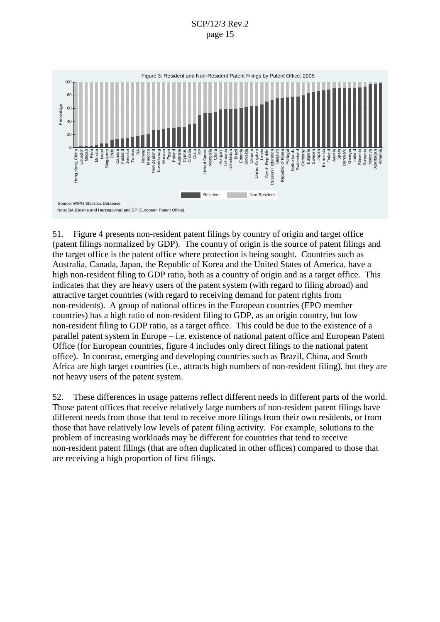

51. Figure 4 presents non-resident patent filings by country of origin and target office (patent filings normalized by GDP). The country of origin is the source of patent filings and the target office is the patent office where protection is being sought. Countries such as Australia, Canada, Japan, the Republic of Korea and the United States of America, have a high non-resident filing to GDP ratio, both as a country of origin and as a target office. This indicates that they are heavy users of the patent system (with regard to filing abroad) and attractive target countries (with regard to receiving demand for patent rights from non-residents). A group of national offices in the European countries (EPO member countries) has a high ratio of non-resident filing to GDP, as an origin country, but low non-resident filing to GDP ratio, as a target office. This could be due to the existence of a parallel patent system in Europe – i.e. existence of national patent office and European Patent Office (for European countries, figure 4 includes only direct filings to the national patent office). In contrast, emerging and developing countries such as Brazil, China, and South Africa are high target countries (i.e., attracts high numbers of non-resident filing), but they are not heavy users of the patent system.

52. These differences in usage patterns reflect different needs in different parts of the world. Those patent offices that receive relatively large numbers of non-resident patent filings have different needs from those that tend to receive more filings from their own residents, or from those that have relatively low levels of patent filing activity. For example, solutions to the problem of increasing workloads may be different for countries that tend to receive non-resident patent filings (that are often duplicated in other offices) compared to those that are receiving a high proportion of first filings.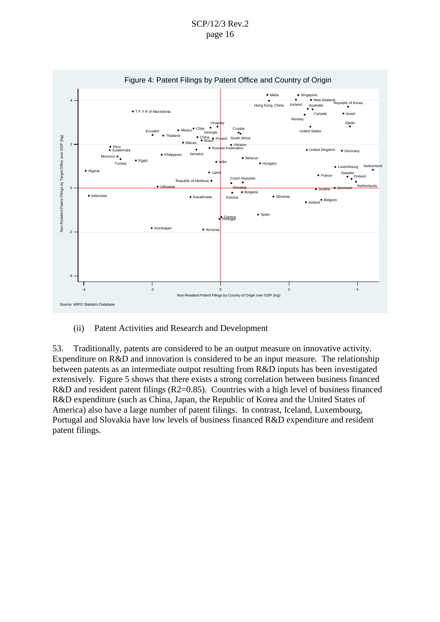

(ii) Patent Activities and Research and Development

53. Traditionally, patents are considered to be an output measure on innovative activity. Expenditure on R&D and innovation is considered to be an input measure. The relationship between patents as an intermediate output resulting from R&D inputs has been investigated extensively. Figure 5 shows that there exists a strong correlation between business financed R&D and resident patent filings (R2=0.85). Countries with a high level of business financed R&D expenditure (such as China, Japan, the Republic of Korea and the United States of America) also have a large number of patent filings. In contrast, Iceland, Luxembourg, Portugal and Slovakia have low levels of business financed R&D expenditure and resident patent filings.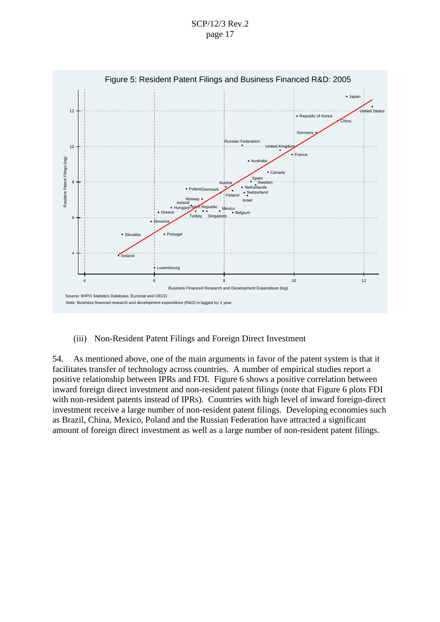

(iii) Non-Resident Patent Filings and Foreign Direct Investment

54. As mentioned above, one of the main arguments in favor of the patent system is that it facilitates transfer of technology across countries. A number of empirical studies report a positive relationship between IPRs and FDI. Figure 6 shows a positive correlation between inward foreign direct investment and non-resident patent filings (note that Figure 6 plots FDI with non-resident patents instead of IPRs). Countries with high level of inward foreign-direct investment receive a large number of non-resident patent filings. Developing economies such as Brazil, China, Mexico, Poland and the Russian Federation have attracted a significant amount of foreign direct investment as well as a large number of non-resident patent filings.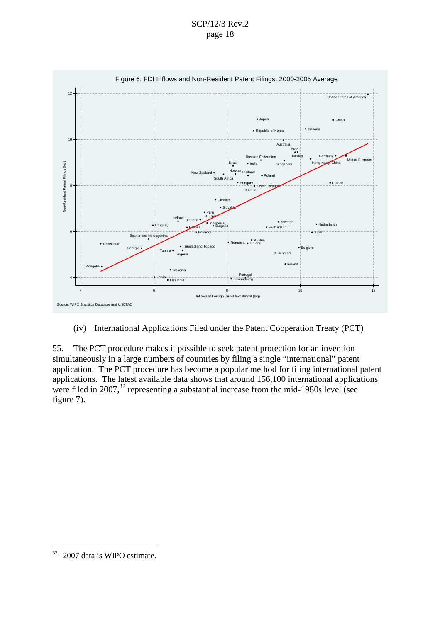

(iv) International Applications Filed under the Patent Cooperation Treaty (PCT)

55. The PCT procedure makes it possible to seek patent protection for an invention simultaneously in a large numbers of countries by filing a single "international" patent application. The PCT procedure has become a popular method for filing international patent applications. The latest available data shows that around 156,100 international applications were filed in 2007,<sup>32</sup> representing a substantial increase from the mid-1980s level (see figure 7).

 $32$  2007 data is WIPO estimate.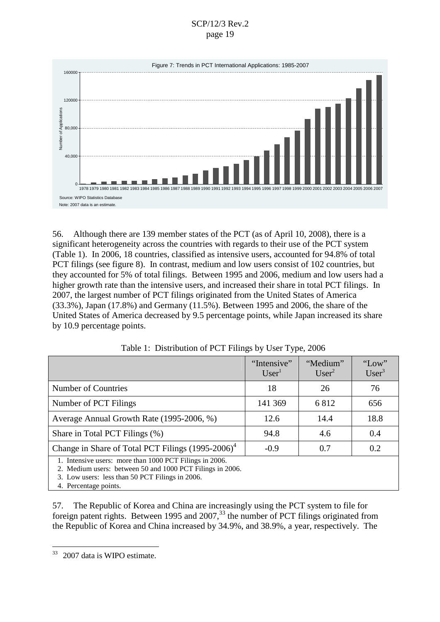

56. Although there are 139 member states of the PCT (as of April 10, 2008), there is a significant heterogeneity across the countries with regards to their use of the PCT system (Table 1). In 2006, 18 countries, classified as intensive users, accounted for 94.8% of total PCT filings (see figure 8). In contrast, medium and low users consist of 102 countries, but they accounted for 5% of total filings. Between 1995 and 2006, medium and low users had a higher growth rate than the intensive users, and increased their share in total PCT filings. In 2007, the largest number of PCT filings originated from the United States of America (33.3%), Japan (17.8%) and Germany (11.5%). Between 1995 and 2006, the share of the United States of America decreased by 9.5 percentage points, while Japan increased its share by 10.9 percentage points.

|                                                                                                                                                                                                                                        | "Intensive"<br>User <sup>1</sup> | "Medium"<br>User <sup>2</sup> | "Low"<br>$User^3$ |
|----------------------------------------------------------------------------------------------------------------------------------------------------------------------------------------------------------------------------------------|----------------------------------|-------------------------------|-------------------|
| Number of Countries                                                                                                                                                                                                                    | 18                               | 26                            | 76                |
| Number of PCT Filings                                                                                                                                                                                                                  | 141 369                          | 6812                          | 656               |
| Average Annual Growth Rate (1995-2006, %)                                                                                                                                                                                              | 12.6                             | 14.4                          | 18.8              |
| Share in Total PCT Filings (%)                                                                                                                                                                                                         | 94.8                             | 4.6                           | 0.4               |
| Change in Share of Total PCT Filings (1995-2006) <sup>4</sup>                                                                                                                                                                          | $-0.9$                           | 0.7                           | 0.2               |
| 1. Intensive users: more than 1000 PCT Filings in 2006.<br>2. Medium users: between 50 and 1000 PCT Filings in 2006.<br>3. Low users: less than 50 PCT Filings in 2006.<br>$\mathbf{A}$ . The second contract is a set of $\mathbf{A}$ |                                  |                               |                   |

Table 1: Distribution of PCT Filings by User Type, 2006

4. Percentage points.

57. The Republic of Korea and China are increasingly using the PCT system to file for foreign patent rights. Between 1995 and 2007,<sup>33</sup> the number of PCT filings originated from the Republic of Korea and China increased by 34.9%, and 38.9%, a year, respectively. The

<sup>&</sup>lt;sup>33</sup> 2007 data is WIPO estimate.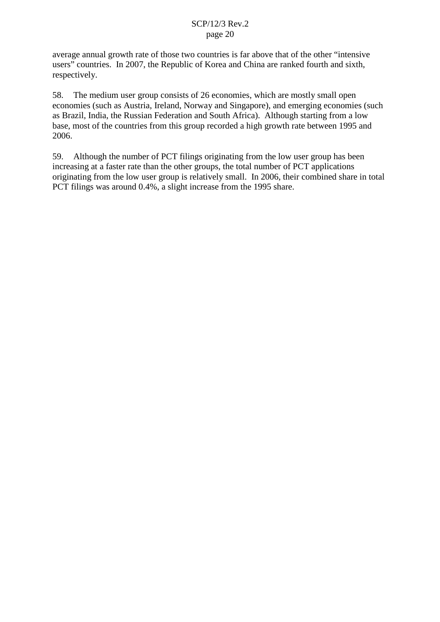average annual growth rate of those two countries is far above that of the other "intensive users" countries. In 2007, the Republic of Korea and China are ranked fourth and sixth, respectively.

58. The medium user group consists of 26 economies, which are mostly small open economies (such as Austria, Ireland, Norway and Singapore), and emerging economies (such as Brazil, India, the Russian Federation and South Africa). Although starting from a low base, most of the countries from this group recorded a high growth rate between 1995 and 2006.

59. Although the number of PCT filings originating from the low user group has been increasing at a faster rate than the other groups, the total number of PCT applications originating from the low user group is relatively small. In 2006, their combined share in total PCT filings was around 0.4%, a slight increase from the 1995 share.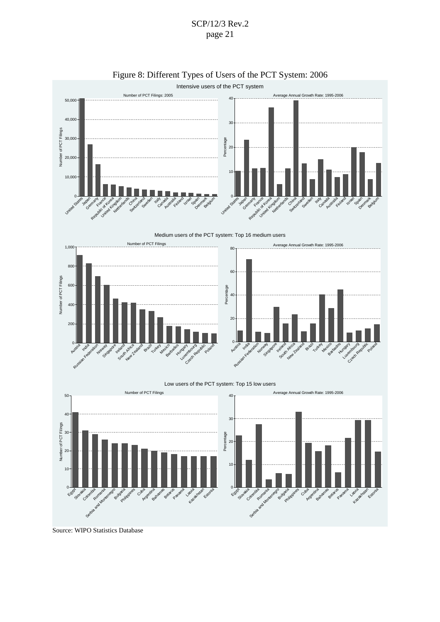

Figure 8: Different Types of Users of the PCT System: 2006

Source: WIPO Statistics Database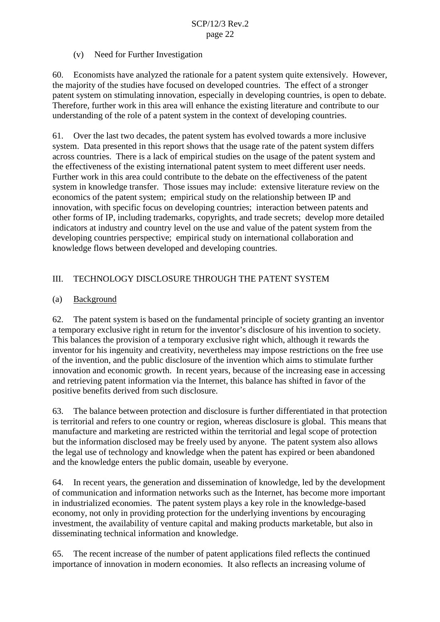## (v) Need for Further Investigation

60. Economists have analyzed the rationale for a patent system quite extensively. However, the majority of the studies have focused on developed countries. The effect of a stronger patent system on stimulating innovation, especially in developing countries, is open to debate. Therefore, further work in this area will enhance the existing literature and contribute to our understanding of the role of a patent system in the context of developing countries.

61. Over the last two decades, the patent system has evolved towards a more inclusive system. Data presented in this report shows that the usage rate of the patent system differs across countries. There is a lack of empirical studies on the usage of the patent system and the effectiveness of the existing international patent system to meet different user needs. Further work in this area could contribute to the debate on the effectiveness of the patent system in knowledge transfer. Those issues may include: extensive literature review on the economics of the patent system; empirical study on the relationship between IP and innovation, with specific focus on developing countries; interaction between patents and other forms of IP, including trademarks, copyrights, and trade secrets; develop more detailed indicators at industry and country level on the use and value of the patent system from the developing countries perspective; empirical study on international collaboration and knowledge flows between developed and developing countries.

## III. TECHNOLOGY DISCLOSURE THROUGH THE PATENT SYSTEM

## (a) Background

62. The patent system is based on the fundamental principle of society granting an inventor a temporary exclusive right in return for the inventor's disclosure of his invention to society. This balances the provision of a temporary exclusive right which, although it rewards the inventor for his ingenuity and creativity, nevertheless may impose restrictions on the free use of the invention, and the public disclosure of the invention which aims to stimulate further innovation and economic growth. In recent years, because of the increasing ease in accessing and retrieving patent information via the Internet, this balance has shifted in favor of the positive benefits derived from such disclosure.

63. The balance between protection and disclosure is further differentiated in that protection is territorial and refers to one country or region, whereas disclosure is global. This means that manufacture and marketing are restricted within the territorial and legal scope of protection but the information disclosed may be freely used by anyone. The patent system also allows the legal use of technology and knowledge when the patent has expired or been abandoned and the knowledge enters the public domain, useable by everyone.

64. In recent years, the generation and dissemination of knowledge, led by the development of communication and information networks such as the Internet, has become more important in industrialized economies. The patent system plays a key role in the knowledge-based economy, not only in providing protection for the underlying inventions by encouraging investment, the availability of venture capital and making products marketable, but also in disseminating technical information and knowledge.

65. The recent increase of the number of patent applications filed reflects the continued importance of innovation in modern economies. It also reflects an increasing volume of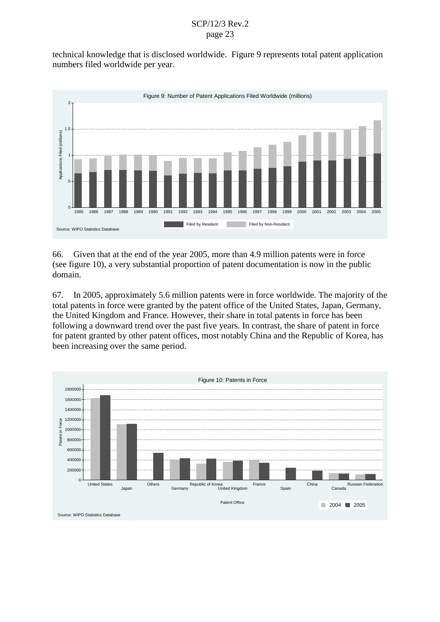technical knowledge that is disclosed worldwide. Figure 9 represents total patent application numbers filed worldwide per year.



66. Given that at the end of the year 2005, more than 4.9 million patents were in force (see figure 10), a very substantial proportion of patent documentation is now in the public domain.

67. In 2005, approximately 5.6 million patents were in force worldwide. The majority of the total patents in force were granted by the patent office of the United States, Japan, Germany, the United Kingdom and France. However, their share in total patents in force has been following a downward trend over the past five years. In contrast, the share of patent in force for patent granted by other patent offices, most notably China and the Republic of Korea, has been increasing over the same period.

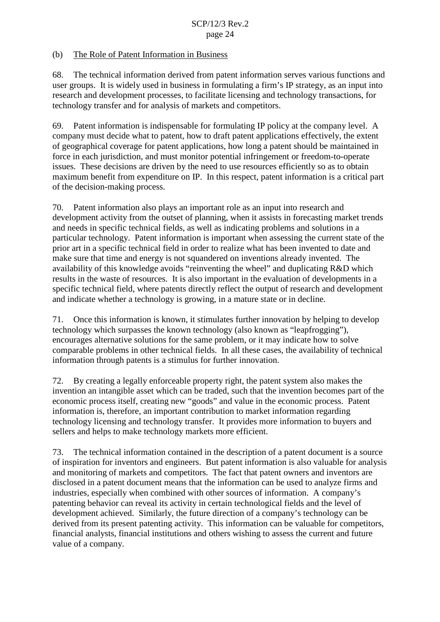## (b) The Role of Patent Information in Business

68. The technical information derived from patent information serves various functions and user groups. It is widely used in business in formulating a firm's IP strategy, as an input into research and development processes, to facilitate licensing and technology transactions, for technology transfer and for analysis of markets and competitors.

69. Patent information is indispensable for formulating IP policy at the company level. A company must decide what to patent, how to draft patent applications effectively, the extent of geographical coverage for patent applications, how long a patent should be maintained in force in each jurisdiction, and must monitor potential infringement or freedom-to-operate issues. These decisions are driven by the need to use resources efficiently so as to obtain maximum benefit from expenditure on IP. In this respect, patent information is a critical part of the decision-making process.

70. Patent information also plays an important role as an input into research and development activity from the outset of planning, when it assists in forecasting market trends and needs in specific technical fields, as well as indicating problems and solutions in a particular technology. Patent information is important when assessing the current state of the prior art in a specific technical field in order to realize what has been invented to date and make sure that time and energy is not squandered on inventions already invented. The availability of this knowledge avoids "reinventing the wheel" and duplicating R&D which results in the waste of resources. It is also important in the evaluation of developments in a specific technical field, where patents directly reflect the output of research and development and indicate whether a technology is growing, in a mature state or in decline.

71. Once this information is known, it stimulates further innovation by helping to develop technology which surpasses the known technology (also known as "leapfrogging"), encourages alternative solutions for the same problem, or it may indicate how to solve comparable problems in other technical fields. In all these cases, the availability of technical information through patents is a stimulus for further innovation.

72. By creating a legally enforceable property right, the patent system also makes the invention an intangible asset which can be traded, such that the invention becomes part of the economic process itself, creating new "goods" and value in the economic process. Patent information is, therefore, an important contribution to market information regarding technology licensing and technology transfer. It provides more information to buyers and sellers and helps to make technology markets more efficient.

73. The technical information contained in the description of a patent document is a source of inspiration for inventors and engineers. But patent information is also valuable for analysis and monitoring of markets and competitors. The fact that patent owners and inventors are disclosed in a patent document means that the information can be used to analyze firms and industries, especially when combined with other sources of information. A company's patenting behavior can reveal its activity in certain technological fields and the level of development achieved. Similarly, the future direction of a company's technology can be derived from its present patenting activity. This information can be valuable for competitors, financial analysts, financial institutions and others wishing to assess the current and future value of a company.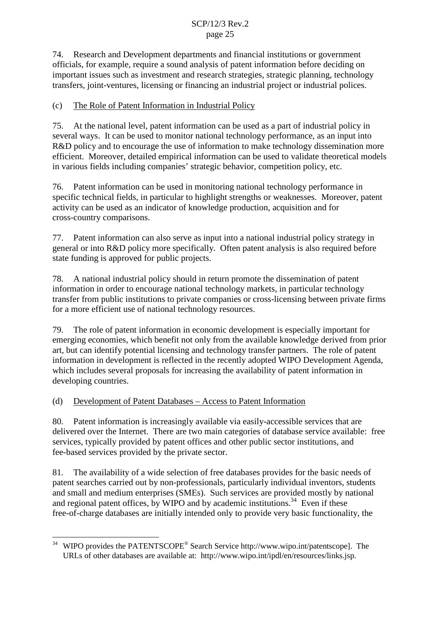74. Research and Development departments and financial institutions or government officials, for example, require a sound analysis of patent information before deciding on important issues such as investment and research strategies, strategic planning, technology transfers, joint-ventures, licensing or financing an industrial project or industrial polices.

## (c) The Role of Patent Information in Industrial Policy

75. At the national level, patent information can be used as a part of industrial policy in several ways. It can be used to monitor national technology performance, as an input into R&D policy and to encourage the use of information to make technology dissemination more efficient. Moreover, detailed empirical information can be used to validate theoretical models in various fields including companies' strategic behavior, competition policy, etc.

76. Patent information can be used in monitoring national technology performance in specific technical fields, in particular to highlight strengths or weaknesses. Moreover, patent activity can be used as an indicator of knowledge production, acquisition and for cross-country comparisons.

77. Patent information can also serve as input into a national industrial policy strategy in general or into R&D policy more specifically. Often patent analysis is also required before state funding is approved for public projects.

78. A national industrial policy should in return promote the dissemination of patent information in order to encourage national technology markets, in particular technology transfer from public institutions to private companies or cross-licensing between private firms for a more efficient use of national technology resources.

79. The role of patent information in economic development is especially important for emerging economies, which benefit not only from the available knowledge derived from prior art, but can identify potential licensing and technology transfer partners. The role of patent information in development is reflected in the recently adopted WIPO Development Agenda, which includes several proposals for increasing the availability of patent information in developing countries.

## (d) Development of Patent Databases – Access to Patent Information

80. Patent information is increasingly available via easily-accessible services that are delivered over the Internet. There are two main categories of database service available: free services, typically provided by patent offices and other public sector institutions, and fee-based services provided by the private sector.

81. The availability of a wide selection of free databases provides for the basic needs of patent searches carried out by non-professionals, particularly individual inventors, students and small and medium enterprises (SMEs). Such services are provided mostly by national and regional patent offices, by WIPO and by academic institutions.<sup>34</sup> Even if these free-of-charge databases are initially intended only to provide very basic functionality, the

<sup>&</sup>lt;sup>34</sup> WIPO provides the PATENTSCOPE<sup>®</sup> Search Service http://www.wipo.int/patentscope]. The URLs of other databases are available at: http://www.wipo.int/ipdl/en/resources/links.jsp.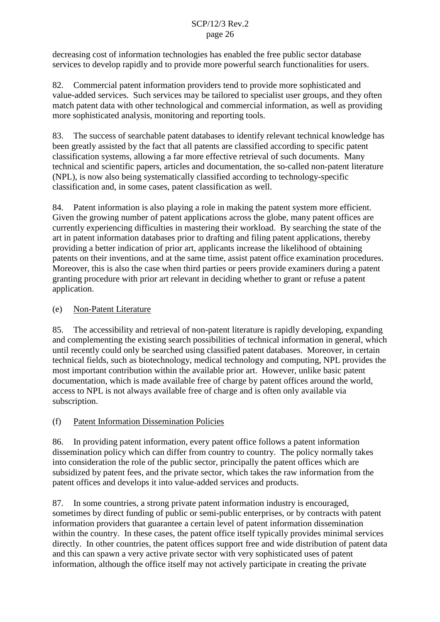decreasing cost of information technologies has enabled the free public sector database services to develop rapidly and to provide more powerful search functionalities for users.

82. Commercial patent information providers tend to provide more sophisticated and value-added services. Such services may be tailored to specialist user groups, and they often match patent data with other technological and commercial information, as well as providing more sophisticated analysis, monitoring and reporting tools.

83. The success of searchable patent databases to identify relevant technical knowledge has been greatly assisted by the fact that all patents are classified according to specific patent classification systems, allowing a far more effective retrieval of such documents. Many technical and scientific papers, articles and documentation, the so-called non-patent literature (NPL), is now also being systematically classified according to technology-specific classification and, in some cases, patent classification as well.

84. Patent information is also playing a role in making the patent system more efficient. Given the growing number of patent applications across the globe, many patent offices are currently experiencing difficulties in mastering their workload. By searching the state of the art in patent information databases prior to drafting and filing patent applications, thereby providing a better indication of prior art, applicants increase the likelihood of obtaining patents on their inventions, and at the same time, assist patent office examination procedures. Moreover, this is also the case when third parties or peers provide examiners during a patent granting procedure with prior art relevant in deciding whether to grant or refuse a patent application.

## (e) Non-Patent Literature

85. The accessibility and retrieval of non-patent literature is rapidly developing, expanding and complementing the existing search possibilities of technical information in general, which until recently could only be searched using classified patent databases. Moreover, in certain technical fields, such as biotechnology, medical technology and computing, NPL provides the most important contribution within the available prior art. However, unlike basic patent documentation, which is made available free of charge by patent offices around the world, access to NPL is not always available free of charge and is often only available via subscription.

## (f) Patent Information Dissemination Policies

86. In providing patent information, every patent office follows a patent information dissemination policy which can differ from country to country. The policy normally takes into consideration the role of the public sector, principally the patent offices which are subsidized by patent fees, and the private sector, which takes the raw information from the patent offices and develops it into value-added services and products.

87. In some countries, a strong private patent information industry is encouraged, sometimes by direct funding of public or semi-public enterprises, or by contracts with patent information providers that guarantee a certain level of patent information dissemination within the country. In these cases, the patent office itself typically provides minimal services directly. In other countries, the patent offices support free and wide distribution of patent data and this can spawn a very active private sector with very sophisticated uses of patent information, although the office itself may not actively participate in creating the private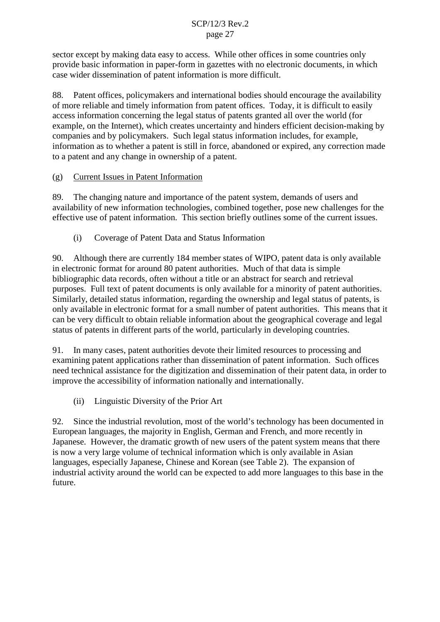sector except by making data easy to access. While other offices in some countries only provide basic information in paper-form in gazettes with no electronic documents, in which case wider dissemination of patent information is more difficult.

88. Patent offices, policymakers and international bodies should encourage the availability of more reliable and timely information from patent offices. Today, it is difficult to easily access information concerning the legal status of patents granted all over the world (for example, on the Internet), which creates uncertainty and hinders efficient decision-making by companies and by policymakers. Such legal status information includes, for example, information as to whether a patent is still in force, abandoned or expired, any correction made to a patent and any change in ownership of a patent.

## (g) Current Issues in Patent Information

89. The changing nature and importance of the patent system, demands of users and availability of new information technologies, combined together, pose new challenges for the effective use of patent information. This section briefly outlines some of the current issues.

(i) Coverage of Patent Data and Status Information

90. Although there are currently 184 member states of WIPO, patent data is only available in electronic format for around 80 patent authorities. Much of that data is simple bibliographic data records, often without a title or an abstract for search and retrieval purposes. Full text of patent documents is only available for a minority of patent authorities. Similarly, detailed status information, regarding the ownership and legal status of patents, is only available in electronic format for a small number of patent authorities. This means that it can be very difficult to obtain reliable information about the geographical coverage and legal status of patents in different parts of the world, particularly in developing countries.

91. In many cases, patent authorities devote their limited resources to processing and examining patent applications rather than dissemination of patent information. Such offices need technical assistance for the digitization and dissemination of their patent data, in order to improve the accessibility of information nationally and internationally.

(ii) Linguistic Diversity of the Prior Art

92. Since the industrial revolution, most of the world's technology has been documented in European languages, the majority in English, German and French, and more recently in Japanese. However, the dramatic growth of new users of the patent system means that there is now a very large volume of technical information which is only available in Asian languages, especially Japanese, Chinese and Korean (see Table 2). The expansion of industrial activity around the world can be expected to add more languages to this base in the future.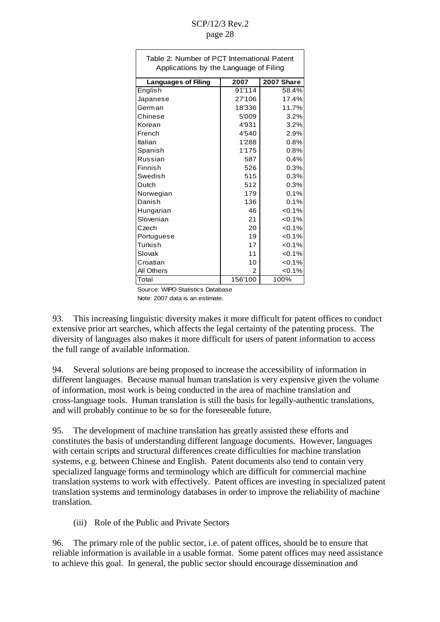| Table 2: Number of PCT International Patent<br>Applications by the Language of Filing |         |            |  |  |
|---------------------------------------------------------------------------------------|---------|------------|--|--|
| Languages of Filing                                                                   | 2007    | 2007 Share |  |  |
| English                                                                               | 91'114  | 58.4%      |  |  |
|                                                                                       | 27'106  | 17.4%      |  |  |
| Japanese                                                                              |         | 11.7%      |  |  |
| German                                                                                | 18'336  |            |  |  |
| Chinese                                                                               | 5'009   | 3.2%       |  |  |
| Korean                                                                                | 4'931   | 3.2%       |  |  |
| French                                                                                | 4'540   | 2.9%       |  |  |
| Italian                                                                               | 1'288   | 0.8%       |  |  |
| Spanish                                                                               | 1'175   | 0.8%       |  |  |
| Russian                                                                               | 587     | 0.4%       |  |  |
| Finnish                                                                               | 526     | 0.3%       |  |  |
| Swedish                                                                               | 515     | 0.3%       |  |  |
| Dutch                                                                                 | 512     | 0.3%       |  |  |
| Norwegian                                                                             | 179     | 0.1%       |  |  |
| Danish                                                                                | 136     | 0.1%       |  |  |
| Hungarian                                                                             | 46      | $< 0.1\%$  |  |  |
| Slovenian                                                                             | 21      | $< 0.1\%$  |  |  |
| Czech                                                                                 | 20      | $<0.1\%$   |  |  |
| Portuguese                                                                            | 19      | $< 0.1\%$  |  |  |
| Turkish                                                                               | 17      | $< 0.1\%$  |  |  |
| Slovak                                                                                | 11      | $< 0.1\%$  |  |  |
| Croatian                                                                              | 10      | $< 0.1\%$  |  |  |
| All Others                                                                            | 2       | $< 0.1\%$  |  |  |
| Total                                                                                 | 156'100 | 100%       |  |  |

Source: WIPO Statistics Database Note: 2007 data is an estimate.

93. This increasing linguistic diversity makes it more difficult for patent offices to conduct extensive prior art searches, which affects the legal certainty of the patenting process. The diversity of languages also makes it more difficult for users of patent information to access the full range of available information.

94. Several solutions are being proposed to increase the accessibility of information in different languages. Because manual human translation is very expensive given the volume of information, most work is being conducted in the area of machine translation and cross-language tools. Human translation is still the basis for legally-authentic translations, and will probably continue to be so for the foreseeable future.

95. The development of machine translation has greatly assisted these efforts and constitutes the basis of understanding different language documents. However, languages with certain scripts and structural differences create difficulties for machine translation systems, e.g. between Chinese and English. Patent documents also tend to contain very specialized language forms and terminology which are difficult for commercial machine translation systems to work with effectively. Patent offices are investing in specialized patent translation systems and terminology databases in order to improve the reliability of machine translation.

(iii) Role of the Public and Private Sectors

96. The primary role of the public sector, i.e. of patent offices, should be to ensure that reliable information is available in a usable format. Some patent offices may need assistance to achieve this goal. In general, the public sector should encourage dissemination and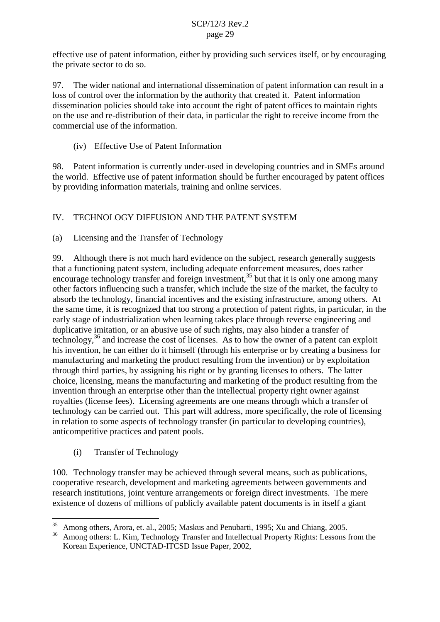effective use of patent information, either by providing such services itself, or by encouraging the private sector to do so.

97. The wider national and international dissemination of patent information can result in a loss of control over the information by the authority that created it. Patent information dissemination policies should take into account the right of patent offices to maintain rights on the use and re-distribution of their data, in particular the right to receive income from the commercial use of the information.

## (iv) Effective Use of Patent Information

98. Patent information is currently under-used in developing countries and in SMEs around the world. Effective use of patent information should be further encouraged by patent offices by providing information materials, training and online services.

## IV. TECHNOLOGY DIFFUSION AND THE PATENT SYSTEM

## (a) Licensing and the Transfer of Technology

99. Although there is not much hard evidence on the subject, research generally suggests that a functioning patent system, including adequate enforcement measures, does rather encourage technology transfer and foreign investment,<sup>35</sup> but that it is only one among many other factors influencing such a transfer, which include the size of the market, the faculty to absorb the technology, financial incentives and the existing infrastructure, among others. At the same time, it is recognized that too strong a protection of patent rights, in particular, in the early stage of industrialization when learning takes place through reverse engineering and duplicative imitation, or an abusive use of such rights, may also hinder a transfer of technology,<sup>36</sup> and increase the cost of licenses. As to how the owner of a patent can exploit his invention, he can either do it himself (through his enterprise or by creating a business for manufacturing and marketing the product resulting from the invention) or by exploitation through third parties, by assigning his right or by granting licenses to others. The latter choice, licensing, means the manufacturing and marketing of the product resulting from the invention through an enterprise other than the intellectual property right owner against royalties (license fees). Licensing agreements are one means through which a transfer of technology can be carried out. This part will address, more specifically, the role of licensing in relation to some aspects of technology transfer (in particular to developing countries), anticompetitive practices and patent pools.

(i) Transfer of Technology

100. Technology transfer may be achieved through several means, such as publications, cooperative research, development and marketing agreements between governments and research institutions, joint venture arrangements or foreign direct investments. The mere existence of dozens of millions of publicly available patent documents is in itself a giant

<sup>&</sup>lt;sup>35</sup> Among others, Arora, et. al., 2005; Maskus and Penubarti, 1995; Xu and Chiang, 2005.<br><sup>36</sup> Among others: L. Kim, Technology Transfer and Intellectual Property Rights: Lessons from the

Korean Experience, UNCTAD-ITCSD Issue Paper, 2002,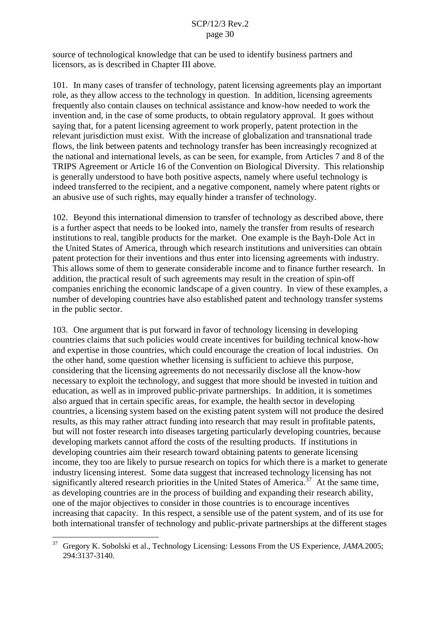source of technological knowledge that can be used to identify business partners and licensors, as is described in Chapter III above*.*

101. In many cases of transfer of technology, patent licensing agreements play an important role, as they allow access to the technology in question. In addition, licensing agreements frequently also contain clauses on technical assistance and know-how needed to work the invention and, in the case of some products, to obtain regulatory approval. It goes without saying that, for a patent licensing agreement to work properly, patent protection in the relevant jurisdiction must exist. With the increase of globalization and transnational trade flows, the link between patents and technology transfer has been increasingly recognized at the national and international levels, as can be seen, for example, from Articles 7 and 8 of the TRIPS Agreement or Article 16 of the Convention on Biological Diversity. This relationship is generally understood to have both positive aspects, namely where useful technology is indeed transferred to the recipient, and a negative component, namely where patent rights or an abusive use of such rights, may equally hinder a transfer of technology.

102. Beyond this international dimension to transfer of technology as described above, there is a further aspect that needs to be looked into, namely the transfer from results of research institutions to real, tangible products for the market. One example is the Bayh-Dole Act in the United States of America, through which research institutions and universities can obtain patent protection for their inventions and thus enter into licensing agreements with industry. This allows some of them to generate considerable income and to finance further research. In addition, the practical result of such agreements may result in the creation of spin-off companies enriching the economic landscape of a given country. In view of these examples, a number of developing countries have also established patent and technology transfer systems in the public sector.

103. One argument that is put forward in favor of technology licensing in developing countries claims that such policies would create incentives for building technical know-how and expertise in those countries, which could encourage the creation of local industries. On the other hand, some question whether licensing is sufficient to achieve this purpose, considering that the licensing agreements do not necessarily disclose all the know-how necessary to exploit the technology, and suggest that more should be invested in tuition and education, as well as in improved public-private partnerships. In addition, it is sometimes also argued that in certain specific areas, for example, the health sector in developing countries, a licensing system based on the existing patent system will not produce the desired results, as this may rather attract funding into research that may result in profitable patents, but will not foster research into diseases targeting particularly developing countries, because developing markets cannot afford the costs of the resulting products. If institutions in developing countries aim their research toward obtaining patents to generate licensing income, they too are likely to pursue research on topics for which there is a market to generate industry licensing interest. Some data suggest that increased technology licensing has not significantly altered research priorities in the United States of America.<sup>37</sup> At the same time, as developing countries are in the process of building and expanding their research ability, one of the major objectives to consider in those countries is to encourage incentives increasing that capacity. In this respect, a sensible use of the patent system, and of its use for both international transfer of technology and public-private partnerships at the different stages

<sup>37</sup> Gregory K. Sobolski et al., Technology Licensing: Lessons From the US Experience, *JAMA.*2005; 294:3137-3140.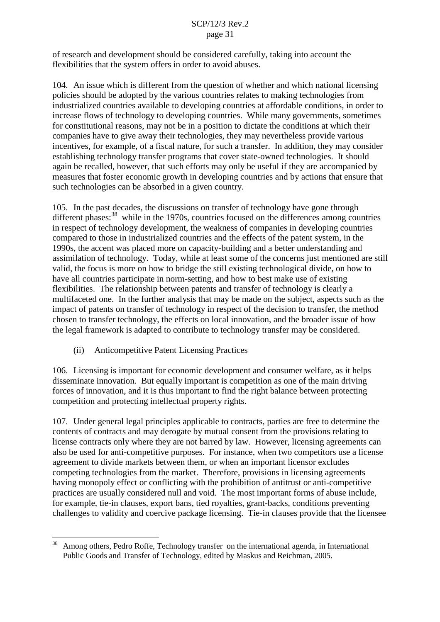of research and development should be considered carefully, taking into account the flexibilities that the system offers in order to avoid abuses.

104. An issue which is different from the question of whether and which national licensing policies should be adopted by the various countries relates to making technologies from industrialized countries available to developing countries at affordable conditions, in order to increase flows of technology to developing countries. While many governments, sometimes for constitutional reasons, may not be in a position to dictate the conditions at which their companies have to give away their technologies, they may nevertheless provide various incentives, for example, of a fiscal nature, for such a transfer. In addition, they may consider establishing technology transfer programs that cover state-owned technologies. It should again be recalled, however, that such efforts may only be useful if they are accompanied by measures that foster economic growth in developing countries and by actions that ensure that such technologies can be absorbed in a given country.

105. In the past decades, the discussions on transfer of technology have gone through different phases:<sup>38</sup> while in the 1970s, countries focused on the differences among countries in respect of technology development, the weakness of companies in developing countries compared to those in industrialized countries and the effects of the patent system, in the 1990s, the accent was placed more on capacity-building and a better understanding and assimilation of technology. Today, while at least some of the concerns just mentioned are still valid, the focus is more on how to bridge the still existing technological divide, on how to have all countries participate in norm-setting, and how to best make use of existing flexibilities. The relationship between patents and transfer of technology is clearly a multifaceted one. In the further analysis that may be made on the subject, aspects such as the impact of patents on transfer of technology in respect of the decision to transfer, the method chosen to transfer technology, the effects on local innovation, and the broader issue of how the legal framework is adapted to contribute to technology transfer may be considered.

(ii) Anticompetitive Patent Licensing Practices

106. Licensing is important for economic development and consumer welfare, as it helps disseminate innovation. But equally important is competition as one of the main driving forces of innovation, and it is thus important to find the right balance between protecting competition and protecting intellectual property rights.

107. Under general legal principles applicable to contracts, parties are free to determine the contents of contracts and may derogate by mutual consent from the provisions relating to license contracts only where they are not barred by law. However, licensing agreements can also be used for anti-competitive purposes. For instance, when two competitors use a license agreement to divide markets between them, or when an important licensor excludes competing technologies from the market. Therefore, provisions in licensing agreements having monopoly effect or conflicting with the prohibition of antitrust or anti-competitive practices are usually considered null and void. The most important forms of abuse include, for example, tie-in clauses, export bans, tied royalties, grant-backs, conditions preventing challenges to validity and coercive package licensing. Tie-in clauses provide that the licensee

<sup>38</sup> Among others, Pedro Roffe, Technology transfer on the international agenda, in International Public Goods and Transfer of Technology, edited by Maskus and Reichman, 2005.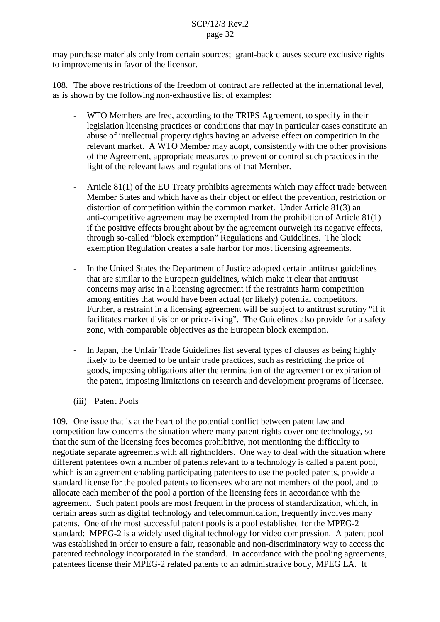may purchase materials only from certain sources; grant-back clauses secure exclusive rights to improvements in favor of the licensor.

108. The above restrictions of the freedom of contract are reflected at the international level, as is shown by the following non-exhaustive list of examples:

- WTO Members are free, according to the TRIPS Agreement, to specify in their legislation licensing practices or conditions that may in particular cases constitute an abuse of intellectual property rights having an adverse effect on competition in the relevant market. A WTO Member may adopt, consistently with the other provisions of the Agreement, appropriate measures to prevent or control such practices in the light of the relevant laws and regulations of that Member.
- Article 81(1) of the EU Treaty prohibits agreements which may affect trade between Member States and which have as their object or effect the prevention, restriction or distortion of competition within the common market. Under Article 81(3) an anti-competitive agreement may be exempted from the prohibition of Article 81(1) if the positive effects brought about by the agreement outweigh its negative effects, through so-called "block exemption" Regulations and Guidelines. The block exemption Regulation creates a safe harbor for most licensing agreements.
- In the United States the Department of Justice adopted certain antitrust guidelines that are similar to the European guidelines, which make it clear that antitrust concerns may arise in a licensing agreement if the restraints harm competition among entities that would have been actual (or likely) potential competitors. Further, a restraint in a licensing agreement will be subject to antitrust scrutiny "if it facilitates market division or price-fixing". The Guidelines also provide for a safety zone, with comparable objectives as the European block exemption.
- In Japan, the Unfair Trade Guidelines list several types of clauses as being highly likely to be deemed to be unfair trade practices, such as restricting the price of goods, imposing obligations after the termination of the agreement or expiration of the patent, imposing limitations on research and development programs of licensee.
- (iii) Patent Pools

109. One issue that is at the heart of the potential conflict between patent law and competition law concerns the situation where many patent rights cover one technology, so that the sum of the licensing fees becomes prohibitive, not mentioning the difficulty to negotiate separate agreements with all rightholders. One way to deal with the situation where different patentees own a number of patents relevant to a technology is called a patent pool, which is an agreement enabling participating patentees to use the pooled patents, provide a standard license for the pooled patents to licensees who are not members of the pool, and to allocate each member of the pool a portion of the licensing fees in accordance with the agreement. Such patent pools are most frequent in the process of standardization, which, in certain areas such as digital technology and telecommunication, frequently involves many patents. One of the most successful patent pools is a pool established for the MPEG-2 standard: MPEG-2 is a widely used digital technology for video compression. A patent pool was established in order to ensure a fair, reasonable and non-discriminatory way to access the patented technology incorporated in the standard. In accordance with the pooling agreements, patentees license their MPEG-2 related patents to an administrative body, MPEG LA. It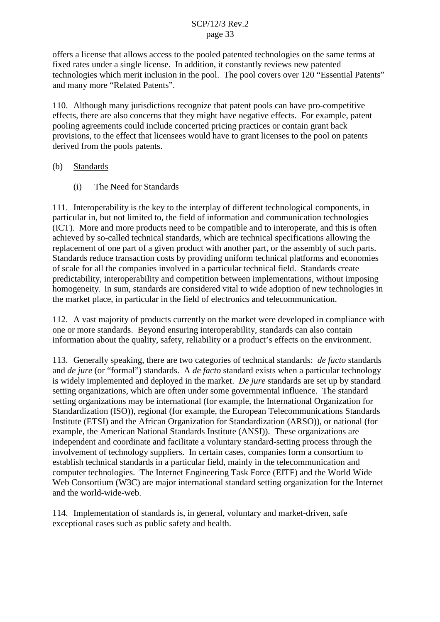offers a license that allows access to the pooled patented technologies on the same terms at fixed rates under a single license. In addition, it constantly reviews new patented technologies which merit inclusion in the pool. The pool covers over 120 "Essential Patents" and many more "Related Patents".

110. Although many jurisdictions recognize that patent pools can have pro-competitive effects, there are also concerns that they might have negative effects. For example, patent pooling agreements could include concerted pricing practices or contain grant back provisions, to the effect that licensees would have to grant licenses to the pool on patents derived from the pools patents.

## (b) Standards

(i) The Need for Standards

111. Interoperability is the key to the interplay of different technological components, in particular in, but not limited to, the field of information and communication technologies (ICT). More and more products need to be compatible and to interoperate, and this is often achieved by so-called technical standards, which are technical specifications allowing the replacement of one part of a given product with another part, or the assembly of such parts. Standards reduce transaction costs by providing uniform technical platforms and economies of scale for all the companies involved in a particular technical field. Standards create predictability, interoperability and competition between implementations, without imposing homogeneity. In sum, standards are considered vital to wide adoption of new technologies in the market place, in particular in the field of electronics and telecommunication.

112. A vast majority of products currently on the market were developed in compliance with one or more standards. Beyond ensuring interoperability, standards can also contain information about the quality, safety, reliability or a product's effects on the environment.

113. Generally speaking, there are two categories of technical standards: *de facto* standards and *de jure* (or "formal") standards. A *de facto* standard exists when a particular technology is widely implemented and deployed in the market. *De jure* standards are set up by standard setting organizations, which are often under some governmental influence. The standard setting organizations may be international (for example, the International Organization for Standardization (ISO)), regional (for example, the European Telecommunications Standards Institute (ETSI) and the African Organization for Standardization (ARSO)), or national (for example, the American National Standards Institute (ANSI)). These organizations are independent and coordinate and facilitate a voluntary standard-setting process through the involvement of technology suppliers. In certain cases, companies form a consortium to establish technical standards in a particular field, mainly in the telecommunication and computer technologies. The Internet Engineering Task Force (EITF) and the World Wide Web Consortium (W3C) are major international standard setting organization for the Internet and the world-wide-web.

114. Implementation of standards is, in general, voluntary and market-driven, safe exceptional cases such as public safety and health.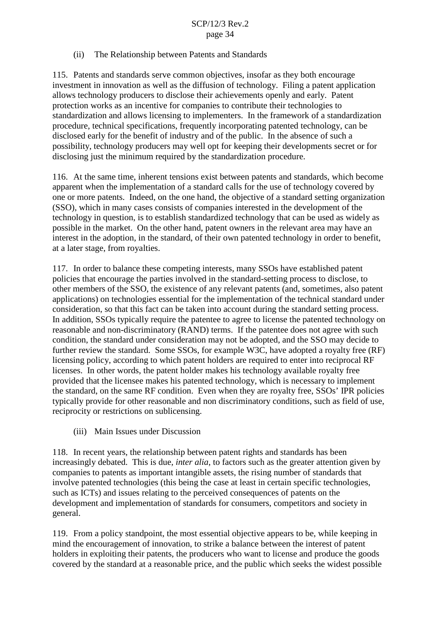## (ii) The Relationship between Patents and Standards

115. Patents and standards serve common objectives, insofar as they both encourage investment in innovation as well as the diffusion of technology. Filing a patent application allows technology producers to disclose their achievements openly and early. Patent protection works as an incentive for companies to contribute their technologies to standardization and allows licensing to implementers. In the framework of a standardization procedure, technical specifications, frequently incorporating patented technology, can be disclosed early for the benefit of industry and of the public. In the absence of such a possibility, technology producers may well opt for keeping their developments secret or for disclosing just the minimum required by the standardization procedure.

116. At the same time, inherent tensions exist between patents and standards, which become apparent when the implementation of a standard calls for the use of technology covered by one or more patents. Indeed, on the one hand, the objective of a standard setting organization (SSO), which in many cases consists of companies interested in the development of the technology in question, is to establish standardized technology that can be used as widely as possible in the market. On the other hand, patent owners in the relevant area may have an interest in the adoption, in the standard, of their own patented technology in order to benefit, at a later stage, from royalties.

117. In order to balance these competing interests, many SSOs have established patent policies that encourage the parties involved in the standard-setting process to disclose, to other members of the SSO, the existence of any relevant patents (and, sometimes, also patent applications) on technologies essential for the implementation of the technical standard under consideration, so that this fact can be taken into account during the standard setting process. In addition, SSOs typically require the patentee to agree to license the patented technology on reasonable and non-discriminatory (RAND) terms. If the patentee does not agree with such condition, the standard under consideration may not be adopted, and the SSO may decide to further review the standard. Some SSOs, for example W3C, have adopted a royalty free (RF) licensing policy, according to which patent holders are required to enter into reciprocal RF licenses. In other words, the patent holder makes his technology available royalty free provided that the licensee makes his patented technology, which is necessary to implement the standard, on the same RF condition. Even when they are royalty free, SSOs' IPR policies typically provide for other reasonable and non discriminatory conditions, such as field of use, reciprocity or restrictions on sublicensing.

(iii) Main Issues under Discussion

118. In recent years, the relationship between patent rights and standards has been increasingly debated. This is due, *inter alia*, to factors such as the greater attention given by companies to patents as important intangible assets, the rising number of standards that involve patented technologies (this being the case at least in certain specific technologies, such as ICTs) and issues relating to the perceived consequences of patents on the development and implementation of standards for consumers, competitors and society in general.

119. From a policy standpoint, the most essential objective appears to be, while keeping in mind the encouragement of innovation, to strike a balance between the interest of patent holders in exploiting their patents, the producers who want to license and produce the goods covered by the standard at a reasonable price, and the public which seeks the widest possible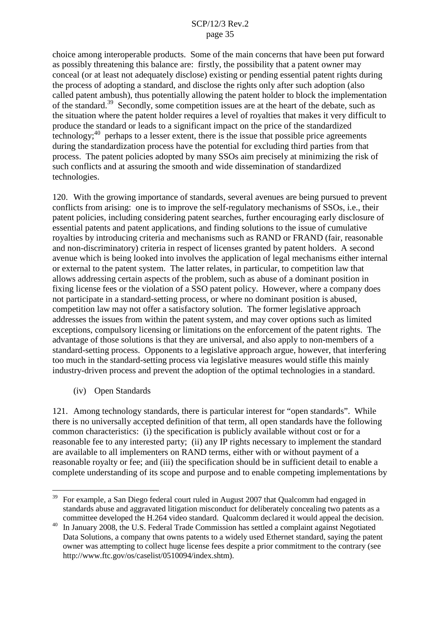choice among interoperable products. Some of the main concerns that have been put forward as possibly threatening this balance are: firstly, the possibility that a patent owner may conceal (or at least not adequately disclose) existing or pending essential patent rights during the process of adopting a standard, and disclose the rights only after such adoption (also called patent ambush), thus potentially allowing the patent holder to block the implementation of the standard.<sup>39</sup> Secondly, some competition issues are at the heart of the debate, such as the situation where the patent holder requires a level of royalties that makes it very difficult to produce the standard or leads to a significant impact on the price of the standardized  $\text{technology;}$ <sup>40</sup> perhaps to a lesser extent, there is the issue that possible price agreements during the standardization process have the potential for excluding third parties from that process. The patent policies adopted by many SSOs aim precisely at minimizing the risk of such conflicts and at assuring the smooth and wide dissemination of standardized technologies.

120. With the growing importance of standards, several avenues are being pursued to prevent conflicts from arising: one is to improve the self-regulatory mechanisms of SSOs, i.e., their patent policies, including considering patent searches, further encouraging early disclosure of essential patents and patent applications, and finding solutions to the issue of cumulative royalties by introducing criteria and mechanisms such as RAND or FRAND (fair, reasonable and non-discriminatory) criteria in respect of licenses granted by patent holders. A second avenue which is being looked into involves the application of legal mechanisms either internal or external to the patent system. The latter relates, in particular, to competition law that allows addressing certain aspects of the problem, such as abuse of a dominant position in fixing license fees or the violation of a SSO patent policy. However, where a company does not participate in a standard-setting process, or where no dominant position is abused, competition law may not offer a satisfactory solution. The former legislative approach addresses the issues from within the patent system, and may cover options such as limited exceptions, compulsory licensing or limitations on the enforcement of the patent rights. The advantage of those solutions is that they are universal, and also apply to non-members of a standard-setting process. Opponents to a legislative approach argue, however, that interfering too much in the standard-setting process via legislative measures would stifle this mainly industry-driven process and prevent the adoption of the optimal technologies in a standard.

(iv) Open Standards

121. Among technology standards, there is particular interest for "open standards". While there is no universally accepted definition of that term, all open standards have the following common characteristics: (i) the specification is publicly available without cost or for a reasonable fee to any interested party; (ii) any IP rights necessary to implement the standard are available to all implementers on RAND terms, either with or without payment of a reasonable royalty or fee; and (iii) the specification should be in sufficient detail to enable a complete understanding of its scope and purpose and to enable competing implementations by

<sup>&</sup>lt;sup>39</sup> For example, a San Diego federal court ruled in August 2007 that Qualcomm had engaged in standards abuse and aggravated litigation misconduct for deliberately concealing two patents as a committee developed the H.264 video standard. Qualcomm declared it would appeal the decision.

In January 2008, the U.S. Federal Trade Commission has settled a complaint against Negotiated Data Solutions, a company that owns patents to a widely used Ethernet standard, saying the patent owner was attempting to collect huge license fees despite a prior commitment to the contrary (see http://www.ftc.gov/os/caselist/0510094/index.shtm).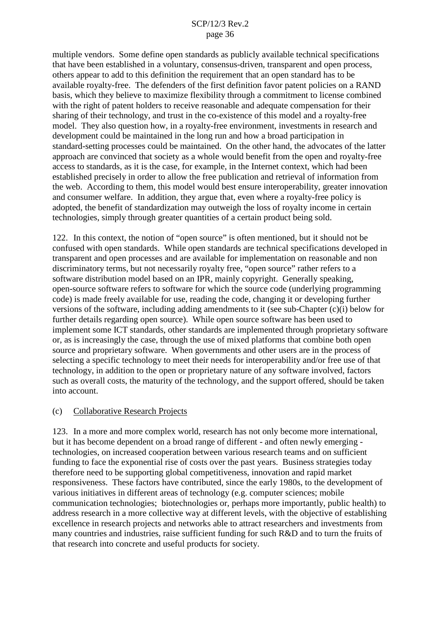multiple vendors. Some define open standards as publicly available technical specifications that have been established in a voluntary, consensus-driven, transparent and open process, others appear to add to this definition the requirement that an open standard has to be available royalty-free. The defenders of the first definition favor patent policies on a RAND basis, which they believe to maximize flexibility through a commitment to license combined with the right of patent holders to receive reasonable and adequate compensation for their sharing of their technology, and trust in the co-existence of this model and a royalty-free model. They also question how, in a royalty-free environment, investments in research and development could be maintained in the long run and how a broad participation in standard-setting processes could be maintained. On the other hand, the advocates of the latter approach are convinced that society as a whole would benefit from the open and royalty-free access to standards, as it is the case, for example, in the Internet context, which had been established precisely in order to allow the free publication and retrieval of information from the web. According to them, this model would best ensure interoperability, greater innovation and consumer welfare. In addition, they argue that, even where a royalty-free policy is adopted, the benefit of standardization may outweigh the loss of royalty income in certain technologies, simply through greater quantities of a certain product being sold.

122. In this context, the notion of "open source" is often mentioned, but it should not be confused with open standards. While open standards are technical specifications developed in transparent and open processes and are available for implementation on reasonable and non discriminatory terms, but not necessarily royalty free, "open source" rather refers to a software distribution model based on an IPR, mainly copyright. Generally speaking, open-source software refers to software for which the source code (underlying programming code) is made freely available for use, reading the code, changing it or developing further versions of the software, including adding amendments to it (see sub-Chapter (c)(i) below for further details regarding open source). While open source software has been used to implement some ICT standards, other standards are implemented through proprietary software or, as is increasingly the case, through the use of mixed platforms that combine both open source and proprietary software. When governments and other users are in the process of selecting a specific technology to meet their needs for interoperability and/or free use of that technology, in addition to the open or proprietary nature of any software involved, factors such as overall costs, the maturity of the technology, and the support offered, should be taken into account.

#### (c) Collaborative Research Projects

123. In a more and more complex world, research has not only become more international, but it has become dependent on a broad range of different - and often newly emerging technologies, on increased cooperation between various research teams and on sufficient funding to face the exponential rise of costs over the past years. Business strategies today therefore need to be supporting global competitiveness, innovation and rapid market responsiveness. These factors have contributed, since the early 1980s, to the development of various initiatives in different areas of technology (e.g. computer sciences; mobile communication technologies; biotechnologies or, perhaps more importantly, public health) to address research in a more collective way at different levels, with the objective of establishing excellence in research projects and networks able to attract researchers and investments from many countries and industries, raise sufficient funding for such R&D and to turn the fruits of that research into concrete and useful products for society.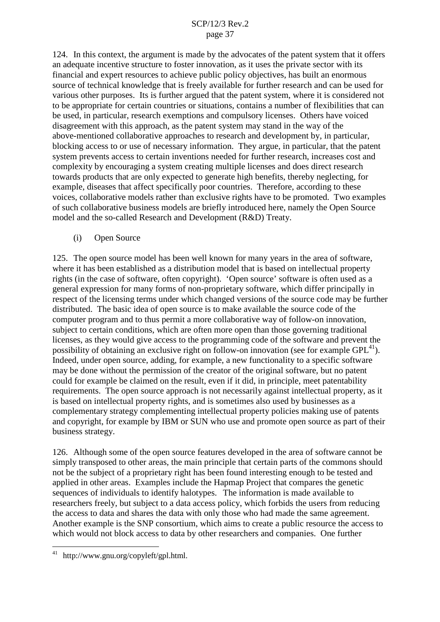124. In this context, the argument is made by the advocates of the patent system that it offers an adequate incentive structure to foster innovation, as it uses the private sector with its financial and expert resources to achieve public policy objectives, has built an enormous source of technical knowledge that is freely available for further research and can be used for various other purposes. Its is further argued that the patent system, where it is considered not to be appropriate for certain countries or situations, contains a number of flexibilities that can be used, in particular, research exemptions and compulsory licenses. Others have voiced disagreement with this approach, as the patent system may stand in the way of the above-mentioned collaborative approaches to research and development by, in particular, blocking access to or use of necessary information. They argue, in particular, that the patent system prevents access to certain inventions needed for further research, increases cost and complexity by encouraging a system creating multiple licenses and does direct research towards products that are only expected to generate high benefits, thereby neglecting, for example, diseases that affect specifically poor countries. Therefore, according to these voices, collaborative models rather than exclusive rights have to be promoted. Two examples of such collaborative business models are briefly introduced here, namely the Open Source model and the so-called Research and Development (R&D) Treaty.

(i) Open Source

125. The open source model has been well known for many years in the area of software, where it has been established as a distribution model that is based on intellectual property rights (in the case of software, often copyright). 'Open source' software is often used as a general expression for many forms of non-proprietary software, which differ principally in respect of the licensing terms under which changed versions of the source code may be further distributed. The basic idea of open source is to make available the source code of the computer program and to thus permit a more collaborative way of follow-on innovation, subject to certain conditions, which are often more open than those governing traditional licenses, as they would give access to the programming code of the software and prevent the possibility of obtaining an exclusive right on follow-on innovation (see for example  $GPL^{41}$ ). Indeed, under open source, adding, for example, a new functionality to a specific software may be done without the permission of the creator of the original software, but no patent could for example be claimed on the result, even if it did, in principle, meet patentability requirements. The open source approach is not necessarily against intellectual property, as it is based on intellectual property rights, and is sometimes also used by businesses as a complementary strategy complementing intellectual property policies making use of patents and copyright, for example by IBM or SUN who use and promote open source as part of their business strategy.

126. Although some of the open source features developed in the area of software cannot be simply transposed to other areas, the main principle that certain parts of the commons should not be the subject of a proprietary right has been found interesting enough to be tested and applied in other areas. Examples include the Hapmap Project that compares the genetic sequences of individuals to identify halotypes. The information is made available to researchers freely, but subject to a data access policy, which forbids the users from reducing the access to data and shares the data with only those who had made the same agreement. Another example is the SNP consortium, which aims to create a public resource the access to which would not block access to data by other researchers and companies. One further

<sup>41</sup> http://www.gnu.org/copyleft/gpl.html.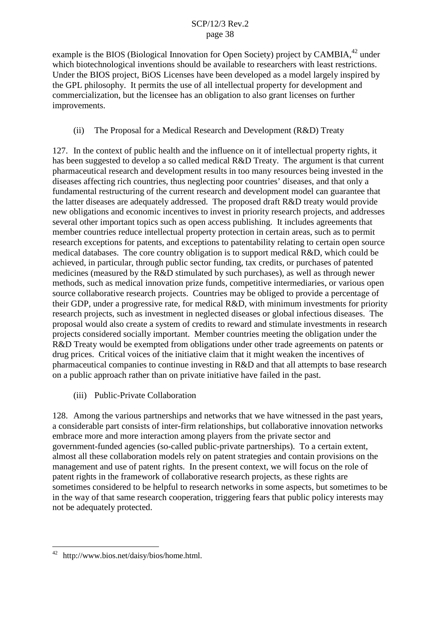example is the BIOS (Biological Innovation for Open Society) project by CAMBIA,<sup>42</sup> under which biotechnological inventions should be available to researchers with least restrictions. Under the BIOS project, BiOS Licenses have been developed as a model largely inspired by the GPL philosophy. It permits the use of all intellectual property for development and commercialization, but the licensee has an obligation to also grant licenses on further improvements.

## (ii) The Proposal for a Medical Research and Development (R&D) Treaty

127. In the context of public health and the influence on it of intellectual property rights, it has been suggested to develop a so called medical R&D Treaty. The argument is that current pharmaceutical research and development results in too many resources being invested in the diseases affecting rich countries, thus neglecting poor countries' diseases, and that only a fundamental restructuring of the current research and development model can guarantee that the latter diseases are adequately addressed. The proposed draft R&D treaty would provide new obligations and economic incentives to invest in priority research projects, and addresses several other important topics such as open access publishing. It includes agreements that member countries reduce intellectual property protection in certain areas, such as to permit research exceptions for patents, and exceptions to patentability relating to certain open source medical databases. The core country obligation is to support medical R&D, which could be achieved, in particular, through public sector funding, tax credits, or purchases of patented medicines (measured by the R&D stimulated by such purchases), as well as through newer methods, such as medical innovation prize funds, competitive intermediaries, or various open source collaborative research projects. Countries may be obliged to provide a percentage of their GDP, under a progressive rate, for medical R&D, with minimum investments for priority research projects, such as investment in neglected diseases or global infectious diseases. The proposal would also create a system of credits to reward and stimulate investments in research projects considered socially important. Member countries meeting the obligation under the R&D Treaty would be exempted from obligations under other trade agreements on patents or drug prices. Critical voices of the initiative claim that it might weaken the incentives of pharmaceutical companies to continue investing in R&D and that all attempts to base research on a public approach rather than on private initiative have failed in the past.

(iii) Public-Private Collaboration

128. Among the various partnerships and networks that we have witnessed in the past years, a considerable part consists of inter-firm relationships, but collaborative innovation networks embrace more and more interaction among players from the private sector and government-funded agencies (so-called public-private partnerships). To a certain extent, almost all these collaboration models rely on patent strategies and contain provisions on the management and use of patent rights. In the present context, we will focus on the role of patent rights in the framework of collaborative research projects, as these rights are sometimes considered to be helpful to research networks in some aspects, but sometimes to be in the way of that same research cooperation, triggering fears that public policy interests may not be adequately protected.

<sup>42</sup> http://www.bios.net/daisy/bios/home.html.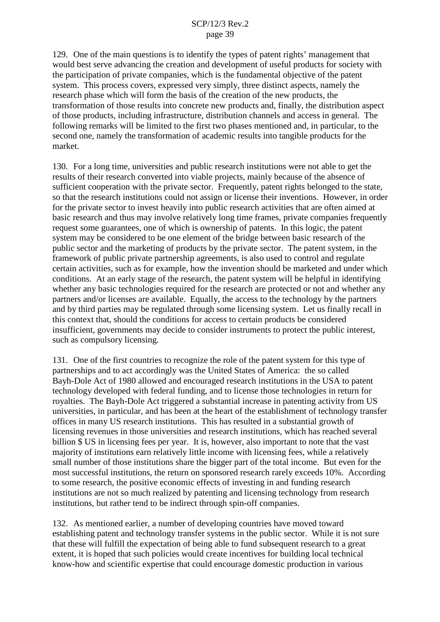129. One of the main questions is to identify the types of patent rights' management that would best serve advancing the creation and development of useful products for society with the participation of private companies, which is the fundamental objective of the patent system. This process covers, expressed very simply, three distinct aspects, namely the research phase which will form the basis of the creation of the new products, the transformation of those results into concrete new products and, finally, the distribution aspect of those products, including infrastructure, distribution channels and access in general. The following remarks will be limited to the first two phases mentioned and, in particular, to the second one, namely the transformation of academic results into tangible products for the market.

130. For a long time, universities and public research institutions were not able to get the results of their research converted into viable projects, mainly because of the absence of sufficient cooperation with the private sector. Frequently, patent rights belonged to the state, so that the research institutions could not assign or license their inventions. However, in order for the private sector to invest heavily into public research activities that are often aimed at basic research and thus may involve relatively long time frames, private companies frequently request some guarantees, one of which is ownership of patents. In this logic, the patent system may be considered to be one element of the bridge between basic research of the public sector and the marketing of products by the private sector. The patent system, in the framework of public private partnership agreements, is also used to control and regulate certain activities, such as for example, how the invention should be marketed and under which conditions. At an early stage of the research, the patent system will be helpful in identifying whether any basic technologies required for the research are protected or not and whether any partners and/or licenses are available. Equally, the access to the technology by the partners and by third parties may be regulated through some licensing system. Let us finally recall in this context that, should the conditions for access to certain products be considered insufficient, governments may decide to consider instruments to protect the public interest, such as compulsory licensing.

131. One of the first countries to recognize the role of the patent system for this type of partnerships and to act accordingly was the United States of America: the so called Bayh-Dole Act of 1980 allowed and encouraged research institutions in the USA to patent technology developed with federal funding, and to license those technologies in return for royalties. The Bayh-Dole Act triggered a substantial increase in patenting activity from US universities, in particular, and has been at the heart of the establishment of technology transfer offices in many US research institutions. This has resulted in a substantial growth of licensing revenues in those universities and research institutions, which has reached several billion \$ US in licensing fees per year. It is, however, also important to note that the vast majority of institutions earn relatively little income with licensing fees, while a relatively small number of those institutions share the bigger part of the total income. But even for the most successful institutions, the return on sponsored research rarely exceeds 10%. According to some research, the positive economic effects of investing in and funding research institutions are not so much realized by patenting and licensing technology from research institutions, but rather tend to be indirect through spin-off companies.

132. As mentioned earlier, a number of developing countries have moved toward establishing patent and technology transfer systems in the public sector. While it is not sure that these will fulfill the expectation of being able to fund subsequent research to a great extent, it is hoped that such policies would create incentives for building local technical know-how and scientific expertise that could encourage domestic production in various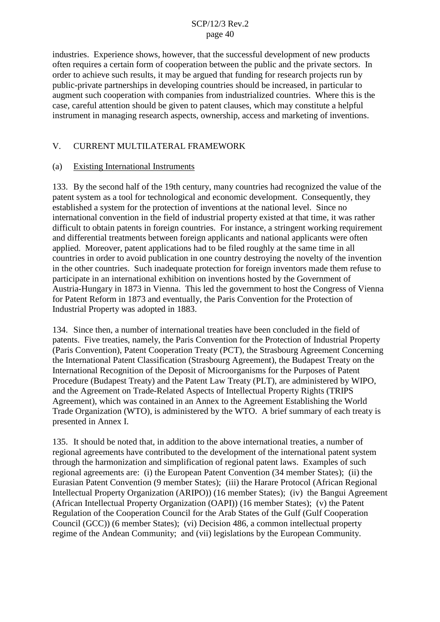industries. Experience shows, however, that the successful development of new products often requires a certain form of cooperation between the public and the private sectors. In order to achieve such results, it may be argued that funding for research projects run by public-private partnerships in developing countries should be increased, in particular to augment such cooperation with companies from industrialized countries. Where this is the case, careful attention should be given to patent clauses, which may constitute a helpful instrument in managing research aspects, ownership, access and marketing of inventions.

## V. CURRENT MULTILATERAL FRAMEWORK

#### (a) Existing International Instruments

133. By the second half of the 19th century, many countries had recognized the value of the patent system as a tool for technological and economic development. Consequently, they established a system for the protection of inventions at the national level. Since no international convention in the field of industrial property existed at that time, it was rather difficult to obtain patents in foreign countries. For instance, a stringent working requirement and differential treatments between foreign applicants and national applicants were often applied. Moreover, patent applications had to be filed roughly at the same time in all countries in order to avoid publication in one country destroying the novelty of the invention in the other countries. Such inadequate protection for foreign inventors made them refuse to participate in an international exhibition on inventions hosted by the Government of Austria-Hungary in 1873 in Vienna. This led the government to host the Congress of Vienna for Patent Reform in 1873 and eventually, the Paris Convention for the Protection of Industrial Property was adopted in 1883.

134. Since then, a number of international treaties have been concluded in the field of patents. Five treaties, namely, the Paris Convention for the Protection of Industrial Property (Paris Convention), Patent Cooperation Treaty (PCT), the Strasbourg Agreement Concerning the International Patent Classification (Strasbourg Agreement), the Budapest Treaty on the International Recognition of the Deposit of Microorganisms for the Purposes of Patent Procedure (Budapest Treaty) and the Patent Law Treaty (PLT), are administered by WIPO, and the Agreement on Trade-Related Aspects of Intellectual Property Rights (TRIPS Agreement), which was contained in an Annex to the Agreement Establishing the World Trade Organization (WTO), is administered by the WTO. A brief summary of each treaty is presented in Annex I.

135. It should be noted that, in addition to the above international treaties, a number of regional agreements have contributed to the development of the international patent system through the harmonization and simplification of regional patent laws. Examples of such regional agreements are: (i) the European Patent Convention (34 member States); (ii) the Eurasian Patent Convention (9 member States); (iii) the Harare Protocol (African Regional Intellectual Property Organization (ARIPO)) (16 member States); (iv) the Bangui Agreement (African Intellectual Property Organization (OAPI)) (16 member States); (v) the Patent Regulation of the Cooperation Council for the Arab States of the Gulf (Gulf Cooperation Council (GCC)) (6 member States); (vi) Decision 486, a common intellectual property regime of the Andean Community; and (vii) legislations by the European Community.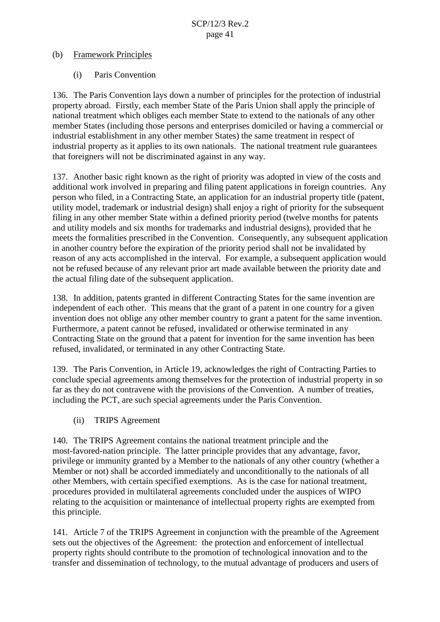## (b) Framework Principles

(i) Paris Convention

136. The Paris Convention lays down a number of principles for the protection of industrial property abroad. Firstly, each member State of the Paris Union shall apply the principle of national treatment which obliges each member State to extend to the nationals of any other member States (including those persons and enterprises domiciled or having a commercial or industrial establishment in any other member States) the same treatment in respect of industrial property as it applies to its own nationals. The national treatment rule guarantees that foreigners will not be discriminated against in any way.

137. Another basic right known as the right of priority was adopted in view of the costs and additional work involved in preparing and filing patent applications in foreign countries. Any person who filed, in a Contracting State, an application for an industrial property title (patent, utility model, trademark or industrial design) shall enjoy a right of priority for the subsequent filing in any other member State within a defined priority period (twelve months for patents and utility models and six months for trademarks and industrial designs), provided that he meets the formalities prescribed in the Convention. Consequently, any subsequent application in another country before the expiration of the priority period shall not be invalidated by reason of any acts accomplished in the interval. For example, a subsequent application would not be refused because of any relevant prior art made available between the priority date and the actual filing date of the subsequent application.

138. In addition, patents granted in different Contracting States for the same invention are independent of each other. This means that the grant of a patent in one country for a given invention does not oblige any other member country to grant a patent for the same invention. Furthermore, a patent cannot be refused, invalidated or otherwise terminated in any Contracting State on the ground that a patent for invention for the same invention has been refused, invalidated, or terminated in any other Contracting State.

139. The Paris Convention, in Article 19, acknowledges the right of Contracting Parties to conclude special agreements among themselves for the protection of industrial property in so far as they do not contravene with the provisions of the Convention. A number of treaties, including the PCT, are such special agreements under the Paris Convention.

(ii) TRIPS Agreement

140. The TRIPS Agreement contains the national treatment principle and the most-favored-nation principle. The latter principle provides that any advantage, favor, privilege or immunity granted by a Member to the nationals of any other country (whether a Member or not) shall be accorded immediately and unconditionally to the nationals of all other Members, with certain specified exemptions. As is the case for national treatment, procedures provided in multilateral agreements concluded under the auspices of WIPO relating to the acquisition or maintenance of intellectual property rights are exempted from this principle.

141. Article 7 of the TRIPS Agreement in conjunction with the preamble of the Agreement sets out the objectives of the Agreement: the protection and enforcement of intellectual property rights should contribute to the promotion of technological innovation and to the transfer and dissemination of technology, to the mutual advantage of producers and users of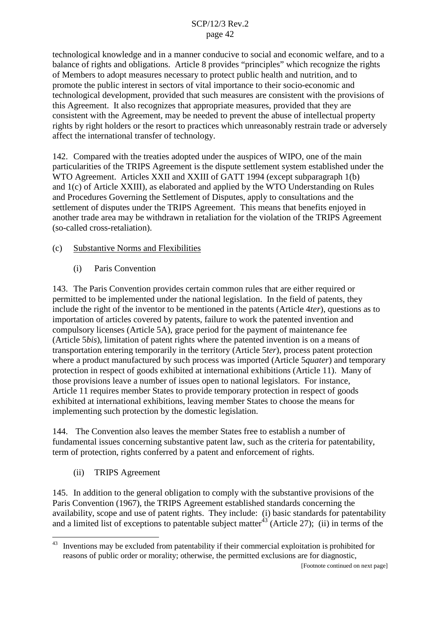technological knowledge and in a manner conducive to social and economic welfare, and to a balance of rights and obligations. Article 8 provides "principles" which recognize the rights of Members to adopt measures necessary to protect public health and nutrition, and to promote the public interest in sectors of vital importance to their socio-economic and technological development, provided that such measures are consistent with the provisions of this Agreement. It also recognizes that appropriate measures, provided that they are consistent with the Agreement, may be needed to prevent the abuse of intellectual property rights by right holders or the resort to practices which unreasonably restrain trade or adversely affect the international transfer of technology.

142. Compared with the treaties adopted under the auspices of WIPO, one of the main particularities of the TRIPS Agreement is the dispute settlement system established under the WTO Agreement. Articles XXII and XXIII of GATT 1994 (except subparagraph 1(b) and 1(c) of Article XXIII), as elaborated and applied by the WTO Understanding on Rules and Procedures Governing the Settlement of Disputes, apply to consultations and the settlement of disputes under the TRIPS Agreement. This means that benefits enjoyed in another trade area may be withdrawn in retaliation for the violation of the TRIPS Agreement (so-called cross-retaliation).

## (c) Substantive Norms and Flexibilities

(i) Paris Convention

143. The Paris Convention provides certain common rules that are either required or permitted to be implemented under the national legislation. In the field of patents, they include the right of the inventor to be mentioned in the patents (Article 4*ter*), questions as to importation of articles covered by patents, failure to work the patented invention and compulsory licenses (Article 5A), grace period for the payment of maintenance fee (Article 5*bis*), limitation of patent rights where the patented invention is on a means of transportation entering temporarily in the territory (Article 5*ter*), process patent protection where a product manufactured by such process was imported (Article 5*quater*) and temporary protection in respect of goods exhibited at international exhibitions (Article 11). Many of those provisions leave a number of issues open to national legislators. For instance, Article 11 requires member States to provide temporary protection in respect of goods exhibited at international exhibitions, leaving member States to choose the means for implementing such protection by the domestic legislation.

144. The Convention also leaves the member States free to establish a number of fundamental issues concerning substantive patent law, such as the criteria for patentability, term of protection, rights conferred by a patent and enforcement of rights.

(ii) TRIPS Agreement

145. In addition to the general obligation to comply with the substantive provisions of the Paris Convention (1967), the TRIPS Agreement established standards concerning the availability, scope and use of patent rights. They include: (i) basic standards for patentability and a limited list of exceptions to patentable subject matter<sup>43</sup> (Article 27); (ii) in terms of the

Inventions may be excluded from patentability if their commercial exploitation is prohibited for reasons of public order or morality; otherwise, the permitted exclusions are for diagnostic,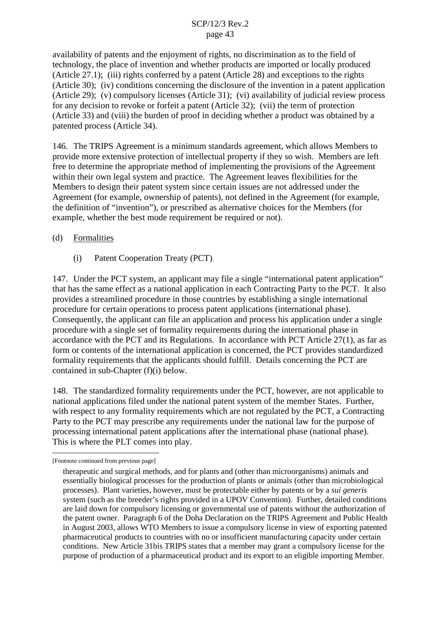availability of patents and the enjoyment of rights, no discrimination as to the field of technology, the place of invention and whether products are imported or locally produced (Article 27.1); (iii) rights conferred by a patent (Article 28) and exceptions to the rights (Article 30); (iv) conditions concerning the disclosure of the invention in a patent application (Article 29); (v) compulsory licenses (Article 31); (vi) availability of judicial review process for any decision to revoke or forfeit a patent (Article 32); (vii) the term of protection (Article 33) and (viii) the burden of proof in deciding whether a product was obtained by a patented process (Article 34).

146. The TRIPS Agreement is a minimum standards agreement, which allows Members to provide more extensive protection of intellectual property if they so wish. Members are left free to determine the appropriate method of implementing the provisions of the Agreement within their own legal system and practice. The Agreement leaves flexibilities for the Members to design their patent system since certain issues are not addressed under the Agreement (for example, ownership of patents), not defined in the Agreement (for example, the definition of "invention"), or prescribed as alternative choices for the Members (for example, whether the best mode requirement be required or not).

### (d) Formalities

(i) Patent Cooperation Treaty (PCT)

147. Under the PCT system, an applicant may file a single "international patent application" that has the same effect as a national application in each Contracting Party to the PCT. It also provides a streamlined procedure in those countries by establishing a single international procedure for certain operations to process patent applications (international phase). Consequently, the applicant can file an application and process his application under a single procedure with a single set of formality requirements during the international phase in accordance with the PCT and its Regulations. In accordance with PCT Article 27(1), as far as form or contents of the international application is concerned, the PCT provides standardized formality requirements that the applicants should fulfill. Details concerning the PCT are contained in sub-Chapter (f)(i) below.

148. The standardized formality requirements under the PCT, however, are not applicable to national applications filed under the national patent system of the member States. Further, with respect to any formality requirements which are not regulated by the PCT, a Contracting Party to the PCT may prescribe any requirements under the national law for the purpose of processing international patent applications after the international phase (national phase). This is where the PLT comes into play.

<sup>[</sup>Footnote continued from previous page]

therapeutic and surgical methods, and for plants and (other than microorganisms) animals and essentially biological processes for the production of plants or animals (other than microbiological processes). Plant varieties, however, must be protectable either by patents or by a *sui generis* system (such as the breeder's rights provided in a UPOV Convention). Further, detailed conditions are laid down for compulsory licensing or governmental use of patents without the authorization of the patent owner. Paragraph 6 of the Doha Declaration on the TRIPS Agreement and Public Health in August 2003, allows WTO Members to issue a compulsory license in view of exporting patented pharmaceutical products to countries with no or insufficient manufacturing capacity under certain conditions. New Article 31bis TRIPS states that a member may grant a compulsory license for the purpose of production of a pharmaceutical product and its export to an eligible importing Member.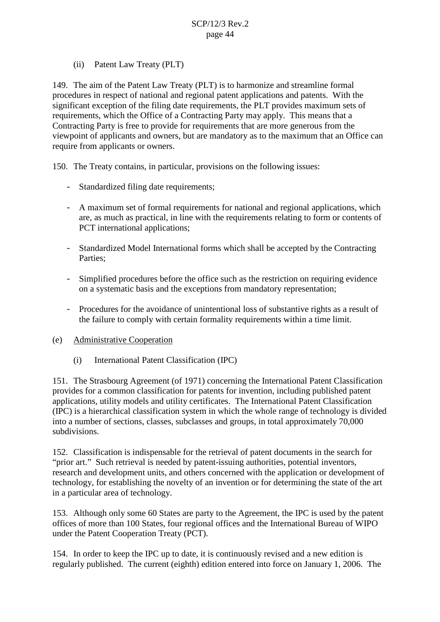(ii) Patent Law Treaty (PLT)

149. The aim of the Patent Law Treaty (PLT) is to harmonize and streamline formal procedures in respect of national and regional patent applications and patents. With the significant exception of the filing date requirements, the PLT provides maximum sets of requirements, which the Office of a Contracting Party may apply. This means that a Contracting Party is free to provide for requirements that are more generous from the viewpoint of applicants and owners, but are mandatory as to the maximum that an Office can require from applicants or owners.

150. The Treaty contains, in particular, provisions on the following issues:

- Standardized filing date requirements;
- A maximum set of formal requirements for national and regional applications, which are, as much as practical, in line with the requirements relating to form or contents of PCT international applications;
- Standardized Model International forms which shall be accepted by the Contracting Parties;
- Simplified procedures before the office such as the restriction on requiring evidence on a systematic basis and the exceptions from mandatory representation;
- Procedures for the avoidance of unintentional loss of substantive rights as a result of the failure to comply with certain formality requirements within a time limit.
- (e) Administrative Cooperation
	- (i) International Patent Classification (IPC)

151. The Strasbourg Agreement (of 1971) concerning the International Patent Classification provides for a common classification for patents for invention, including published patent applications, utility models and utility certificates. The International Patent Classification (IPC) is a hierarchical classification system in which the whole range of technology is divided into a number of sections, classes, subclasses and groups, in total approximately 70,000 subdivisions.

152. Classification is indispensable for the retrieval of patent documents in the search for "prior art." Such retrieval is needed by patent-issuing authorities, potential inventors, research and development units, and others concerned with the application or development of technology, for establishing the novelty of an invention or for determining the state of the art in a particular area of technology.

153. Although only some 60 States are party to the Agreement, the IPC is used by the patent offices of more than 100 States, four regional offices and the International Bureau of WIPO under the Patent Cooperation Treaty (PCT).

154. In order to keep the IPC up to date, it is continuously revised and a new edition is regularly published. The current (eighth) edition entered into force on January 1, 2006. The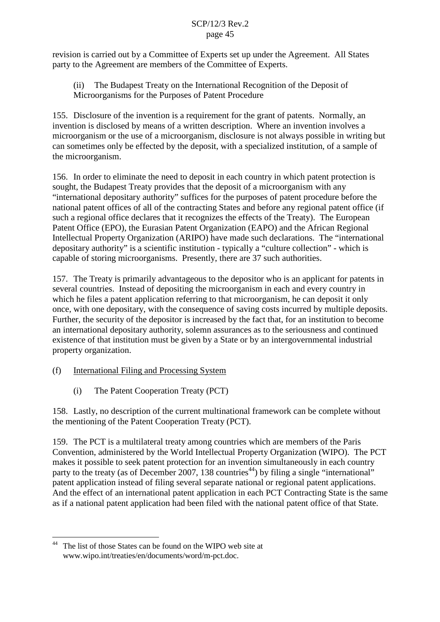revision is carried out by a Committee of Experts set up under the Agreement. All States party to the Agreement are members of the Committee of Experts.

(ii) The Budapest Treaty on the International Recognition of the Deposit of Microorganisms for the Purposes of Patent Procedure

155. Disclosure of the invention is a requirement for the grant of patents. Normally, an invention is disclosed by means of a written description. Where an invention involves a microorganism or the use of a microorganism, disclosure is not always possible in writing but can sometimes only be effected by the deposit, with a specialized institution, of a sample of the microorganism.

156. In order to eliminate the need to deposit in each country in which patent protection is sought, the Budapest Treaty provides that the deposit of a microorganism with any "international depositary authority" suffices for the purposes of patent procedure before the national patent offices of all of the contracting States and before any regional patent office (if such a regional office declares that it recognizes the effects of the Treaty). The European Patent Office (EPO), the Eurasian Patent Organization (EAPO) and the African Regional Intellectual Property Organization (ARIPO) have made such declarations. The "international depositary authority" is a scientific institution - typically a "culture collection" - which is capable of storing microorganisms. Presently, there are 37 such authorities.

157. The Treaty is primarily advantageous to the depositor who is an applicant for patents in several countries. Instead of depositing the microorganism in each and every country in which he files a patent application referring to that microorganism, he can deposit it only once, with one depositary, with the consequence of saving costs incurred by multiple deposits. Further, the security of the depositor is increased by the fact that, for an institution to become an international depositary authority, solemn assurances as to the seriousness and continued existence of that institution must be given by a State or by an intergovernmental industrial property organization.

(f) International Filing and Processing System

(i) The Patent Cooperation Treaty (PCT)

158. Lastly, no description of the current multinational framework can be complete without the mentioning of the Patent Cooperation Treaty (PCT).

159. The PCT is a multilateral treaty among countries which are members of the Paris Convention, administered by the World Intellectual Property Organization (WIPO). The PCT makes it possible to seek patent protection for an invention simultaneously in each country party to the treaty (as of December 2007, 138 countries<sup>44</sup>) by filing a single "international" patent application instead of filing several separate national or regional patent applications. And the effect of an international patent application in each PCT Contracting State is the same as if a national patent application had been filed with the national patent office of that State.

The list of those States can be found on the WIPO web site at www.wipo.int/treaties/en/documents/word/m-pct.doc.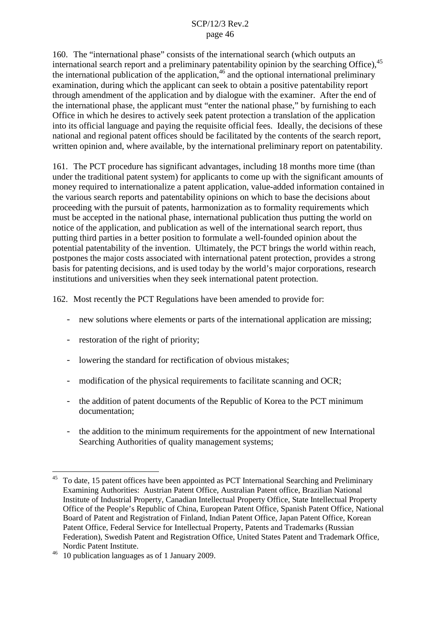160. The "international phase" consists of the international search (which outputs an international search report and a preliminary patentability opinion by the searching Office),<sup>45</sup> the international publication of the application, <sup>46</sup> and the optional international preliminary examination, during which the applicant can seek to obtain a positive patentability report through amendment of the application and by dialogue with the examiner. After the end of the international phase, the applicant must "enter the national phase," by furnishing to each Office in which he desires to actively seek patent protection a translation of the application into its official language and paying the requisite official fees. Ideally, the decisions of these national and regional patent offices should be facilitated by the contents of the search report, written opinion and, where available, by the international preliminary report on patentability.

161. The PCT procedure has significant advantages, including 18 months more time (than under the traditional patent system) for applicants to come up with the significant amounts of money required to internationalize a patent application, value-added information contained in the various search reports and patentability opinions on which to base the decisions about proceeding with the pursuit of patents, harmonization as to formality requirements which must be accepted in the national phase, international publication thus putting the world on notice of the application, and publication as well of the international search report, thus putting third parties in a better position to formulate a well-founded opinion about the potential patentability of the invention. Ultimately, the PCT brings the world within reach, postpones the major costs associated with international patent protection, provides a strong basis for patenting decisions, and is used today by the world's major corporations, research institutions and universities when they seek international patent protection.

162. Most recently the PCT Regulations have been amended to provide for:

- new solutions where elements or parts of the international application are missing;
- restoration of the right of priority;
- lowering the standard for rectification of obvious mistakes;
- modification of the physical requirements to facilitate scanning and OCR;
- the addition of patent documents of the Republic of Korea to the PCT minimum documentation;
- the addition to the minimum requirements for the appointment of new International Searching Authorities of quality management systems;

<sup>45</sup> To date, 15 patent offices have been appointed as PCT International Searching and Preliminary Examining Authorities: Austrian Patent Office, Australian Patent office, Brazilian National Institute of Industrial Property, Canadian Intellectual Property Office, State Intellectual Property Office of the People's Republic of China, European Patent Office, Spanish Patent Office, National Board of Patent and Registration of Finland, Indian Patent Office, Japan Patent Office, Korean Patent Office, Federal Service for Intellectual Property, Patents and Trademarks (Russian Federation), Swedish Patent and Registration Office, United States Patent and Trademark Office, Nordic Patent Institute. <sup>46</sup> <sup>10</sup> publication languages as of <sup>1</sup> January 2009.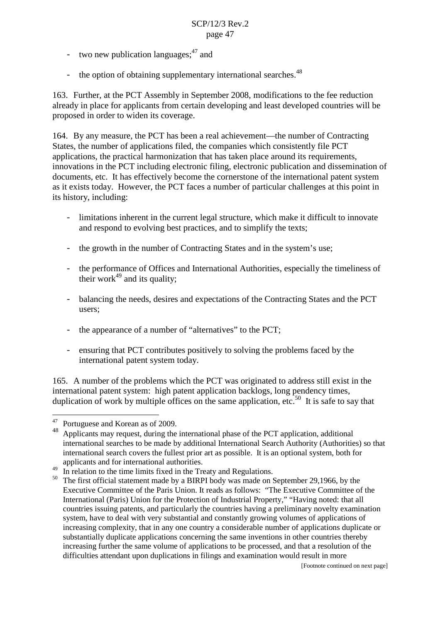- two new publication languages;<sup>47</sup> and
- the option of obtaining supplementary international searches.<sup>48</sup>

163. Further, at the PCT Assembly in September 2008, modifications to the fee reduction already in place for applicants from certain developing and least developed countries will be proposed in order to widen its coverage.

164. By any measure, the PCT has been a real achievement—the number of Contracting States, the number of applications filed, the companies which consistently file PCT applications, the practical harmonization that has taken place around its requirements, innovations in the PCT including electronic filing, electronic publication and dissemination of documents, etc. It has effectively become the cornerstone of the international patent system as it exists today. However, the PCT faces a number of particular challenges at this point in its history, including:

- limitations inherent in the current legal structure, which make it difficult to innovate and respond to evolving best practices, and to simplify the texts;
- the growth in the number of Contracting States and in the system's use;
- the performance of Offices and International Authorities, especially the timeliness of their work $49$  and its quality;
- balancing the needs, desires and expectations of the Contracting States and the PCT users;
- the appearance of a number of "alternatives" to the PCT;
- ensuring that PCT contributes positively to solving the problems faced by the international patent system today.

165. A number of the problems which the PCT was originated to address still exist in the international patent system: high patent application backlogs, long pendency times, duplication of work by multiple offices on the same application,  $etc.<sup>50</sup>$  It is safe to say that

<sup>&</sup>lt;sup>47</sup> Portuguese and Korean as of 2009.<br><sup>48</sup> Applicants may request, during the international phase of the PCT application, additional international searches to be made by additional International Search Authority (Authorities) so that international search covers the fullest prior art as possible. It is an optional system, both for

applicants and for international authorities.<br><sup>49</sup> In relation to the time limits fixed in the Treaty and Regulations.<br><sup>50</sup> The first official statement made by a BIRPI body was made on September 29,1966, by the Executive Committee of the Paris Union. It reads as follows: "The Executive Committee of the International (Paris) Union for the Protection of Industrial Property," "Having noted: that all countries issuing patents, and particularly the countries having a preliminary novelty examination system, have to deal with very substantial and constantly growing volumes of applications of increasing complexity, that in any one country a considerable number of applications duplicate or substantially duplicate applications concerning the same inventions in other countries thereby increasing further the same volume of applications to be processed, and that a resolution of the difficulties attendant upon duplications in filings and examination would result in more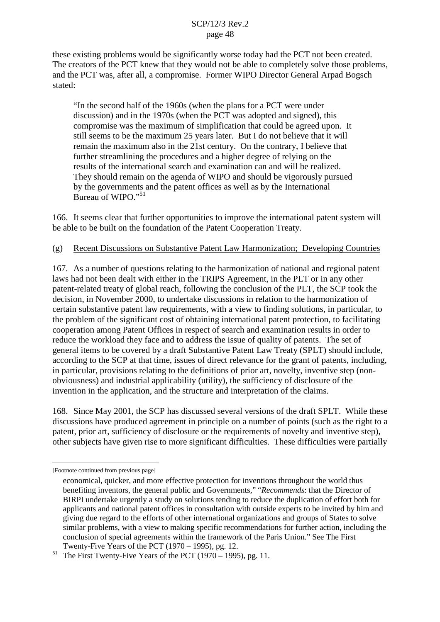these existing problems would be significantly worse today had the PCT not been created. The creators of the PCT knew that they would not be able to completely solve those problems, and the PCT was, after all, a compromise. Former WIPO Director General Arpad Bogsch stated:

"In the second half of the 1960s (when the plans for a PCT were under discussion) and in the 1970s (when the PCT was adopted and signed), this compromise was the maximum of simplification that could be agreed upon. It still seems to be the maximum 25 years later. But I do not believe that it will remain the maximum also in the 21st century. On the contrary, I believe that further streamlining the procedures and a higher degree of relying on the results of the international search and examination can and will be realized. They should remain on the agenda of WIPO and should be vigorously pursued by the governments and the patent offices as well as by the International Bureau of WIPO."<sup>51</sup>

166. It seems clear that further opportunities to improve the international patent system will be able to be built on the foundation of the Patent Cooperation Treaty.

## (g) Recent Discussions on Substantive Patent Law Harmonization; Developing Countries

167. As a number of questions relating to the harmonization of national and regional patent laws had not been dealt with either in the TRIPS Agreement, in the PLT or in any other patent-related treaty of global reach, following the conclusion of the PLT, the SCP took the decision, in November 2000, to undertake discussions in relation to the harmonization of certain substantive patent law requirements, with a view to finding solutions, in particular, to the problem of the significant cost of obtaining international patent protection, to facilitating cooperation among Patent Offices in respect of search and examination results in order to reduce the workload they face and to address the issue of quality of patents. The set of general items to be covered by a draft Substantive Patent Law Treaty (SPLT) should include, according to the SCP at that time, issues of direct relevance for the grant of patents, including, in particular, provisions relating to the definitions of prior art, novelty, inventive step (nonobviousness) and industrial applicability (utility), the sufficiency of disclosure of the invention in the application, and the structure and interpretation of the claims.

168. Since May 2001, the SCP has discussed several versions of the draft SPLT. While these discussions have produced agreement in principle on a number of points (such as the right to a patent, prior art, sufficiency of disclosure or the requirements of novelty and inventive step), other subjects have given rise to more significant difficulties. These difficulties were partially

<sup>[</sup>Footnote continued from previous page]

economical, quicker, and more effective protection for inventions throughout the world thus benefiting inventors, the general public and Governments," "*Recommends*: that the Director of BIRPI undertake urgently a study on solutions tending to reduce the duplication of effort both for applicants and national patent offices in consultation with outside experts to be invited by him and giving due regard to the efforts of other international organizations and groups of States to solve similar problems, with a view to making specific recommendations for further action, including the conclusion of special agreements within the framework of the Paris Union." See The First Twenty-Five Years of the PCT  $(1970 - 1995)$ , pg. 12.

<sup>&</sup>lt;sup>51</sup> The First Twenty-Five Years of the PCT (1970 – 1995), pg. 11.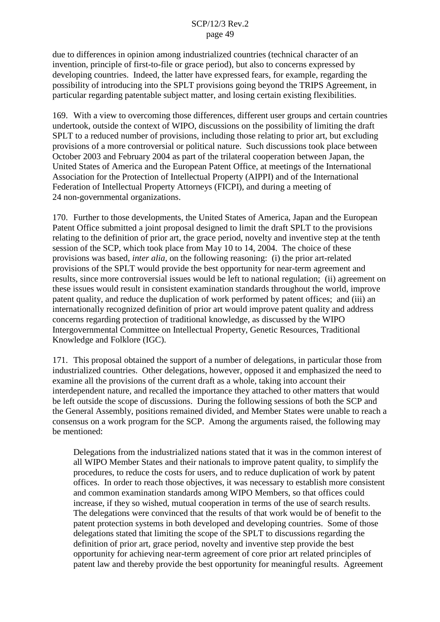due to differences in opinion among industrialized countries (technical character of an invention, principle of first-to-file or grace period), but also to concerns expressed by developing countries. Indeed, the latter have expressed fears, for example, regarding the possibility of introducing into the SPLT provisions going beyond the TRIPS Agreement, in particular regarding patentable subject matter, and losing certain existing flexibilities.

169. With a view to overcoming those differences, different user groups and certain countries undertook, outside the context of WIPO, discussions on the possibility of limiting the draft SPLT to a reduced number of provisions, including those relating to prior art, but excluding provisions of a more controversial or political nature. Such discussions took place between October 2003 and February 2004 as part of the trilateral cooperation between Japan, the United States of America and the European Patent Office, at meetings of the International Association for the Protection of Intellectual Property (AIPPI) and of the International Federation of Intellectual Property Attorneys (FICPI), and during a meeting of 24 non-governmental organizations.

170. Further to those developments, the United States of America, Japan and the European Patent Office submitted a joint proposal designed to limit the draft SPLT to the provisions relating to the definition of prior art, the grace period, novelty and inventive step at the tenth session of the SCP, which took place from May 10 to 14, 2004. The choice of these provisions was based*, inter alia,* on the following reasoning: (i) the prior art-related provisions of the SPLT would provide the best opportunity for near-term agreement and results, since more controversial issues would be left to national regulation; (ii) agreement on these issues would result in consistent examination standards throughout the world, improve patent quality, and reduce the duplication of work performed by patent offices; and (iii) an internationally recognized definition of prior art would improve patent quality and address concerns regarding protection of traditional knowledge, as discussed by the WIPO Intergovernmental Committee on Intellectual Property, Genetic Resources, Traditional Knowledge and Folklore (IGC).

171. This proposal obtained the support of a number of delegations, in particular those from industrialized countries. Other delegations, however, opposed it and emphasized the need to examine all the provisions of the current draft as a whole, taking into account their interdependent nature, and recalled the importance they attached to other matters that would be left outside the scope of discussions. During the following sessions of both the SCP and the General Assembly, positions remained divided, and Member States were unable to reach a consensus on a work program for the SCP. Among the arguments raised, the following may be mentioned:

Delegations from the industrialized nations stated that it was in the common interest of all WIPO Member States and their nationals to improve patent quality, to simplify the procedures, to reduce the costs for users, and to reduce duplication of work by patent offices. In order to reach those objectives, it was necessary to establish more consistent and common examination standards among WIPO Members, so that offices could increase, if they so wished, mutual cooperation in terms of the use of search results. The delegations were convinced that the results of that work would be of benefit to the patent protection systems in both developed and developing countries. Some of those delegations stated that limiting the scope of the SPLT to discussions regarding the definition of prior art, grace period, novelty and inventive step provide the best opportunity for achieving near-term agreement of core prior art related principles of patent law and thereby provide the best opportunity for meaningful results. Agreement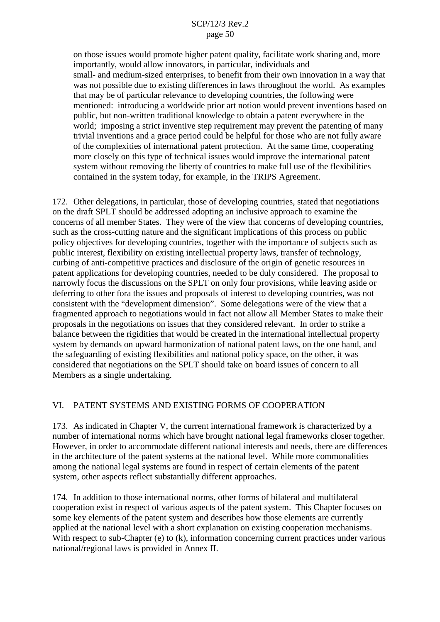on those issues would promote higher patent quality, facilitate work sharing and, more importantly, would allow innovators, in particular, individuals and small- and medium-sized enterprises, to benefit from their own innovation in a way that was not possible due to existing differences in laws throughout the world. As examples that may be of particular relevance to developing countries, the following were mentioned: introducing a worldwide prior art notion would prevent inventions based on public, but non-written traditional knowledge to obtain a patent everywhere in the world; imposing a strict inventive step requirement may prevent the patenting of many trivial inventions and a grace period could be helpful for those who are not fully aware of the complexities of international patent protection. At the same time, cooperating more closely on this type of technical issues would improve the international patent system without removing the liberty of countries to make full use of the flexibilities contained in the system today, for example, in the TRIPS Agreement.

172. Other delegations, in particular, those of developing countries, stated that negotiations on the draft SPLT should be addressed adopting an inclusive approach to examine the concerns of all member States. They were of the view that concerns of developing countries, such as the cross-cutting nature and the significant implications of this process on public policy objectives for developing countries, together with the importance of subjects such as public interest, flexibility on existing intellectual property laws, transfer of technology, curbing of anti-competitive practices and disclosure of the origin of genetic resources in patent applications for developing countries, needed to be duly considered. The proposal to narrowly focus the discussions on the SPLT on only four provisions, while leaving aside or deferring to other fora the issues and proposals of interest to developing countries, was not consistent with the "development dimension". Some delegations were of the view that a fragmented approach to negotiations would in fact not allow all Member States to make their proposals in the negotiations on issues that they considered relevant. In order to strike a balance between the rigidities that would be created in the international intellectual property system by demands on upward harmonization of national patent laws, on the one hand, and the safeguarding of existing flexibilities and national policy space, on the other, it was considered that negotiations on the SPLT should take on board issues of concern to all Members as a single undertaking.

## VI. PATENT SYSTEMS AND EXISTING FORMS OF COOPERATION

173. As indicated in Chapter V, the current international framework is characterized by a number of international norms which have brought national legal frameworks closer together. However, in order to accommodate different national interests and needs, there are differences in the architecture of the patent systems at the national level. While more commonalities among the national legal systems are found in respect of certain elements of the patent system, other aspects reflect substantially different approaches.

174. In addition to those international norms, other forms of bilateral and multilateral cooperation exist in respect of various aspects of the patent system. This Chapter focuses on some key elements of the patent system and describes how those elements are currently applied at the national level with a short explanation on existing cooperation mechanisms. With respect to sub-Chapter (e) to (k), information concerning current practices under various national/regional laws is provided in Annex II.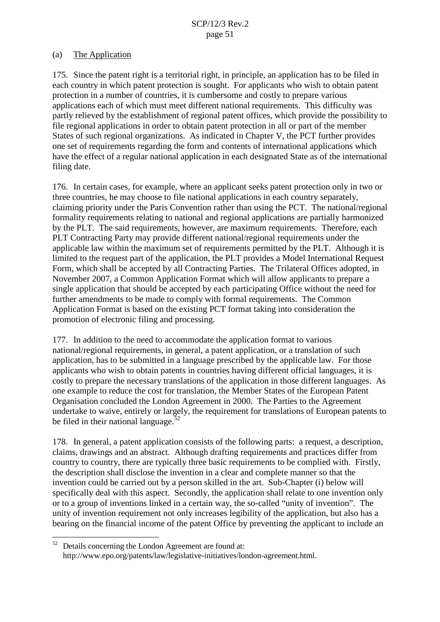### (a) The Application

175. Since the patent right is a territorial right, in principle, an application has to be filed in each country in which patent protection is sought. For applicants who wish to obtain patent protection in a number of countries, it is cumbersome and costly to prepare various applications each of which must meet different national requirements. This difficulty was partly relieved by the establishment of regional patent offices, which provide the possibility to file regional applications in order to obtain patent protection in all or part of the member States of such regional organizations. As indicated in Chapter V, the PCT further provides one set of requirements regarding the form and contents of international applications which have the effect of a regular national application in each designated State as of the international filing date.

176. In certain cases, for example, where an applicant seeks patent protection only in two or three countries, he may choose to file national applications in each country separately, claiming priority under the Paris Convention rather than using the PCT. The national/regional formality requirements relating to national and regional applications are partially harmonized by the PLT. The said requirements, however, are maximum requirements. Therefore, each PLT Contracting Party may provide different national/regional requirements under the applicable law within the maximum set of requirements permitted by the PLT. Although it is limited to the request part of the application, the PLT provides a Model International Request Form, which shall be accepted by all Contracting Parties. The Trilateral Offices adopted, in November 2007, a Common Application Format which will allow applicants to prepare a single application that should be accepted by each participating Office without the need for further amendments to be made to comply with formal requirements. The Common Application Format is based on the existing PCT format taking into consideration the promotion of electronic filing and processing.

177. In addition to the need to accommodate the application format to various national/regional requirements, in general, a patent application, or a translation of such application, has to be submitted in a language prescribed by the applicable law. For those applicants who wish to obtain patents in countries having different official languages, it is costly to prepare the necessary translations of the application in those different languages. As one example to reduce the cost for translation, the Member States of the European Patent Organisation concluded the London Agreement in 2000. The Parties to the Agreement undertake to waive, entirely or largely, the requirement for translations of European patents to be filed in their national language.<sup>52</sup>

178. In general, a patent application consists of the following parts: a request, a description, claims, drawings and an abstract. Although drafting requirements and practices differ from country to country, there are typically three basic requirements to be complied with. Firstly, the description shall disclose the invention in a clear and complete manner so that the invention could be carried out by a person skilled in the art. Sub-Chapter (i) below will specifically deal with this aspect. Secondly, the application shall relate to one invention only or to a group of inventions linked in a certain way, the so-called "unity of invention". The unity of invention requirement not only increases legibility of the application, but also has a bearing on the financial income of the patent Office by preventing the applicant to include an

Details concerning the London Agreement are found at: http://www.epo.org/patents/law/legislative-initiatives/london-agreement.html.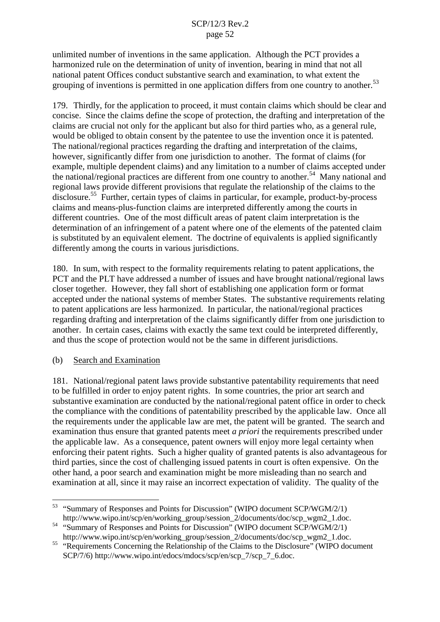unlimited number of inventions in the same application. Although the PCT provides a harmonized rule on the determination of unity of invention, bearing in mind that not all national patent Offices conduct substantive search and examination, to what extent the grouping of inventions is permitted in one application differs from one country to another.<sup>53</sup>

179. Thirdly, for the application to proceed, it must contain claims which should be clear and concise. Since the claims define the scope of protection, the drafting and interpretation of the claims are crucial not only for the applicant but also for third parties who, as a general rule, would be obliged to obtain consent by the patentee to use the invention once it is patented. The national/regional practices regarding the drafting and interpretation of the claims, however, significantly differ from one jurisdiction to another. The format of claims (for example, multiple dependent claims) and any limitation to a number of claims accepted under the national/regional practices are different from one country to another. <sup>54</sup> Many national and regional laws provide different provisions that regulate the relationship of the claims to the disclosure.<sup>55</sup> Further, certain types of claims in particular, for example, product-by-process claims and means-plus-function claims are interpreted differently among the courts in different countries. One of the most difficult areas of patent claim interpretation is the determination of an infringement of a patent where one of the elements of the patented claim is substituted by an equivalent element. The doctrine of equivalents is applied significantly differently among the courts in various jurisdictions.

180. In sum, with respect to the formality requirements relating to patent applications, the PCT and the PLT have addressed a number of issues and have brought national/regional laws closer together. However, they fall short of establishing one application form or format accepted under the national systems of member States. The substantive requirements relating to patent applications are less harmonized. In particular, the national/regional practices regarding drafting and interpretation of the claims significantly differ from one jurisdiction to another. In certain cases, claims with exactly the same text could be interpreted differently, and thus the scope of protection would not be the same in different jurisdictions.

(b) Search and Examination

181. National/regional patent laws provide substantive patentability requirements that need to be fulfilled in order to enjoy patent rights. In some countries, the prior art search and substantive examination are conducted by the national/regional patent office in order to check the compliance with the conditions of patentability prescribed by the applicable law. Once all the requirements under the applicable law are met, the patent will be granted. The search and examination thus ensure that granted patents meet *a priori* the requirements prescribed under the applicable law. As a consequence, patent owners will enjoy more legal certainty when enforcing their patent rights. Such a higher quality of granted patents is also advantageous for third parties, since the cost of challenging issued patents in court is often expensive. On the other hand, a poor search and examination might be more misleading than no search and examination at all, since it may raise an incorrect expectation of validity. The quality of the

<sup>&</sup>lt;sup>53</sup> "Summary of Responses and Points for Discussion" (WIPO document SCP/WGM/2/1)<br>http://www.wipo.int/scp/en/working\_group/session\_2/documents/doc/scp\_wgm2\_1.doc.

 $\frac{1}{24}$  "Summary of Responses and Points for Discussion" (WIPO document SCP/WGM/2/1)

http://www.wipo.int/scp/en/working\_group/session\_2/documents/doc/scp\_wgm2\_1.doc.<br><sup>55</sup> "Requirements Concerning the Relationship of the Claims to the Disclosure" (WIPO document SCP/7/6) http://www.wipo.int/edocs/mdocs/scp/en/scp\_7/scp\_7\_6.doc.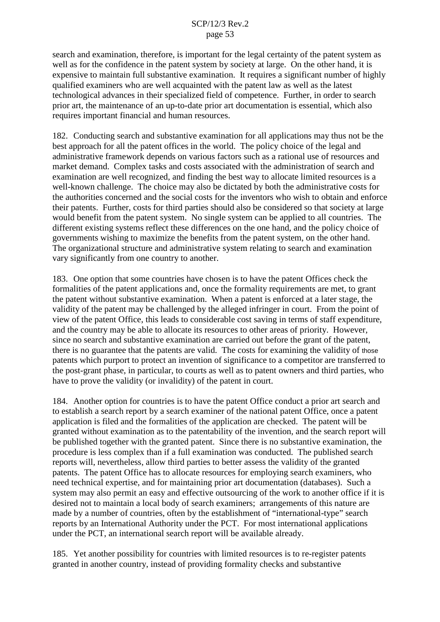search and examination, therefore, is important for the legal certainty of the patent system as well as for the confidence in the patent system by society at large. On the other hand, it is expensive to maintain full substantive examination. It requires a significant number of highly qualified examiners who are well acquainted with the patent law as well as the latest technological advances in their specialized field of competence. Further, in order to search prior art, the maintenance of an up-to-date prior art documentation is essential, which also requires important financial and human resources.

182. Conducting search and substantive examination for all applications may thus not be the best approach for all the patent offices in the world. The policy choice of the legal and administrative framework depends on various factors such as a rational use of resources and market demand. Complex tasks and costs associated with the administration of search and examination are well recognized, and finding the best way to allocate limited resources is a well-known challenge. The choice may also be dictated by both the administrative costs for the authorities concerned and the social costs for the inventors who wish to obtain and enforce their patents. Further, costs for third parties should also be considered so that society at large would benefit from the patent system. No single system can be applied to all countries. The different existing systems reflect these differences on the one hand, and the policy choice of governments wishing to maximize the benefits from the patent system, on the other hand. The organizational structure and administrative system relating to search and examination vary significantly from one country to another.

183. One option that some countries have chosen is to have the patent Offices check the formalities of the patent applications and, once the formality requirements are met, to grant the patent without substantive examination. When a patent is enforced at a later stage, the validity of the patent may be challenged by the alleged infringer in court. From the point of view of the patent Office, this leads to considerable cost saving in terms of staff expenditure, and the country may be able to allocate its resources to other areas of priority. However, since no search and substantive examination are carried out before the grant of the patent, there is no guarantee that the patents are valid. The costs for examining the validity of those patents which purport to protect an invention of significance to a competitor are transferred to the post-grant phase, in particular, to courts as well as to patent owners and third parties, who have to prove the validity (or invalidity) of the patent in court.

184. Another option for countries is to have the patent Office conduct a prior art search and to establish a search report by a search examiner of the national patent Office, once a patent application is filed and the formalities of the application are checked. The patent will be granted without examination as to the patentability of the invention, and the search report will be published together with the granted patent. Since there is no substantive examination, the procedure is less complex than if a full examination was conducted. The published search reports will, nevertheless, allow third parties to better assess the validity of the granted patents. The patent Office has to allocate resources for employing search examiners, who need technical expertise, and for maintaining prior art documentation (databases). Such a system may also permit an easy and effective outsourcing of the work to another office if it is desired not to maintain a local body of search examiners; arrangements of this nature are made by a number of countries, often by the establishment of "international-type" search reports by an International Authority under the PCT. For most international applications under the PCT, an international search report will be available already.

185. Yet another possibility for countries with limited resources is to re-register patents granted in another country, instead of providing formality checks and substantive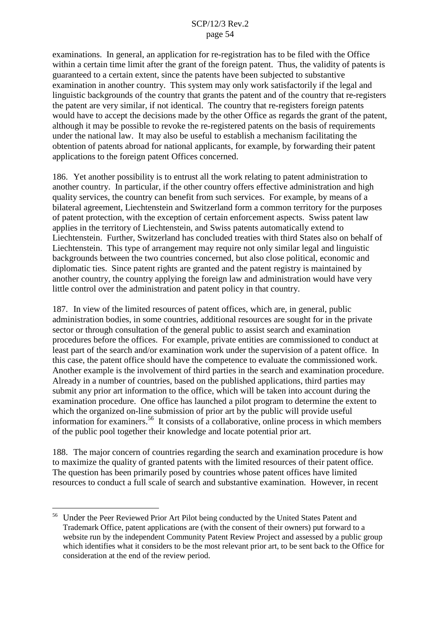examinations. In general, an application for re-registration has to be filed with the Office within a certain time limit after the grant of the foreign patent. Thus, the validity of patents is guaranteed to a certain extent, since the patents have been subjected to substantive examination in another country. This system may only work satisfactorily if the legal and linguistic backgrounds of the country that grants the patent and of the country that re-registers the patent are very similar, if not identical. The country that re-registers foreign patents would have to accept the decisions made by the other Office as regards the grant of the patent, although it may be possible to revoke the re-registered patents on the basis of requirements under the national law. It may also be useful to establish a mechanism facilitating the obtention of patents abroad for national applicants, for example, by forwarding their patent applications to the foreign patent Offices concerned.

186. Yet another possibility is to entrust all the work relating to patent administration to another country. In particular, if the other country offers effective administration and high quality services, the country can benefit from such services. For example, by means of a bilateral agreement, Liechtenstein and Switzerland form a common territory for the purposes of patent protection, with the exception of certain enforcement aspects. Swiss patent law applies in the territory of Liechtenstein, and Swiss patents automatically extend to Liechtenstein. Further, Switzerland has concluded treaties with third States also on behalf of Liechtenstein. This type of arrangement may require not only similar legal and linguistic backgrounds between the two countries concerned, but also close political, economic and diplomatic ties. Since patent rights are granted and the patent registry is maintained by another country, the country applying the foreign law and administration would have very little control over the administration and patent policy in that country.

187. In view of the limited resources of patent offices, which are, in general, public administration bodies, in some countries, additional resources are sought for in the private sector or through consultation of the general public to assist search and examination procedures before the offices. For example, private entities are commissioned to conduct at least part of the search and/or examination work under the supervision of a patent office. In this case, the patent office should have the competence to evaluate the commissioned work. Another example is the involvement of third parties in the search and examination procedure. Already in a number of countries, based on the published applications, third parties may submit any prior art information to the office, which will be taken into account during the examination procedure. One office has launched a pilot program to determine the extent to which the organized on-line submission of prior art by the public will provide useful information for examiners. <sup>56</sup> It consists of a collaborative, online process in which members of the public pool together their knowledge and locate potential prior art.

188. The major concern of countries regarding the search and examination procedure is how to maximize the quality of granted patents with the limited resources of their patent office. The question has been primarily posed by countries whose patent offices have limited resources to conduct a full scale of search and substantive examination. However, in recent

<sup>56</sup> Under the Peer Reviewed Prior Art Pilot being conducted by the United States Patent and Trademark Office, patent applications are (with the consent of their owners) put forward to a website run by the independent Community Patent Review Project and assessed by a public group which identifies what it considers to be the most relevant prior art, to be sent back to the Office for consideration at the end of the review period.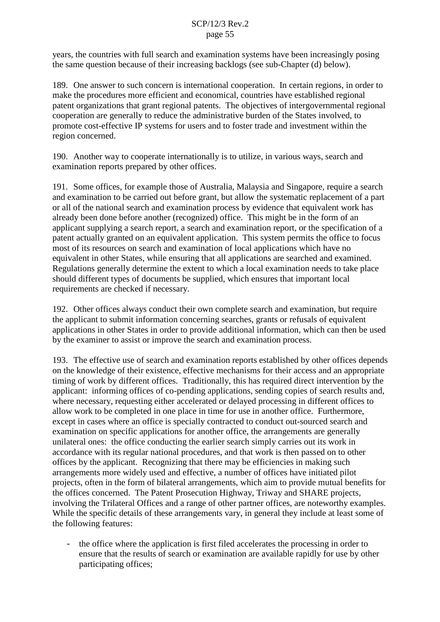years, the countries with full search and examination systems have been increasingly posing the same question because of their increasing backlogs (see sub-Chapter (d) below).

189. One answer to such concern is international cooperation. In certain regions, in order to make the procedures more efficient and economical, countries have established regional patent organizations that grant regional patents. The objectives of intergovernmental regional cooperation are generally to reduce the administrative burden of the States involved, to promote cost-effective IP systems for users and to foster trade and investment within the region concerned.

190. Another way to cooperate internationally is to utilize, in various ways, search and examination reports prepared by other offices.

191. Some offices, for example those of Australia, Malaysia and Singapore, require a search and examination to be carried out before grant, but allow the systematic replacement of a part or all of the national search and examination process by evidence that equivalent work has already been done before another (recognized) office. This might be in the form of an applicant supplying a search report, a search and examination report, or the specification of a patent actually granted on an equivalent application. This system permits the office to focus most of its resources on search and examination of local applications which have no equivalent in other States, while ensuring that all applications are searched and examined. Regulations generally determine the extent to which a local examination needs to take place should different types of documents be supplied, which ensures that important local requirements are checked if necessary.

192. Other offices always conduct their own complete search and examination, but require the applicant to submit information concerning searches, grants or refusals of equivalent applications in other States in order to provide additional information, which can then be used by the examiner to assist or improve the search and examination process.

193. The effective use of search and examination reports established by other offices depends on the knowledge of their existence, effective mechanisms for their access and an appropriate timing of work by different offices. Traditionally, this has required direct intervention by the applicant: informing offices of co-pending applications, sending copies of search results and, where necessary, requesting either accelerated or delayed processing in different offices to allow work to be completed in one place in time for use in another office. Furthermore, except in cases where an office is specially contracted to conduct out-sourced search and examination on specific applications for another office, the arrangements are generally unilateral ones: the office conducting the earlier search simply carries out its work in accordance with its regular national procedures, and that work is then passed on to other offices by the applicant. Recognizing that there may be efficiencies in making such arrangements more widely used and effective, a number of offices have initiated pilot projects, often in the form of bilateral arrangements, which aim to provide mutual benefits for the offices concerned. The Patent Prosecution Highway, Triway and SHARE projects, involving the Trilateral Offices and a range of other partner offices, are noteworthy examples. While the specific details of these arrangements vary, in general they include at least some of the following features:

- the office where the application is first filed accelerates the processing in order to ensure that the results of search or examination are available rapidly for use by other participating offices;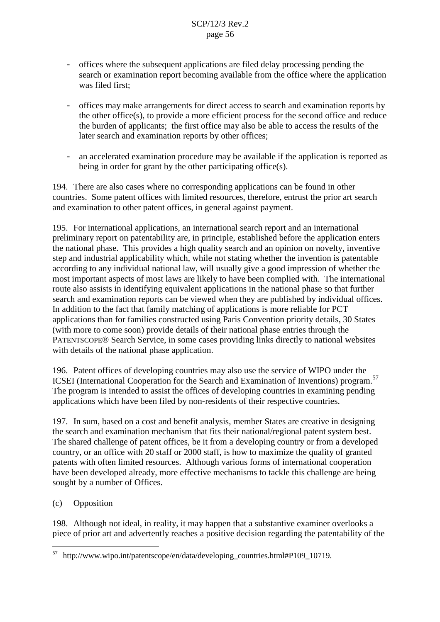- offices where the subsequent applications are filed delay processing pending the search or examination report becoming available from the office where the application was filed first;
- offices may make arrangements for direct access to search and examination reports by the other office(s), to provide a more efficient process for the second office and reduce the burden of applicants; the first office may also be able to access the results of the later search and examination reports by other offices;
- an accelerated examination procedure may be available if the application is reported as being in order for grant by the other participating office(s).

194. There are also cases where no corresponding applications can be found in other countries. Some patent offices with limited resources, therefore, entrust the prior art search and examination to other patent offices, in general against payment.

195. For international applications, an international search report and an international preliminary report on patentability are, in principle, established before the application enters the national phase. This provides a high quality search and an opinion on novelty, inventive step and industrial applicability which, while not stating whether the invention is patentable according to any individual national law, will usually give a good impression of whether the most important aspects of most laws are likely to have been complied with. The international route also assists in identifying equivalent applications in the national phase so that further search and examination reports can be viewed when they are published by individual offices. In addition to the fact that family matching of applications is more reliable for PCT applications than for families constructed using Paris Convention priority details, 30 States (with more to come soon) provide details of their national phase entries through the PATENTSCOPE® Search Service, in some cases providing links directly to national websites with details of the national phase application.

196. Patent offices of developing countries may also use the service of WIPO under the ICSEI (International Cooperation for the Search and Examination of Inventions) program.<sup>57</sup> The program is intended to assist the offices of developing countries in examining pending applications which have been filed by non-residents of their respective countries.

197. In sum, based on a cost and benefit analysis, member States are creative in designing the search and examination mechanism that fits their national/regional patent system best. The shared challenge of patent offices, be it from a developing country or from a developed country, or an office with 20 staff or 2000 staff, is how to maximize the quality of granted patents with often limited resources. Although various forms of international cooperation have been developed already, more effective mechanisms to tackle this challenge are being sought by a number of Offices.

(c) Opposition

198. Although not ideal, in reality, it may happen that a substantive examiner overlooks a piece of prior art and advertently reaches a positive decision regarding the patentability of the

 $57$  http://www.wipo.int/patentscope/en/data/developing countries.html#P109 10719.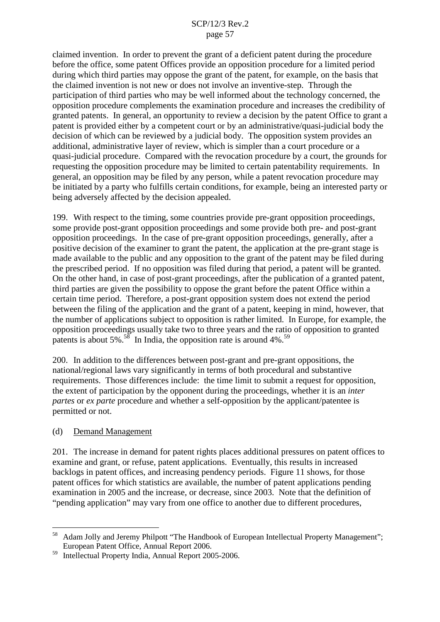claimed invention. In order to prevent the grant of a deficient patent during the procedure before the office, some patent Offices provide an opposition procedure for a limited period during which third parties may oppose the grant of the patent, for example, on the basis that the claimed invention is not new or does not involve an inventive-step. Through the participation of third parties who may be well informed about the technology concerned, the opposition procedure complements the examination procedure and increases the credibility of granted patents. In general, an opportunity to review a decision by the patent Office to grant a patent is provided either by a competent court or by an administrative/quasi-judicial body the decision of which can be reviewed by a judicial body. The opposition system provides an additional, administrative layer of review, which is simpler than a court procedure or a quasi-judicial procedure. Compared with the revocation procedure by a court, the grounds for requesting the opposition procedure may be limited to certain patentability requirements. In general, an opposition may be filed by any person, while a patent revocation procedure may be initiated by a party who fulfills certain conditions, for example, being an interested party or being adversely affected by the decision appealed.

199. With respect to the timing, some countries provide pre-grant opposition proceedings, some provide post-grant opposition proceedings and some provide both pre- and post-grant opposition proceedings. In the case of pre-grant opposition proceedings, generally, after a positive decision of the examiner to grant the patent, the application at the pre-grant stage is made available to the public and any opposition to the grant of the patent may be filed during the prescribed period. If no opposition was filed during that period, a patent will be granted. On the other hand, in case of post-grant proceedings, after the publication of a granted patent, third parties are given the possibility to oppose the grant before the patent Office within a certain time period. Therefore, a post-grant opposition system does not extend the period between the filing of the application and the grant of a patent, keeping in mind, however, that the number of applications subject to opposition is rather limited. In Europe, for example, the opposition proceedings usually take two to three years and the ratio of opposition to granted patents is about 5%.<sup>58</sup> In India, the opposition rate is around 4%.<sup>59</sup>

200. In addition to the differences between post-grant and pre-grant oppositions, the national/regional laws vary significantly in terms of both procedural and substantive requirements. Those differences include: the time limit to submit a request for opposition, the extent of participation by the opponent during the proceedings, whether it is an *inter partes* or *ex parte* procedure and whether a self-opposition by the applicant/patentee is permitted or not.

#### (d) Demand Management

201. The increase in demand for patent rights places additional pressures on patent offices to examine and grant, or refuse, patent applications. Eventually, this results in increased backlogs in patent offices, and increasing pendency periods. Figure 11 shows, for those patent offices for which statistics are available, the number of patent applications pending examination in 2005 and the increase, or decrease, since 2003. Note that the definition of "pending application" may vary from one office to another due to different procedures,

<sup>&</sup>lt;sup>58</sup> Adam Jolly and Jeremy Philpott "The Handbook of European Intellectual Property Management";<br>European Patent Office, Annual Report 2006.

Intellectual Property India, Annual Report 2005-2006.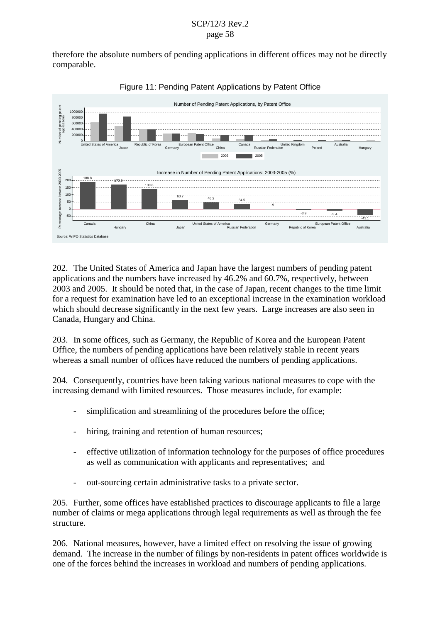therefore the absolute numbers of pending applications in different offices may not be directly comparable.





202. The United States of America and Japan have the largest numbers of pending patent applications and the numbers have increased by 46.2% and 60.7%, respectively, between 2003 and 2005. It should be noted that, in the case of Japan, recent changes to the time limit for a request for examination have led to an exceptional increase in the examination workload which should decrease significantly in the next few years. Large increases are also seen in Canada, Hungary and China.

203. In some offices, such as Germany, the Republic of Korea and the European Patent Office, the numbers of pending applications have been relatively stable in recent years whereas a small number of offices have reduced the numbers of pending applications.

204. Consequently, countries have been taking various national measures to cope with the increasing demand with limited resources. Those measures include, for example:

- simplification and streamlining of the procedures before the office;
- hiring, training and retention of human resources;
- effective utilization of information technology for the purposes of office procedures as well as communication with applicants and representatives; and
- out-sourcing certain administrative tasks to a private sector.

205. Further, some offices have established practices to discourage applicants to file a large number of claims or mega applications through legal requirements as well as through the fee structure.

206. National measures, however, have a limited effect on resolving the issue of growing demand. The increase in the number of filings by non-residents in patent offices worldwide is one of the forces behind the increases in workload and numbers of pending applications.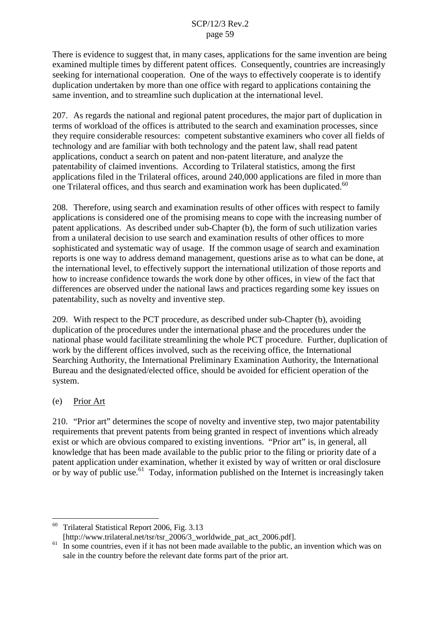There is evidence to suggest that, in many cases, applications for the same invention are being examined multiple times by different patent offices. Consequently, countries are increasingly seeking for international cooperation. One of the ways to effectively cooperate is to identify duplication undertaken by more than one office with regard to applications containing the same invention, and to streamline such duplication at the international level.

207. As regards the national and regional patent procedures, the major part of duplication in terms of workload of the offices is attributed to the search and examination processes, since they require considerable resources: competent substantive examiners who cover all fields of technology and are familiar with both technology and the patent law, shall read patent applications, conduct a search on patent and non-patent literature, and analyze the patentability of claimed inventions. According to Trilateral statistics, among the first applications filed in the Trilateral offices, around 240,000 applications are filed in more than one Trilateral offices, and thus search and examination work has been duplicated.<sup>60</sup>

208. Therefore, using search and examination results of other offices with respect to family applications is considered one of the promising means to cope with the increasing number of patent applications. As described under sub-Chapter (b), the form of such utilization varies from a unilateral decision to use search and examination results of other offices to more sophisticated and systematic way of usage. If the common usage of search and examination reports is one way to address demand management, questions arise as to what can be done, at the international level, to effectively support the international utilization of those reports and how to increase confidence towards the work done by other offices, in view of the fact that differences are observed under the national laws and practices regarding some key issues on patentability, such as novelty and inventive step.

209. With respect to the PCT procedure, as described under sub-Chapter (b), avoiding duplication of the procedures under the international phase and the procedures under the national phase would facilitate streamlining the whole PCT procedure. Further, duplication of work by the different offices involved, such as the receiving office, the International Searching Authority, the International Preliminary Examination Authority, the International Bureau and the designated/elected office, should be avoided for efficient operation of the system.

## (e) Prior Art

210. "Prior art" determines the scope of novelty and inventive step, two major patentability requirements that prevent patents from being granted in respect of inventions which already exist or which are obvious compared to existing inventions. "Prior art" is, in general, all knowledge that has been made available to the public prior to the filing or priority date of a patent application under examination, whether it existed by way of written or oral disclosure or by way of public use.<sup>61</sup> Today, information published on the Internet is increasingly taken

<sup>&</sup>lt;sup>60</sup> Trilateral Statistical Report 2006, Fig. 3.13<br>[http://www.trilateral.net/tsr/tsr\_2006/3\_worldwide\_pat\_act\_2006.pdf].

In some countries, even if it has not been made available to the public, an invention which was on sale in the country before the relevant date forms part of the prior art.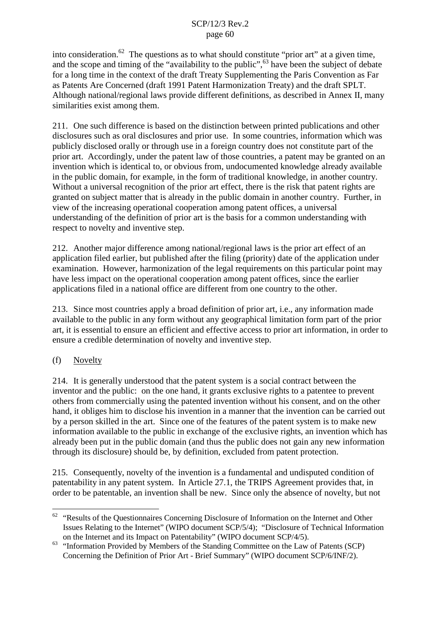into consideration.<sup>62</sup> The questions as to what should constitute "prior art" at a given time, and the scope and timing of the "availability to the public",  $63$  have been the subject of debate for a long time in the context of the draft Treaty Supplementing the Paris Convention as Far as Patents Are Concerned (draft 1991 Patent Harmonization Treaty) and the draft SPLT. Although national/regional laws provide different definitions, as described in Annex II, many similarities exist among them.

211. One such difference is based on the distinction between printed publications and other disclosures such as oral disclosures and prior use. In some countries, information which was publicly disclosed orally or through use in a foreign country does not constitute part of the prior art. Accordingly, under the patent law of those countries, a patent may be granted on an invention which is identical to, or obvious from, undocumented knowledge already available in the public domain, for example, in the form of traditional knowledge, in another country. Without a universal recognition of the prior art effect, there is the risk that patent rights are granted on subject matter that is already in the public domain in another country. Further, in view of the increasing operational cooperation among patent offices, a universal understanding of the definition of prior art is the basis for a common understanding with respect to novelty and inventive step.

212. Another major difference among national/regional laws is the prior art effect of an application filed earlier, but published after the filing (priority) date of the application under examination. However, harmonization of the legal requirements on this particular point may have less impact on the operational cooperation among patent offices, since the earlier applications filed in a national office are different from one country to the other.

213. Since most countries apply a broad definition of prior art, i.e., any information made available to the public in any form without any geographical limitation form part of the prior art, it is essential to ensure an efficient and effective access to prior art information, in order to ensure a credible determination of novelty and inventive step.

# (f) Novelty

214. It is generally understood that the patent system is a social contract between the inventor and the public: on the one hand, it grants exclusive rights to a patentee to prevent others from commercially using the patented invention without his consent, and on the other hand, it obliges him to disclose his invention in a manner that the invention can be carried out by a person skilled in the art. Since one of the features of the patent system is to make new information available to the public in exchange of the exclusive rights, an invention which has already been put in the public domain (and thus the public does not gain any new information through its disclosure) should be, by definition, excluded from patent protection.

215. Consequently, novelty of the invention is a fundamental and undisputed condition of patentability in any patent system. In Article 27.1, the TRIPS Agreement provides that, in order to be patentable, an invention shall be new. Since only the absence of novelty, but not

<sup>&</sup>lt;sup>62</sup> "Results of the Questionnaires Concerning Disclosure of Information on the Internet and Other Issues Relating to the Internet" (WIPO document SCP/5/4); "Disclosure of Technical Information

on the Internet and its Impact on Patentability" (WIPO document SCP/4/5). <sup>63</sup> "Information Provided by Members of the Standing Committee on the Law of Patents (SCP) Concerning the Definition of Prior Art - Brief Summary" (WIPO document SCP/6/INF/2).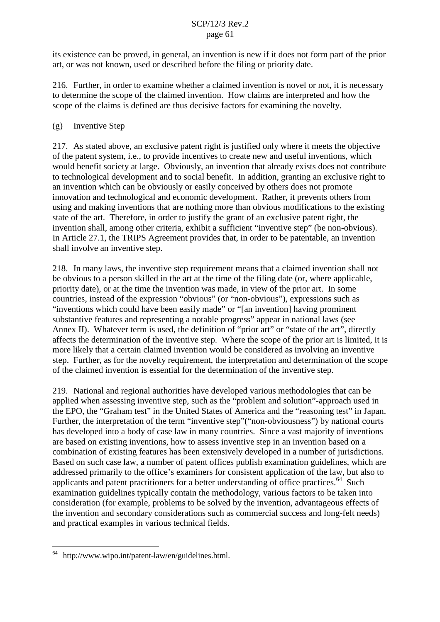its existence can be proved, in general, an invention is new if it does not form part of the prior art, or was not known, used or described before the filing or priority date.

216. Further, in order to examine whether a claimed invention is novel or not, it is necessary to determine the scope of the claimed invention. How claims are interpreted and how the scope of the claims is defined are thus decisive factors for examining the novelty.

## (g) Inventive Step

217. As stated above, an exclusive patent right is justified only where it meets the objective of the patent system, i.e., to provide incentives to create new and useful inventions, which would benefit society at large. Obviously, an invention that already exists does not contribute to technological development and to social benefit. In addition, granting an exclusive right to an invention which can be obviously or easily conceived by others does not promote innovation and technological and economic development. Rather, it prevents others from using and making inventions that are nothing more than obvious modifications to the existing state of the art. Therefore, in order to justify the grant of an exclusive patent right, the invention shall, among other criteria, exhibit a sufficient "inventive step" (be non-obvious). In Article 27.1, the TRIPS Agreement provides that, in order to be patentable, an invention shall involve an inventive step.

218. In many laws, the inventive step requirement means that a claimed invention shall not be obvious to a person skilled in the art at the time of the filing date (or, where applicable, priority date), or at the time the invention was made, in view of the prior art. In some countries, instead of the expression "obvious" (or "non-obvious"), expressions such as "inventions which could have been easily made" or "[an invention] having prominent substantive features and representing a notable progress" appear in national laws (see Annex II). Whatever term is used, the definition of "prior art" or "state of the art", directly affects the determination of the inventive step. Where the scope of the prior art is limited, it is more likely that a certain claimed invention would be considered as involving an inventive step. Further, as for the novelty requirement, the interpretation and determination of the scope of the claimed invention is essential for the determination of the inventive step.

219. National and regional authorities have developed various methodologies that can be applied when assessing inventive step, such as the "problem and solution"-approach used in the EPO, the "Graham test" in the United States of America and the "reasoning test" in Japan. Further, the interpretation of the term "inventive step"("non-obviousness") by national courts has developed into a body of case law in many countries. Since a vast majority of inventions are based on existing inventions, how to assess inventive step in an invention based on a combination of existing features has been extensively developed in a number of jurisdictions. Based on such case law, a number of patent offices publish examination guidelines, which are addressed primarily to the office's examiners for consistent application of the law, but also to applicants and patent practitioners for a better understanding of office practices.<sup>64</sup> Such examination guidelines typically contain the methodology, various factors to be taken into consideration (for example, problems to be solved by the invention, advantageous effects of the invention and secondary considerations such as commercial success and long-felt needs) and practical examples in various technical fields.

<sup>64</sup> http://www.wipo.int/patent-law/en/guidelines.html.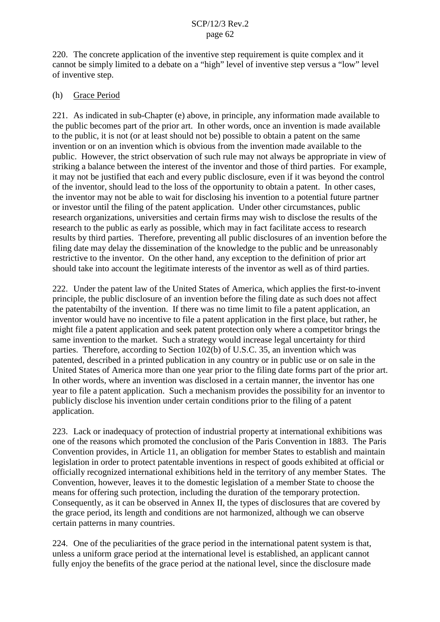220. The concrete application of the inventive step requirement is quite complex and it cannot be simply limited to a debate on a "high" level of inventive step versus a "low" level of inventive step.

## (h) Grace Period

221. As indicated in sub-Chapter (e) above, in principle, any information made available to the public becomes part of the prior art. In other words, once an invention is made available to the public, it is not (or at least should not be) possible to obtain a patent on the same invention or on an invention which is obvious from the invention made available to the public. However, the strict observation of such rule may not always be appropriate in view of striking a balance between the interest of the inventor and those of third parties. For example, it may not be justified that each and every public disclosure, even if it was beyond the control of the inventor, should lead to the loss of the opportunity to obtain a patent. In other cases, the inventor may not be able to wait for disclosing his invention to a potential future partner or investor until the filing of the patent application. Under other circumstances, public research organizations, universities and certain firms may wish to disclose the results of the research to the public as early as possible, which may in fact facilitate access to research results by third parties. Therefore, preventing all public disclosures of an invention before the filing date may delay the dissemination of the knowledge to the public and be unreasonably restrictive to the inventor. On the other hand, any exception to the definition of prior art should take into account the legitimate interests of the inventor as well as of third parties.

222. Under the patent law of the United States of America, which applies the first-to-invent principle, the public disclosure of an invention before the filing date as such does not affect the patentabilty of the invention. If there was no time limit to file a patent application, an inventor would have no incentive to file a patent application in the first place, but rather, he might file a patent application and seek patent protection only where a competitor brings the same invention to the market. Such a strategy would increase legal uncertainty for third parties. Therefore, according to Section 102(b) of U.S.C. 35, an invention which was patented, described in a printed publication in any country or in public use or on sale in the United States of America more than one year prior to the filing date forms part of the prior art. In other words, where an invention was disclosed in a certain manner, the inventor has one year to file a patent application. Such a mechanism provides the possibility for an inventor to publicly disclose his invention under certain conditions prior to the filing of a patent application.

223. Lack or inadequacy of protection of industrial property at international exhibitions was one of the reasons which promoted the conclusion of the Paris Convention in 1883. The Paris Convention provides, in Article 11, an obligation for member States to establish and maintain legislation in order to protect patentable inventions in respect of goods exhibited at official or officially recognized international exhibitions held in the territory of any member States. The Convention, however, leaves it to the domestic legislation of a member State to choose the means for offering such protection, including the duration of the temporary protection. Consequently, as it can be observed in Annex II, the types of disclosures that are covered by the grace period, its length and conditions are not harmonized, although we can observe certain patterns in many countries.

224. One of the peculiarities of the grace period in the international patent system is that, unless a uniform grace period at the international level is established, an applicant cannot fully enjoy the benefits of the grace period at the national level, since the disclosure made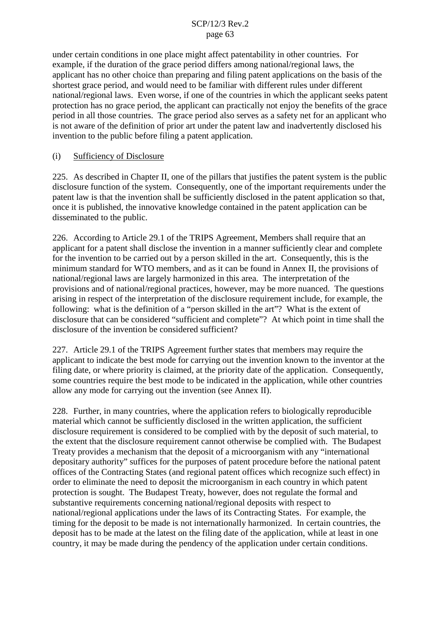under certain conditions in one place might affect patentability in other countries. For example, if the duration of the grace period differs among national/regional laws, the applicant has no other choice than preparing and filing patent applications on the basis of the shortest grace period, and would need to be familiar with different rules under different national/regional laws. Even worse, if one of the countries in which the applicant seeks patent protection has no grace period, the applicant can practically not enjoy the benefits of the grace period in all those countries. The grace period also serves as a safety net for an applicant who is not aware of the definition of prior art under the patent law and inadvertently disclosed his invention to the public before filing a patent application.

#### (i) Sufficiency of Disclosure

225. As described in Chapter II, one of the pillars that justifies the patent system is the public disclosure function of the system. Consequently, one of the important requirements under the patent law is that the invention shall be sufficiently disclosed in the patent application so that, once it is published, the innovative knowledge contained in the patent application can be disseminated to the public.

226. According to Article 29.1 of the TRIPS Agreement, Members shall require that an applicant for a patent shall disclose the invention in a manner sufficiently clear and complete for the invention to be carried out by a person skilled in the art. Consequently, this is the minimum standard for WTO members, and as it can be found in Annex II, the provisions of national/regional laws are largely harmonized in this area. The interpretation of the provisions and of national/regional practices, however, may be more nuanced. The questions arising in respect of the interpretation of the disclosure requirement include, for example, the following: what is the definition of a "person skilled in the art"? What is the extent of disclosure that can be considered "sufficient and complete"? At which point in time shall the disclosure of the invention be considered sufficient?

227. Article 29.1 of the TRIPS Agreement further states that members may require the applicant to indicate the best mode for carrying out the invention known to the inventor at the filing date, or where priority is claimed, at the priority date of the application. Consequently, some countries require the best mode to be indicated in the application, while other countries allow any mode for carrying out the invention (see Annex II).

228. Further, in many countries, where the application refers to biologically reproducible material which cannot be sufficiently disclosed in the written application, the sufficient disclosure requirement is considered to be complied with by the deposit of such material, to the extent that the disclosure requirement cannot otherwise be complied with. The Budapest Treaty provides a mechanism that the deposit of a microorganism with any "international depositary authority" suffices for the purposes of patent procedure before the national patent offices of the Contracting States (and regional patent offices which recognize such effect) in order to eliminate the need to deposit the microorganism in each country in which patent protection is sought. The Budapest Treaty, however, does not regulate the formal and substantive requirements concerning national/regional deposits with respect to national/regional applications under the laws of its Contracting States. For example, the timing for the deposit to be made is not internationally harmonized. In certain countries, the deposit has to be made at the latest on the filing date of the application, while at least in one country, it may be made during the pendency of the application under certain conditions.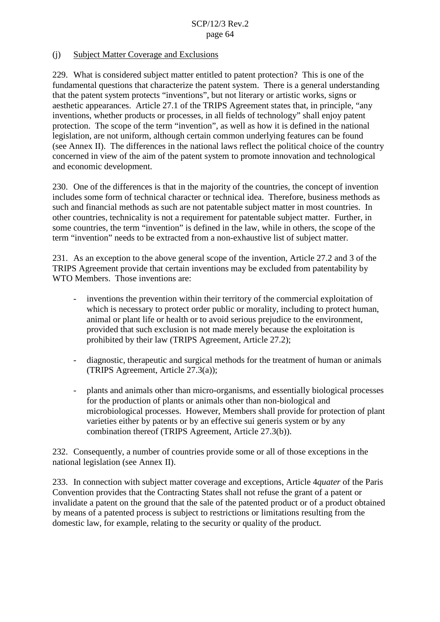## (j) Subject Matter Coverage and Exclusions

229. What is considered subject matter entitled to patent protection? This is one of the fundamental questions that characterize the patent system. There is a general understanding that the patent system protects "inventions", but not literary or artistic works, signs or aesthetic appearances. Article 27.1 of the TRIPS Agreement states that, in principle, "any inventions, whether products or processes, in all fields of technology" shall enjoy patent protection. The scope of the term "invention", as well as how it is defined in the national legislation, are not uniform, although certain common underlying features can be found (see Annex II). The differences in the national laws reflect the political choice of the country concerned in view of the aim of the patent system to promote innovation and technological and economic development.

230. One of the differences is that in the majority of the countries, the concept of invention includes some form of technical character or technical idea. Therefore, business methods as such and financial methods as such are not patentable subject matter in most countries. In other countries, technicality is not a requirement for patentable subject matter. Further, in some countries, the term "invention" is defined in the law, while in others, the scope of the term "invention" needs to be extracted from a non-exhaustive list of subject matter.

231. As an exception to the above general scope of the invention, Article 27.2 and 3 of the TRIPS Agreement provide that certain inventions may be excluded from patentability by WTO Members. Those inventions are:

- inventions the prevention within their territory of the commercial exploitation of which is necessary to protect order public or morality, including to protect human, animal or plant life or health or to avoid serious prejudice to the environment, provided that such exclusion is not made merely because the exploitation is prohibited by their law (TRIPS Agreement, Article 27.2);
- diagnostic, therapeutic and surgical methods for the treatment of human or animals (TRIPS Agreement, Article 27.3(a));
- plants and animals other than micro-organisms, and essentially biological processes for the production of plants or animals other than non-biological and microbiological processes. However, Members shall provide for protection of plant varieties either by patents or by an effective sui generis system or by any combination thereof (TRIPS Agreement, Article 27.3(b)).

232. Consequently, a number of countries provide some or all of those exceptions in the national legislation (see Annex II).

233. In connection with subject matter coverage and exceptions, Article 4*quater* of the Paris Convention provides that the Contracting States shall not refuse the grant of a patent or invalidate a patent on the ground that the sale of the patented product or of a product obtained by means of a patented process is subject to restrictions or limitations resulting from the domestic law, for example, relating to the security or quality of the product.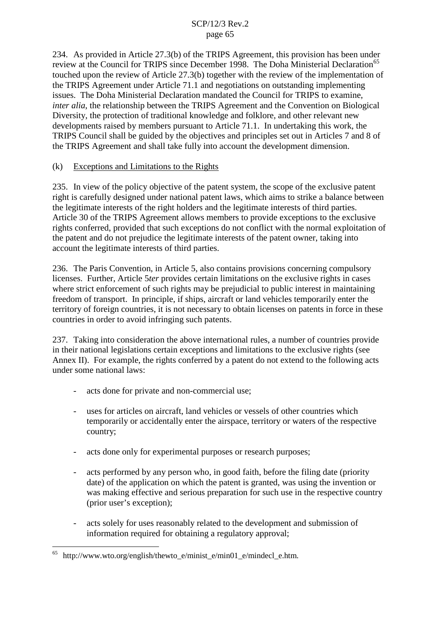234. As provided in Article 27.3(b) of the TRIPS Agreement, this provision has been under review at the Council for TRIPS since December 1998. The Doha Ministerial Declaration<sup>65</sup> touched upon the review of Article 27.3(b) together with the review of the implementation of the TRIPS Agreement under Article 71.1 and negotiations on outstanding implementing issues. The Doha Ministerial Declaration mandated the Council for TRIPS to examine, *inter alia*, the relationship between the TRIPS Agreement and the Convention on Biological Diversity, the protection of traditional knowledge and folklore, and other relevant new developments raised by members pursuant to Article 71.1. In undertaking this work, the TRIPS Council shall be guided by the objectives and principles set out in Articles 7 and 8 of the TRIPS Agreement and shall take fully into account the development dimension.

## (k) Exceptions and Limitations to the Rights

235. In view of the policy objective of the patent system, the scope of the exclusive patent right is carefully designed under national patent laws, which aims to strike a balance between the legitimate interests of the right holders and the legitimate interests of third parties. Article 30 of the TRIPS Agreement allows members to provide exceptions to the exclusive rights conferred, provided that such exceptions do not conflict with the normal exploitation of the patent and do not prejudice the legitimate interests of the patent owner, taking into account the legitimate interests of third parties.

236. The Paris Convention, in Article 5, also contains provisions concerning compulsory licenses. Further, Article 5*ter* provides certain limitations on the exclusive rights in cases where strict enforcement of such rights may be prejudicial to public interest in maintaining freedom of transport. In principle, if ships, aircraft or land vehicles temporarily enter the territory of foreign countries, it is not necessary to obtain licenses on patents in force in these countries in order to avoid infringing such patents.

237. Taking into consideration the above international rules, a number of countries provide in their national legislations certain exceptions and limitations to the exclusive rights (see Annex II). For example, the rights conferred by a patent do not extend to the following acts under some national laws:

- acts done for private and non-commercial use;
- uses for articles on aircraft, land vehicles or vessels of other countries which temporarily or accidentally enter the airspace, territory or waters of the respective country;
- acts done only for experimental purposes or research purposes;
- acts performed by any person who, in good faith, before the filing date (priority date) of the application on which the patent is granted, was using the invention or was making effective and serious preparation for such use in the respective country (prior user's exception);
- acts solely for uses reasonably related to the development and submission of information required for obtaining a regulatory approval;

http://www.wto.org/english/thewto\_e/minist\_e/min01\_e/mindecl\_e.htm.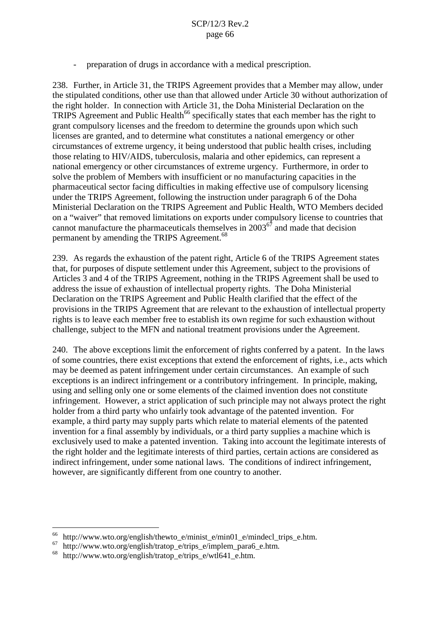- preparation of drugs in accordance with a medical prescription.

238. Further, in Article 31, the TRIPS Agreement provides that a Member may allow, under the stipulated conditions, other use than that allowed under Article 30 without authorization of the right holder. In connection with Article 31, the Doha Ministerial Declaration on the TRIPS Agreement and Public Health<sup>66</sup> specifically states that each member has the right to grant compulsory licenses and the freedom to determine the grounds upon which such licenses are granted, and to determine what constitutes a national emergency or other circumstances of extreme urgency, it being understood that public health crises, including those relating to HIV/AIDS, tuberculosis, malaria and other epidemics, can represent a national emergency or other circumstances of extreme urgency. Furthermore, in order to solve the problem of Members with insufficient or no manufacturing capacities in the pharmaceutical sector facing difficulties in making effective use of compulsory licensing under the TRIPS Agreement, following the instruction under paragraph 6 of the Doha Ministerial Declaration on the TRIPS Agreement and Public Health, WTO Members decided on a "waiver" that removed limitations on exports under compulsory license to countries that cannot manufacture the pharmaceuticals themselves in  $2003^{67}$  and made that decision permanent by amending the TRIPS Agreement.<sup>68</sup>

239. As regards the exhaustion of the patent right, Article 6 of the TRIPS Agreement states that, for purposes of dispute settlement under this Agreement, subject to the provisions of Articles 3 and 4 of the TRIPS Agreement, nothing in the TRIPS Agreement shall be used to address the issue of exhaustion of intellectual property rights. The Doha Ministerial Declaration on the TRIPS Agreement and Public Health clarified that the effect of the provisions in the TRIPS Agreement that are relevant to the exhaustion of intellectual property rights is to leave each member free to establish its own regime for such exhaustion without challenge, subject to the MFN and national treatment provisions under the Agreement.

240. The above exceptions limit the enforcement of rights conferred by a patent. In the laws of some countries, there exist exceptions that extend the enforcement of rights, i.e., acts which may be deemed as patent infringement under certain circumstances. An example of such exceptions is an indirect infringement or a contributory infringement. In principle, making, using and selling only one or some elements of the claimed invention does not constitute infringement. However, a strict application of such principle may not always protect the right holder from a third party who unfairly took advantage of the patented invention. For example, a third party may supply parts which relate to material elements of the patented invention for a final assembly by individuals, or a third party supplies a machine which is exclusively used to make a patented invention. Taking into account the legitimate interests of the right holder and the legitimate interests of third parties, certain actions are considered as indirect infringement, under some national laws. The conditions of indirect infringement, however, are significantly different from one country to another.

<sup>&</sup>lt;sup>66</sup> http://www.wto.org/english/thewto\_e/minist\_e/min01\_e/mindecl\_trips\_e.htm.<br><sup>67</sup> http://www.wto.org/english/tratop\_e/trips\_e/implem\_para6\_e.htm.<br><sup>68</sup> http://www.wto.org/english/tratop\_e/trips\_e/wtl641\_e.htm.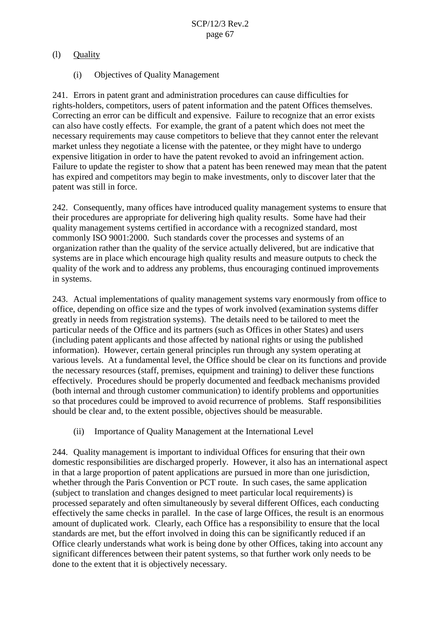## (l) Quality

(i) Objectives of Quality Management

241. Errors in patent grant and administration procedures can cause difficulties for rights-holders, competitors, users of patent information and the patent Offices themselves. Correcting an error can be difficult and expensive. Failure to recognize that an error exists can also have costly effects. For example, the grant of a patent which does not meet the necessary requirements may cause competitors to believe that they cannot enter the relevant market unless they negotiate a license with the patentee, or they might have to undergo expensive litigation in order to have the patent revoked to avoid an infringement action. Failure to update the register to show that a patent has been renewed may mean that the patent has expired and competitors may begin to make investments, only to discover later that the patent was still in force.

242. Consequently, many offices have introduced quality management systems to ensure that their procedures are appropriate for delivering high quality results. Some have had their quality management systems certified in accordance with a recognized standard, most commonly ISO 9001:2000. Such standards cover the processes and systems of an organization rather than the quality of the service actually delivered, but are indicative that systems are in place which encourage high quality results and measure outputs to check the quality of the work and to address any problems, thus encouraging continued improvements in systems.

243. Actual implementations of quality management systems vary enormously from office to office, depending on office size and the types of work involved (examination systems differ greatly in needs from registration systems). The details need to be tailored to meet the particular needs of the Office and its partners (such as Offices in other States) and users (including patent applicants and those affected by national rights or using the published information). However, certain general principles run through any system operating at various levels. At a fundamental level, the Office should be clear on its functions and provide the necessary resources (staff, premises, equipment and training) to deliver these functions effectively. Procedures should be properly documented and feedback mechanisms provided (both internal and through customer communication) to identify problems and opportunities so that procedures could be improved to avoid recurrence of problems. Staff responsibilities should be clear and, to the extent possible, objectives should be measurable.

## (ii) Importance of Quality Management at the International Level

244. Quality management is important to individual Offices for ensuring that their own domestic responsibilities are discharged properly. However, it also has an international aspect in that a large proportion of patent applications are pursued in more than one jurisdiction, whether through the Paris Convention or PCT route. In such cases, the same application (subject to translation and changes designed to meet particular local requirements) is processed separately and often simultaneously by several different Offices, each conducting effectively the same checks in parallel. In the case of large Offices, the result is an enormous amount of duplicated work. Clearly, each Office has a responsibility to ensure that the local standards are met, but the effort involved in doing this can be significantly reduced if an Office clearly understands what work is being done by other Offices, taking into account any significant differences between their patent systems, so that further work only needs to be done to the extent that it is objectively necessary.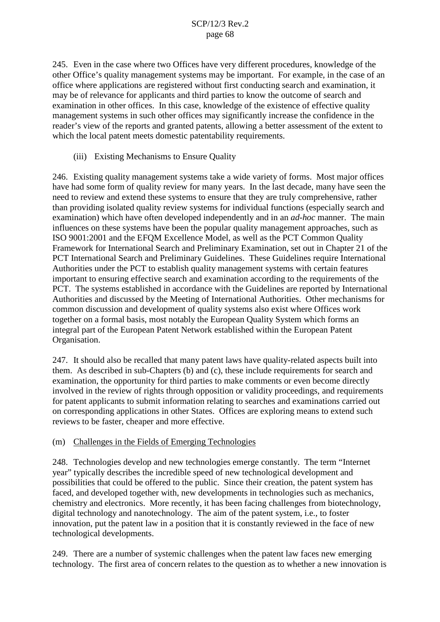245. Even in the case where two Offices have very different procedures, knowledge of the other Office's quality management systems may be important. For example, in the case of an office where applications are registered without first conducting search and examination, it may be of relevance for applicants and third parties to know the outcome of search and examination in other offices. In this case, knowledge of the existence of effective quality management systems in such other offices may significantly increase the confidence in the reader's view of the reports and granted patents, allowing a better assessment of the extent to which the local patent meets domestic patentability requirements.

(iii) Existing Mechanisms to Ensure Quality

246. Existing quality management systems take a wide variety of forms. Most major offices have had some form of quality review for many years. In the last decade, many have seen the need to review and extend these systems to ensure that they are truly comprehensive, rather than providing isolated quality review systems for individual functions (especially search and examination) which have often developed independently and in an *ad-hoc* manner. The main influences on these systems have been the popular quality management approaches, such as ISO 9001:2001 and the EFQM Excellence Model, as well as the PCT Common Quality Framework for International Search and Preliminary Examination, set out in Chapter 21 of the PCT International Search and Preliminary Guidelines. These Guidelines require International Authorities under the PCT to establish quality management systems with certain features important to ensuring effective search and examination according to the requirements of the PCT. The systems established in accordance with the Guidelines are reported by International Authorities and discussed by the Meeting of International Authorities. Other mechanisms for common discussion and development of quality systems also exist where Offices work together on a formal basis, most notably the European Quality System which forms an integral part of the European Patent Network established within the European Patent Organisation.

247. It should also be recalled that many patent laws have quality-related aspects built into them. As described in sub-Chapters (b) and (c), these include requirements for search and examination, the opportunity for third parties to make comments or even become directly involved in the review of rights through opposition or validity proceedings, and requirements for patent applicants to submit information relating to searches and examinations carried out on corresponding applications in other States. Offices are exploring means to extend such reviews to be faster, cheaper and more effective.

## (m) Challenges in the Fields of Emerging Technologies

248. Technologies develop and new technologies emerge constantly. The term "Internet year" typically describes the incredible speed of new technological development and possibilities that could be offered to the public. Since their creation, the patent system has faced, and developed together with, new developments in technologies such as mechanics, chemistry and electronics. More recently, it has been facing challenges from biotechnology, digital technology and nanotechnology. The aim of the patent system, i.e., to foster innovation, put the patent law in a position that it is constantly reviewed in the face of new technological developments.

249. There are a number of systemic challenges when the patent law faces new emerging technology. The first area of concern relates to the question as to whether a new innovation is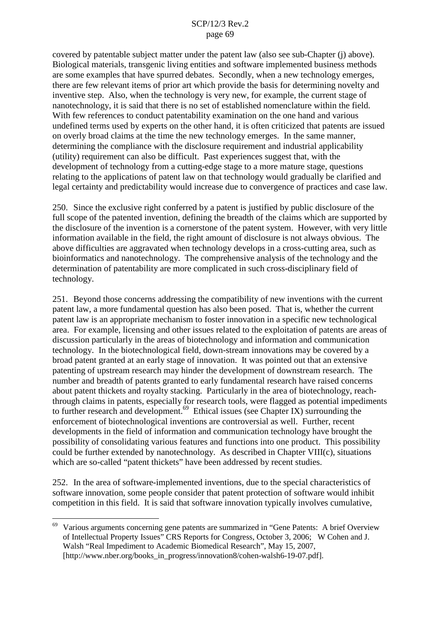covered by patentable subject matter under the patent law (also see sub-Chapter (j) above). Biological materials, transgenic living entities and software implemented business methods are some examples that have spurred debates. Secondly, when a new technology emerges, there are few relevant items of prior art which provide the basis for determining novelty and inventive step. Also, when the technology is very new, for example, the current stage of nanotechnology, it is said that there is no set of established nomenclature within the field. With few references to conduct patentability examination on the one hand and various undefined terms used by experts on the other hand, it is often criticized that patents are issued on overly broad claims at the time the new technology emerges. In the same manner, determining the compliance with the disclosure requirement and industrial applicability (utility) requirement can also be difficult. Past experiences suggest that, with the development of technology from a cutting-edge stage to a more mature stage, questions relating to the applications of patent law on that technology would gradually be clarified and legal certainty and predictability would increase due to convergence of practices and case law.

250. Since the exclusive right conferred by a patent is justified by public disclosure of the full scope of the patented invention, defining the breadth of the claims which are supported by the disclosure of the invention is a cornerstone of the patent system. However, with very little information available in the field, the right amount of disclosure is not always obvious. The above difficulties are aggravated when technology develops in a cross-cutting area, such as bioinformatics and nanotechnology. The comprehensive analysis of the technology and the determination of patentability are more complicated in such cross-disciplinary field of technology.

251. Beyond those concerns addressing the compatibility of new inventions with the current patent law, a more fundamental question has also been posed. That is, whether the current patent law is an appropriate mechanism to foster innovation in a specific new technological area. For example, licensing and other issues related to the exploitation of patents are areas of discussion particularly in the areas of biotechnology and information and communication technology. In the biotechnological field, down-stream innovations may be covered by a broad patent granted at an early stage of innovation. It was pointed out that an extensive patenting of upstream research may hinder the development of downstream research. The number and breadth of patents granted to early fundamental research have raised concerns about patent thickets and royalty stacking. Particularly in the area of biotechnology, reachthrough claims in patents, especially for research tools, were flagged as potential impediments to further research and development. <sup>69</sup> Ethical issues (see Chapter IX) surrounding the enforcement of biotechnological inventions are controversial as well. Further, recent developments in the field of information and communication technology have brought the possibility of consolidating various features and functions into one product. This possibility could be further extended by nanotechnology. As described in Chapter VIII(c), situations which are so-called "patent thickets" have been addressed by recent studies.

252. In the area of software-implemented inventions, due to the special characteristics of software innovation, some people consider that patent protection of software would inhibit competition in this field. It is said that software innovation typically involves cumulative,

<sup>&</sup>lt;sup>69</sup> Various arguments concerning gene patents are summarized in "Gene Patents: A brief Overview of Intellectual Property Issues" CRS Reports for Congress, October 3, 2006; W Cohen and J. Walsh "Real Impediment to Academic Biomedical Research", May 15, 2007, [http://www.nber.org/books\_in\_progress/innovation8/cohen-walsh6-19-07.pdf].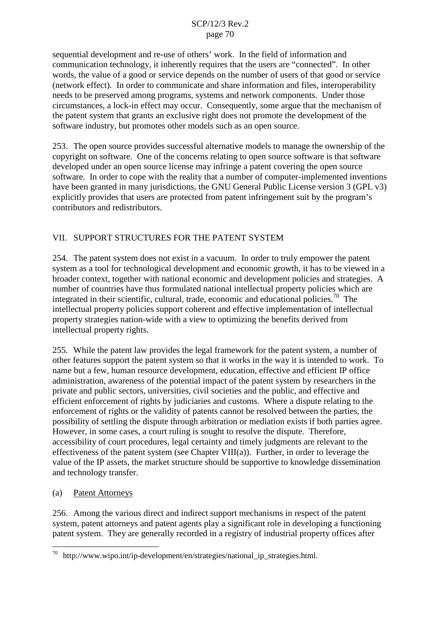sequential development and re-use of others' work. In the field of information and communication technology, it inherently requires that the users are "connected". In other words, the value of a good or service depends on the number of users of that good or service (network effect). In order to communicate and share information and files, interoperability needs to be preserved among programs, systems and network components. Under those circumstances, a lock-in effect may occur. Consequently, some argue that the mechanism of the patent system that grants an exclusive right does not promote the development of the software industry, but promotes other models such as an open source.

253. The open source provides successful alternative models to manage the ownership of the copyright on software. One of the concerns relating to open source software is that software developed under an open source license may infringe a patent covering the open source software. In order to cope with the reality that a number of computer-implemented inventions have been granted in many jurisdictions, the GNU General Public License version 3 (GPL v3) explicitly provides that users are protected from patent infringement suit by the program's contributors and redistributors.

# VII. SUPPORT STRUCTURES FOR THE PATENT SYSTEM

254. The patent system does not exist in a vacuum. In order to truly empower the patent system as a tool for technological development and economic growth, it has to be viewed in a broader context, together with national economic and development policies and strategies. A number of countries have thus formulated national intellectual property policies which are integrated in their scientific, cultural, trade, economic and educational policies. <sup>70</sup> The intellectual property policies support coherent and effective implementation of intellectual property strategies nation-wide with a view to optimizing the benefits derived from intellectual property rights.

255. While the patent law provides the legal framework for the patent system, a number of other features support the patent system so that it works in the way it is intended to work. To name but a few, human resource development, education, effective and efficient IP office administration, awareness of the potential impact of the patent system by researchers in the private and public sectors, universities, civil societies and the public, and effective and efficient enforcement of rights by judiciaries and customs. Where a dispute relating to the enforcement of rights or the validity of patents cannot be resolved between the parties, the possibility of settling the dispute through arbitration or mediation exists if both parties agree. However, in some cases, a court ruling is sought to resolve the dispute. Therefore, accessibility of court procedures, legal certainty and timely judgments are relevant to the effectiveness of the patent system (see Chapter VIII(a)). Further, in order to leverage the value of the IP assets, the market structure should be supportive to knowledge dissemination and technology transfer.

# (a) Patent Attorneys

256. Among the various direct and indirect support mechanisms in respect of the patent system, patent attorneys and patent agents play a significant role in developing a functioning patent system. They are generally recorded in a registry of industrial property offices after

<sup>70</sup> http://www.wipo.int/ip-development/en/strategies/national\_ip\_strategies.html.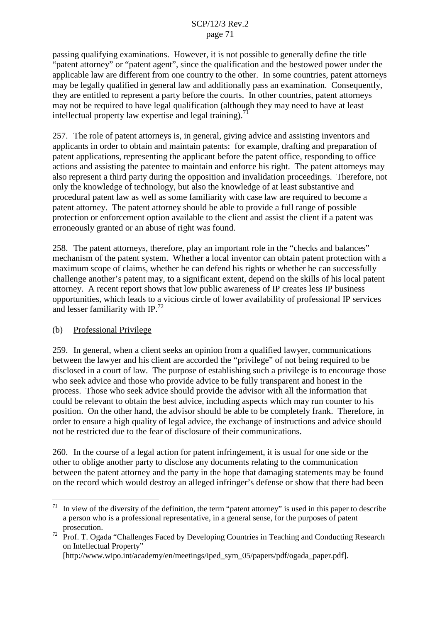passing qualifying examinations. However, it is not possible to generally define the title "patent attorney" or "patent agent", since the qualification and the bestowed power under the applicable law are different from one country to the other. In some countries, patent attorneys may be legally qualified in general law and additionally pass an examination. Consequently, they are entitled to represent a party before the courts. In other countries, patent attorneys may not be required to have legal qualification (although they may need to have at least intellectual property law expertise and legal training).<sup>71</sup>

257. The role of patent attorneys is, in general, giving advice and assisting inventors and applicants in order to obtain and maintain patents: for example, drafting and preparation of patent applications, representing the applicant before the patent office, responding to office actions and assisting the patentee to maintain and enforce his right. The patent attorneys may also represent a third party during the opposition and invalidation proceedings. Therefore, not only the knowledge of technology, but also the knowledge of at least substantive and procedural patent law as well as some familiarity with case law are required to become a patent attorney. The patent attorney should be able to provide a full range of possible protection or enforcement option available to the client and assist the client if a patent was erroneously granted or an abuse of right was found.

258. The patent attorneys, therefore, play an important role in the "checks and balances" mechanism of the patent system. Whether a local inventor can obtain patent protection with a maximum scope of claims, whether he can defend his rights or whether he can successfully challenge another's patent may, to a significant extent, depend on the skills of his local patent attorney. A recent report shows that low public awareness of IP creates less IP business opportunities, which leads to a vicious circle of lower availability of professional IP services and lesser familiarity with IP.<sup>72</sup>

#### (b) Professional Privilege

259. In general, when a client seeks an opinion from a qualified lawyer, communications between the lawyer and his client are accorded the "privilege" of not being required to be disclosed in a court of law. The purpose of establishing such a privilege is to encourage those who seek advice and those who provide advice to be fully transparent and honest in the process. Those who seek advice should provide the advisor with all the information that could be relevant to obtain the best advice, including aspects which may run counter to his position. On the other hand, the advisor should be able to be completely frank. Therefore, in order to ensure a high quality of legal advice, the exchange of instructions and advice should not be restricted due to the fear of disclosure of their communications.

260. In the course of a legal action for patent infringement, it is usual for one side or the other to oblige another party to disclose any documents relating to the communication between the patent attorney and the party in the hope that damaging statements may be found on the record which would destroy an alleged infringer's defense or show that there had been

 $71$  In view of the diversity of the definition, the term "patent attorney" is used in this paper to describe a person who is a professional representative, in a general sense, for the purposes of patent

<sup>&</sup>lt;sup>72</sup> Prof. T. Ogada "Challenges Faced by Developing Countries in Teaching and Conducting Research on Intellectual Property"

<sup>[</sup>http://www.wipo.int/academy/en/meetings/iped\_sym\_05/papers/pdf/ogada\_paper.pdf].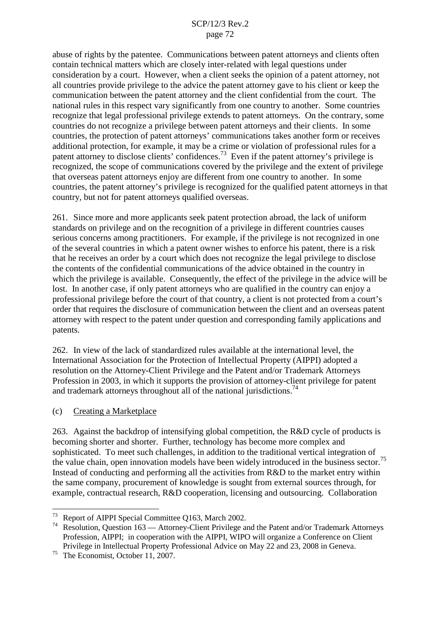abuse of rights by the patentee. Communications between patent attorneys and clients often contain technical matters which are closely inter-related with legal questions under consideration by a court. However, when a client seeks the opinion of a patent attorney, not all countries provide privilege to the advice the patent attorney gave to his client or keep the communication between the patent attorney and the client confidential from the court. The national rules in this respect vary significantly from one country to another. Some countries recognize that legal professional privilege extends to patent attorneys. On the contrary, some countries do not recognize a privilege between patent attorneys and their clients. In some countries, the protection of patent attorneys' communications takes another form or receives additional protection, for example, it may be a crime or violation of professional rules for a patent attorney to disclose clients' confidences.<sup>73</sup> Even if the patent attorney's privilege is recognized, the scope of communications covered by the privilege and the extent of privilege that overseas patent attorneys enjoy are different from one country to another. In some countries, the patent attorney's privilege is recognized for the qualified patent attorneys in that country, but not for patent attorneys qualified overseas.

261. Since more and more applicants seek patent protection abroad, the lack of uniform standards on privilege and on the recognition of a privilege in different countries causes serious concerns among practitioners. For example, if the privilege is not recognized in one of the several countries in which a patent owner wishes to enforce his patent, there is a risk that he receives an order by a court which does not recognize the legal privilege to disclose the contents of the confidential communications of the advice obtained in the country in which the privilege is available. Consequently, the effect of the privilege in the advice will be lost. In another case, if only patent attorneys who are qualified in the country can enjoy a professional privilege before the court of that country, a client is not protected from a court's order that requires the disclosure of communication between the client and an overseas patent attorney with respect to the patent under question and corresponding family applications and patents.

262. In view of the lack of standardized rules available at the international level, the International Association for the Protection of Intellectual Property (AIPPI) adopted a resolution on the Attorney-Client Privilege and the Patent and/or Trademark Attorneys Profession in 2003, in which it supports the provision of attorney-client privilege for patent and trademark attorneys throughout all of the national jurisdictions.<sup>74</sup>

(c) Creating a Marketplace

263. Against the backdrop of intensifying global competition, the R&D cycle of products is becoming shorter and shorter. Further, technology has become more complex and sophisticated. To meet such challenges, in addition to the traditional vertical integration of the value chain, open innovation models have been widely introduced in the business sector.<sup>75</sup> Instead of conducting and performing all the activities from R&D to the market entry within the same company, procurement of knowledge is sought from external sources through, for example, contractual research, R&D cooperation, licensing and outsourcing. Collaboration

<sup>&</sup>lt;sup>73</sup> Report of AIPPI Special Committee Q163, March 2002.<br><sup>74</sup> Resolution, Question 163 — Attorney-Client Privilege and the Patent and/or Trademark Attorneys Profession, AIPPI; in cooperation with the AIPPI, WIPO will organize a Conference on Client Privilege in Intellectual Property Professional Advice on May <sup>22</sup> and 23, <sup>2008</sup> in Geneva. <sup>75</sup> The Economist, October 11, 2007.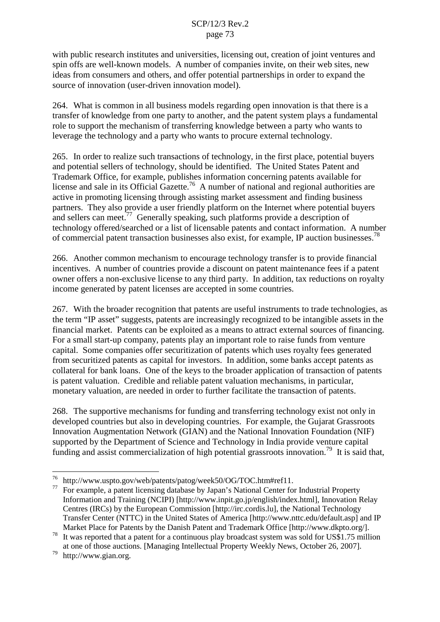with public research institutes and universities, licensing out, creation of joint ventures and spin offs are well-known models. A number of companies invite, on their web sites, new ideas from consumers and others, and offer potential partnerships in order to expand the source of innovation (user-driven innovation model).

264. What is common in all business models regarding open innovation is that there is a transfer of knowledge from one party to another, and the patent system plays a fundamental role to support the mechanism of transferring knowledge between a party who wants to leverage the technology and a party who wants to procure external technology.

265. In order to realize such transactions of technology, in the first place, potential buyers and potential sellers of technology, should be identified. The United States Patent and Trademark Office, for example, publishes information concerning patents available for license and sale in its Official Gazette.<sup>76</sup> A number of national and regional authorities are active in promoting licensing through assisting market assessment and finding business partners. They also provide a user friendly platform on the Internet where potential buyers and sellers can meet.<sup>77</sup> Generally speaking, such platforms provide a description of technology offered/searched or a list of licensable patents and contact information. A number of commercial patent transaction businesses also exist, for example, IP auction businesses.<sup>78</sup>

266. Another common mechanism to encourage technology transfer is to provide financial incentives. A number of countries provide a discount on patent maintenance fees if a patent owner offers a non-exclusive license to any third party. In addition, tax reductions on royalty income generated by patent licenses are accepted in some countries.

267. With the broader recognition that patents are useful instruments to trade technologies, as the term "IP asset" suggests, patents are increasingly recognized to be intangible assets in the financial market. Patents can be exploited as a means to attract external sources of financing. For a small start-up company, patents play an important role to raise funds from venture capital. Some companies offer securitization of patents which uses royalty fees generated from securitized patents as capital for investors. In addition, some banks accept patents as collateral for bank loans. One of the keys to the broader application of transaction of patents is patent valuation. Credible and reliable patent valuation mechanisms, in particular, monetary valuation, are needed in order to further facilitate the transaction of patents.

268. The supportive mechanisms for funding and transferring technology exist not only in developed countries but also in developing countries. For example, the Gujarat Grassroots Innovation Augmentation Network (GIAN) and the National Innovation Foundation (NIF) supported by the Department of Science and Technology in India provide venture capital funding and assist commercialization of high potential grassroots innovation.<sup>79</sup> It is said that,

<sup>&</sup>lt;sup>76</sup> http://www.uspto.gov/web/patents/patog/week50/OG/TOC.htm#ref11.<br><sup>77</sup> For example, a patent licensing database by Japan's National Center for Industrial Property Information and Training (NCIPI) [http://www.inpit.go.jp/english/index.html], Innovation Relay Centres (IRCs) by the European Commission [http://irc.cordis.lu], the National Technology Transfer Center (NTTC) in the United States of America [http://www.nttc.edu/default.asp] and IP Market Place for Patents by the Danish Patent and Trademark Office [http://www.dkpto.org/].<br><sup>78</sup> It was reported that a patent for a continuous play broadcast system was sold for US\$1.75 million

at one of those auctions. [Managing Intellectual Property Weekly News, October 26, 2007].<br>http://www.gian.org.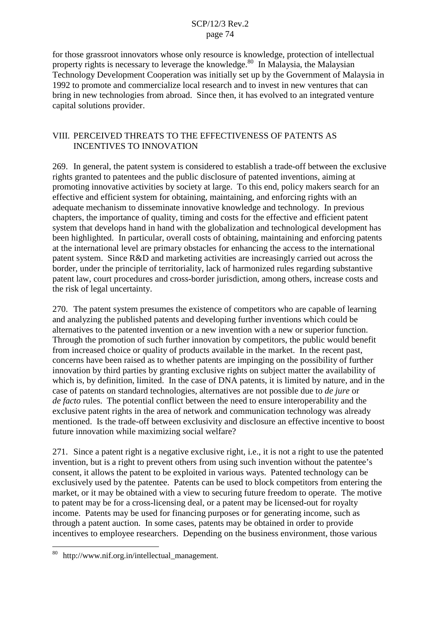for those grassroot innovators whose only resource is knowledge, protection of intellectual property rights is necessary to leverage the knowledge.<sup>80</sup> In Malaysia, the Malaysian Technology Development Cooperation was initially set up by the Government of Malaysia in 1992 to promote and commercialize local research and to invest in new ventures that can bring in new technologies from abroad. Since then, it has evolved to an integrated venture capital solutions provider.

### VIII. PERCEIVED THREATS TO THE EFFECTIVENESS OF PATENTS AS INCENTIVES TO INNOVATION

269. In general, the patent system is considered to establish a trade-off between the exclusive rights granted to patentees and the public disclosure of patented inventions, aiming at promoting innovative activities by society at large. To this end, policy makers search for an effective and efficient system for obtaining, maintaining, and enforcing rights with an adequate mechanism to disseminate innovative knowledge and technology. In previous chapters, the importance of quality, timing and costs for the effective and efficient patent system that develops hand in hand with the globalization and technological development has been highlighted. In particular, overall costs of obtaining, maintaining and enforcing patents at the international level are primary obstacles for enhancing the access to the international patent system. Since R&D and marketing activities are increasingly carried out across the border, under the principle of territoriality, lack of harmonized rules regarding substantive patent law, court procedures and cross-border jurisdiction, among others, increase costs and the risk of legal uncertainty.

270. The patent system presumes the existence of competitors who are capable of learning and analyzing the published patents and developing further inventions which could be alternatives to the patented invention or a new invention with a new or superior function. Through the promotion of such further innovation by competitors, the public would benefit from increased choice or quality of products available in the market. In the recent past, concerns have been raised as to whether patents are impinging on the possibility of further innovation by third parties by granting exclusive rights on subject matter the availability of which is, by definition, limited. In the case of DNA patents, it is limited by nature, and in the case of patents on standard technologies, alternatives are not possible due to *de jure* or *de facto* rules. The potential conflict between the need to ensure interoperability and the exclusive patent rights in the area of network and communication technology was already mentioned. Is the trade-off between exclusivity and disclosure an effective incentive to boost future innovation while maximizing social welfare?

271. Since a patent right is a negative exclusive right, i.e., it is not a right to use the patented invention, but is a right to prevent others from using such invention without the patentee's consent, it allows the patent to be exploited in various ways. Patented technology can be exclusively used by the patentee. Patents can be used to block competitors from entering the market, or it may be obtained with a view to securing future freedom to operate. The motive to patent may be for a cross-licensing deal, or a patent may be licensed-out for royalty income. Patents may be used for financing purposes or for generating income, such as through a patent auction. In some cases, patents may be obtained in order to provide incentives to employee researchers. Depending on the business environment, those various

http://www.nif.org.in/intellectual\_management.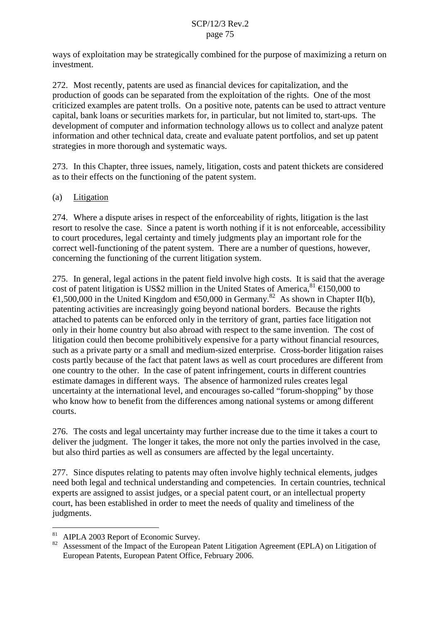ways of exploitation may be strategically combined for the purpose of maximizing a return on investment.

272. Most recently, patents are used as financial devices for capitalization, and the production of goods can be separated from the exploitation of the rights. One of the most criticized examples are patent trolls. On a positive note, patents can be used to attract venture capital, bank loans or securities markets for, in particular, but not limited to, start-ups. The development of computer and information technology allows us to collect and analyze patent information and other technical data, create and evaluate patent portfolios, and set up patent strategies in more thorough and systematic ways.

273. In this Chapter, three issues, namely, litigation, costs and patent thickets are considered as to their effects on the functioning of the patent system.

# (a) Litigation

274. Where a dispute arises in respect of the enforceability of rights, litigation is the last resort to resolve the case. Since a patent is worth nothing if it is not enforceable, accessibility to court procedures, legal certainty and timely judgments play an important role for the correct well-functioning of the patent system. There are a number of questions, however, concerning the functioning of the current litigation system.

275. In general, legal actions in the patent field involve high costs. It is said that the average cost of patent litigation is US\$2 million in the United States of America,  $81 \text{ } \text{\textsterling}150,000$  to €1,500,000 in the United Kingdom and €50,000 in Germany.<sup>82</sup> As shown in Chapter II(b), patenting activities are increasingly going beyond national borders. Because the rights attached to patents can be enforced only in the territory of grant, parties face litigation not only in their home country but also abroad with respect to the same invention. The cost of litigation could then become prohibitively expensive for a party without financial resources, such as a private party or a small and medium-sized enterprise. Cross-border litigation raises costs partly because of the fact that patent laws as well as court procedures are different from one country to the other. In the case of patent infringement, courts in different countries estimate damages in different ways. The absence of harmonized rules creates legal uncertainty at the international level, and encourages so-called "forum-shopping" by those who know how to benefit from the differences among national systems or among different courts.

276. The costs and legal uncertainty may further increase due to the time it takes a court to deliver the judgment. The longer it takes, the more not only the parties involved in the case, but also third parties as well as consumers are affected by the legal uncertainty.

277. Since disputes relating to patents may often involve highly technical elements, judges need both legal and technical understanding and competencies. In certain countries, technical experts are assigned to assist judges, or a special patent court, or an intellectual property court, has been established in order to meet the needs of quality and timeliness of the judgments.

<sup>&</sup>lt;sup>81</sup> AIPLA 2003 Report of Economic Survey.<br><sup>82</sup> Assessment of the Impact of the European Patent Litigation Agreement (EPLA) on Litigation of European Patents, European Patent Office, February 2006.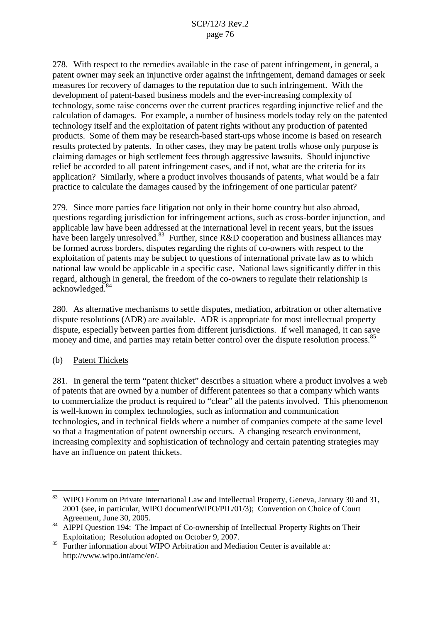278. With respect to the remedies available in the case of patent infringement, in general, a patent owner may seek an injunctive order against the infringement, demand damages or seek measures for recovery of damages to the reputation due to such infringement. With the development of patent-based business models and the ever-increasing complexity of technology, some raise concerns over the current practices regarding injunctive relief and the calculation of damages. For example, a number of business models today rely on the patented technology itself and the exploitation of patent rights without any production of patented products. Some of them may be research-based start-ups whose income is based on research results protected by patents. In other cases, they may be patent trolls whose only purpose is claiming damages or high settlement fees through aggressive lawsuits. Should injunctive relief be accorded to all patent infringement cases, and if not, what are the criteria for its application? Similarly, where a product involves thousands of patents, what would be a fair practice to calculate the damages caused by the infringement of one particular patent?

279. Since more parties face litigation not only in their home country but also abroad, questions regarding jurisdiction for infringement actions, such as cross-border injunction, and applicable law have been addressed at the international level in recent years, but the issues have been largely unresolved.<sup>83</sup> Further, since R&D cooperation and business alliances may be formed across borders, disputes regarding the rights of co-owners with respect to the exploitation of patents may be subject to questions of international private law as to which national law would be applicable in a specific case. National laws significantly differ in this regard, although in general, the freedom of the co-owners to regulate their relationship is acknowledged. 84

280. As alternative mechanisms to settle disputes, mediation, arbitration or other alternative dispute resolutions (ADR) are available. ADR is appropriate for most intellectual property dispute, especially between parties from different jurisdictions. If well managed, it can save money and time, and parties may retain better control over the dispute resolution process.<sup>85</sup>

(b) Patent Thickets

281. In general the term "patent thicket" describes a situation where a product involves a web of patents that are owned by a number of different patentees so that a company which wants to commercialize the product is required to "clear" all the patents involved. This phenomenon is well-known in complex technologies, such as information and communication technologies, and in technical fields where a number of companies compete at the same level so that a fragmentation of patent ownership occurs. A changing research environment, increasing complexity and sophistication of technology and certain patenting strategies may have an influence on patent thickets.

<sup>&</sup>lt;sup>83</sup> WIPO Forum on Private International Law and Intellectual Property, Geneva, January 30 and 31, 2001 (see, in particular, WIPO documentWIPO/PIL/01/3); Convention on Choice of Court

Agreement, June 30, 2005.<br><sup>84</sup> AIPPI Question 194: The Impact of Co-ownership of Intellectual Property Rights on Their

Exploitation; Resolution adopted on October 9, 2007.<br><sup>85</sup> Further information about WIPO Arbitration and Mediation Center is available at: http://www.wipo.int/amc/en/.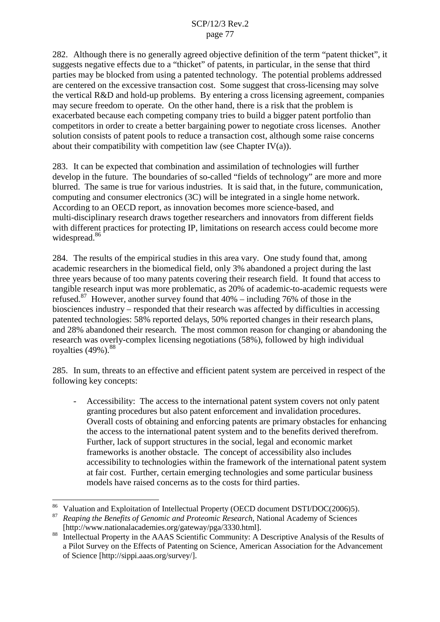282. Although there is no generally agreed objective definition of the term "patent thicket", it suggests negative effects due to a "thicket" of patents, in particular, in the sense that third parties may be blocked from using a patented technology. The potential problems addressed are centered on the excessive transaction cost. Some suggest that cross-licensing may solve the vertical R&D and hold-up problems. By entering a cross licensing agreement, companies may secure freedom to operate. On the other hand, there is a risk that the problem is exacerbated because each competing company tries to build a bigger patent portfolio than competitors in order to create a better bargaining power to negotiate cross licenses. Another solution consists of patent pools to reduce a transaction cost, although some raise concerns about their compatibility with competition law (see Chapter IV(a)).

283. It can be expected that combination and assimilation of technologies will further develop in the future. The boundaries of so-called "fields of technology" are more and more blurred. The same is true for various industries. It is said that, in the future, communication, computing and consumer electronics (3C) will be integrated in a single home network. According to an OECD report, as innovation becomes more science-based, and multi-disciplinary research draws together researchers and innovators from different fields with different practices for protecting IP, limitations on research access could become more widespread.<sup>86</sup>

284. The results of the empirical studies in this area vary. One study found that, among academic researchers in the biomedical field, only 3% abandoned a project during the last three years because of too many patents covering their research field. It found that access to tangible research input was more problematic, as 20% of academic-to-academic requests were refused.<sup>87</sup> However, another survey found that  $40\%$  – including 76% of those in the biosciences industry – responded that their research was affected by difficulties in accessing patented technologies: 58% reported delays, 50% reported changes in their research plans, and 28% abandoned their research. The most common reason for changing or abandoning the research was overly-complex licensing negotiations (58%), followed by high individual royalties (49%).<sup>88</sup>

285. In sum, threats to an effective and efficient patent system are perceived in respect of the following key concepts:

- Accessibility: The access to the international patent system covers not only patent granting procedures but also patent enforcement and invalidation procedures. Overall costs of obtaining and enforcing patents are primary obstacles for enhancing the access to the international patent system and to the benefits derived therefrom. Further, lack of support structures in the social, legal and economic market frameworks is another obstacle. The concept of accessibility also includes accessibility to technologies within the framework of the international patent system at fair cost. Further, certain emerging technologies and some particular business models have raised concerns as to the costs for third parties.

<sup>&</sup>lt;sup>86</sup> Valuation and Exploitation of Intellectual Property (OECD document DSTI/DOC(2006)5).<br><sup>87</sup> Reaping the Benefits of Genomic and Proteomic Research, National Academy of Sciences

<sup>[</sup>http://www.nationalacademies.org/gateway/pga/3330.html]. <sup>88</sup> Intellectual Property in the AAAS Scientific Community: <sup>A</sup> Descriptive Analysis of the Results of

a Pilot Survey on the Effects of Patenting on Science, American Association for the Advancement of Science [http://sippi.aaas.org/survey/].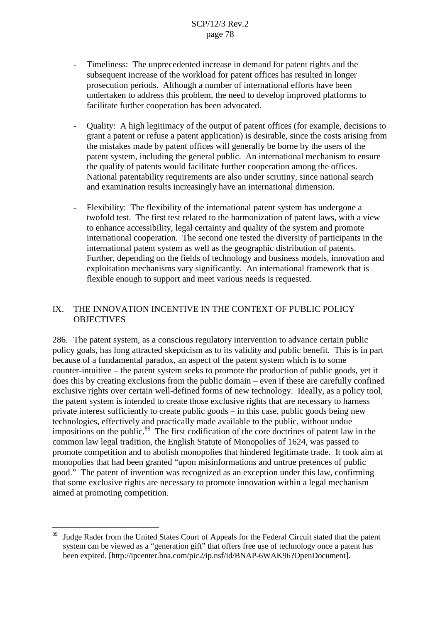- Timeliness: The unprecedented increase in demand for patent rights and the subsequent increase of the workload for patent offices has resulted in longer prosecution periods. Although a number of international efforts have been undertaken to address this problem, the need to develop improved platforms to facilitate further cooperation has been advocated.
- Quality: A high legitimacy of the output of patent offices (for example, decisions to grant a patent or refuse a patent application) is desirable, since the costs arising from the mistakes made by patent offices will generally be borne by the users of the patent system, including the general public. An international mechanism to ensure the quality of patents would facilitate further cooperation among the offices. National patentability requirements are also under scrutiny, since national search and examination results increasingly have an international dimension.
- Flexibility: The flexibility of the international patent system has undergone a twofold test. The first test related to the harmonization of patent laws, with a view to enhance accessibility, legal certainty and quality of the system and promote international cooperation. The second one tested the diversity of participants in the international patent system as well as the geographic distribution of patents. Further, depending on the fields of technology and business models, innovation and exploitation mechanisms vary significantly. An international framework that is flexible enough to support and meet various needs is requested.

# IX. THE INNOVATION INCENTIVE IN THE CONTEXT OF PUBLIC POLICY **OBJECTIVES**

286. The patent system, as a conscious regulatory intervention to advance certain public policy goals, has long attracted skepticism as to its validity and public benefit. This is in part because of a fundamental paradox, an aspect of the patent system which is to some counter-intuitive – the patent system seeks to promote the production of public goods, yet it does this by creating exclusions from the public domain – even if these are carefully confined exclusive rights over certain well-defined forms of new technology. Ideally, as a policy tool, the patent system is intended to create those exclusive rights that are necessary to harness private interest sufficiently to create public goods – in this case, public goods being new technologies, effectively and practically made available to the public, without undue impositions on the public.<sup>89</sup> The first codification of the core doctrines of patent law in the common law legal tradition, the English Statute of Monopolies of 1624, was passed to promote competition and to abolish monopolies that hindered legitimate trade. It took aim at monopolies that had been granted "upon misinformations and untrue pretences of public good." The patent of invention was recognized as an exception under this law, confirming that some exclusive rights are necessary to promote innovation within a legal mechanism aimed at promoting competition.

<sup>89</sup> Judge Rader from the United States Court of Appeals for the Federal Circuit stated that the patent system can be viewed as a "generation gift" that offers free use of technology once a patent has been expired. [http://ipcenter.bna.com/pic2/ip.nsf/id/BNAP-6WAK96?OpenDocument].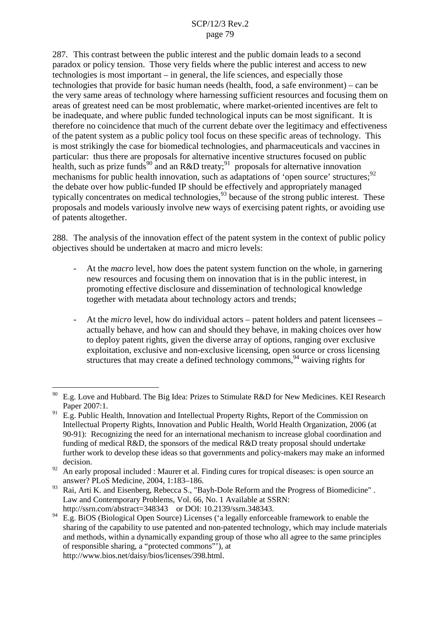287. This contrast between the public interest and the public domain leads to a second paradox or policy tension. Those very fields where the public interest and access to new technologies is most important – in general, the life sciences, and especially those technologies that provide for basic human needs (health, food, a safe environment) – can be the very same areas of technology where harnessing sufficient resources and focusing them on areas of greatest need can be most problematic, where market-oriented incentives are felt to be inadequate, and where public funded technological inputs can be most significant. It is therefore no coincidence that much of the current debate over the legitimacy and effectiveness of the patent system as a public policy tool focus on these specific areas of technology. This is most strikingly the case for biomedical technologies, and pharmaceuticals and vaccines in particular: thus there are proposals for alternative incentive structures focused on public health, such as prize funds<sup>90</sup> and an R&D treaty;<sup>91</sup> proposals for alternative innovation mechanisms for public health innovation, such as adaptations of 'open source' structures;<sup>92</sup> the debate over how public-funded IP should be effectively and appropriately managed typically concentrates on medical technologies,<sup>93</sup> because of the strong public interest. These proposals and models variously involve new ways of exercising patent rights, or avoiding use of patents altogether.

288. The analysis of the innovation effect of the patent system in the context of public policy objectives should be undertaken at macro and micro levels:

- At the *macro* level, how does the patent system function on the whole, in garnering new resources and focusing them on innovation that is in the public interest, in promoting effective disclosure and dissemination of technological knowledge together with metadata about technology actors and trends;
- At the *micro* level, how do individual actors patent holders and patent licensees actually behave, and how can and should they behave, in making choices over how to deploy patent rights, given the diverse array of options, ranging over exclusive exploitation, exclusive and non-exclusive licensing, open source or cross licensing structures that may create a defined technology commons,<sup>94</sup> waiving rights for

<sup>&</sup>lt;sup>90</sup> E.g. Love and Hubbard. The Big Idea: Prizes to Stimulate R&D for New Medicines. KEI Research

Paper 2007:1. <sup>91</sup> E.g. Public Health, Innovation and Intellectual Property Rights, Report of the Commission on Intellectual Property Rights, Innovation and Public Health, World Health Organization, 2006 (at 90-91): Recognizing the need for an international mechanism to increase global coordination and funding of medical R&D, the sponsors of the medical R&D treaty proposal should undertake further work to develop these ideas so that governments and policy-makers may make an informed

decision.<br><sup>92</sup> An early proposal included : Maurer et al. Finding cures for tropical diseases: is open source an answer? PLoS Medicine, 2004, 1:183–186.<br>Rai, Arti K. and Eisenberg, Rebecca S., "Bayh-Dole Reform and the Progress of Biomedicine" .

Law and Contemporary Problems, Vol. 66, No. 1 Available at SSRN:

http://ssrn.com/abstract=348343 or DOI: 10.2139/ssrn.348343.<br><sup>94</sup> E.g. BiOS (Biological Open Source) Licenses ('a legally enforceable framework to enable the sharing of the capability to use patented and non-patented technology, which may include materials and methods, within a dynamically expanding group of those who all agree to the same principles of responsible sharing, a "protected commons"'), at http://www.bios.net/daisy/bios/licenses/398.html.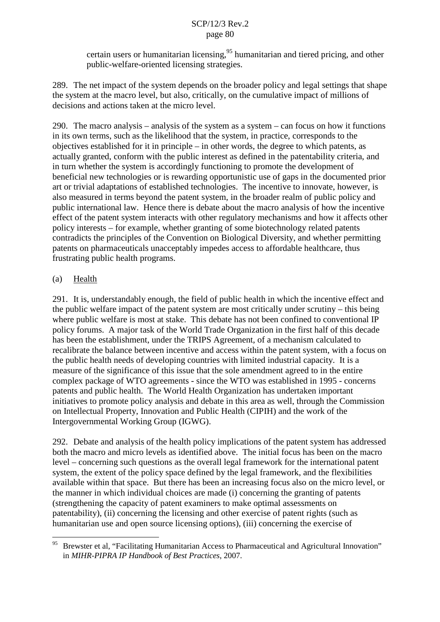certain users or humanitarian licensing, <sup>95</sup> humanitarian and tiered pricing, and other public-welfare-oriented licensing strategies.

289. The net impact of the system depends on the broader policy and legal settings that shape the system at the macro level, but also, critically, on the cumulative impact of millions of decisions and actions taken at the micro level.

290. The macro analysis – analysis of the system as a system – can focus on how it functions in its own terms, such as the likelihood that the system, in practice, corresponds to the objectives established for it in principle – in other words, the degree to which patents, as actually granted, conform with the public interest as defined in the patentability criteria, and in turn whether the system is accordingly functioning to promote the development of beneficial new technologies or is rewarding opportunistic use of gaps in the documented prior art or trivial adaptations of established technologies. The incentive to innovate, however, is also measured in terms beyond the patent system, in the broader realm of public policy and public international law. Hence there is debate about the macro analysis of how the incentive effect of the patent system interacts with other regulatory mechanisms and how it affects other policy interests – for example, whether granting of some biotechnology related patents contradicts the principles of the Convention on Biological Diversity, and whether permitting patents on pharmaceuticals unacceptably impedes access to affordable healthcare, thus frustrating public health programs.

# (a) Health

291. It is, understandably enough, the field of public health in which the incentive effect and the public welfare impact of the patent system are most critically under scrutiny – this being where public welfare is most at stake. This debate has not been confined to conventional IP policy forums. A major task of the World Trade Organization in the first half of this decade has been the establishment, under the TRIPS Agreement, of a mechanism calculated to recalibrate the balance between incentive and access within the patent system, with a focus on the public health needs of developing countries with limited industrial capacity. It is a measure of the significance of this issue that the sole amendment agreed to in the entire complex package of WTO agreements - since the WTO was established in 1995 - concerns patents and public health. The World Health Organization has undertaken important initiatives to promote policy analysis and debate in this area as well, through the Commission on Intellectual Property, Innovation and Public Health (CIPIH) and the work of the Intergovernmental Working Group (IGWG).

292. Debate and analysis of the health policy implications of the patent system has addressed both the macro and micro levels as identified above. The initial focus has been on the macro level – concerning such questions as the overall legal framework for the international patent system, the extent of the policy space defined by the legal framework, and the flexibilities available within that space. But there has been an increasing focus also on the micro level, or the manner in which individual choices are made (i) concerning the granting of patents (strengthening the capacity of patent examiners to make optimal assessments on patentability), (ii) concerning the licensing and other exercise of patent rights (such as humanitarian use and open source licensing options), (iii) concerning the exercise of

Brewster et al, "Facilitating Humanitarian Access to Pharmaceutical and Agricultural Innovation" in *MIHR-PIPRA IP Handbook of Best Practices*, 2007.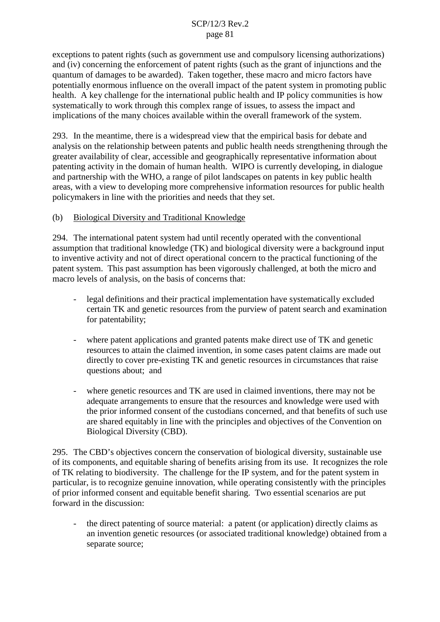exceptions to patent rights (such as government use and compulsory licensing authorizations) and (iv) concerning the enforcement of patent rights (such as the grant of injunctions and the quantum of damages to be awarded). Taken together, these macro and micro factors have potentially enormous influence on the overall impact of the patent system in promoting public health. A key challenge for the international public health and IP policy communities is how systematically to work through this complex range of issues, to assess the impact and implications of the many choices available within the overall framework of the system.

293. In the meantime, there is a widespread view that the empirical basis for debate and analysis on the relationship between patents and public health needs strengthening through the greater availability of clear, accessible and geographically representative information about patenting activity in the domain of human health. WIPO is currently developing, in dialogue and partnership with the WHO, a range of pilot landscapes on patents in key public health areas, with a view to developing more comprehensive information resources for public health policymakers in line with the priorities and needs that they set.

## (b) Biological Diversity and Traditional Knowledge

294. The international patent system had until recently operated with the conventional assumption that traditional knowledge (TK) and biological diversity were a background input to inventive activity and not of direct operational concern to the practical functioning of the patent system. This past assumption has been vigorously challenged, at both the micro and macro levels of analysis, on the basis of concerns that:

- legal definitions and their practical implementation have systematically excluded certain TK and genetic resources from the purview of patent search and examination for patentability;
- where patent applications and granted patents make direct use of TK and genetic resources to attain the claimed invention, in some cases patent claims are made out directly to cover pre-existing TK and genetic resources in circumstances that raise questions about; and
- where genetic resources and TK are used in claimed inventions, there may not be adequate arrangements to ensure that the resources and knowledge were used with the prior informed consent of the custodians concerned, and that benefits of such use are shared equitably in line with the principles and objectives of the Convention on Biological Diversity (CBD).

295. The CBD's objectives concern the conservation of biological diversity, sustainable use of its components, and equitable sharing of benefits arising from its use. It recognizes the role of TK relating to biodiversity. The challenge for the IP system, and for the patent system in particular, is to recognize genuine innovation, while operating consistently with the principles of prior informed consent and equitable benefit sharing. Two essential scenarios are put forward in the discussion:

- the direct patenting of source material: a patent (or application) directly claims as an invention genetic resources (or associated traditional knowledge) obtained from a separate source;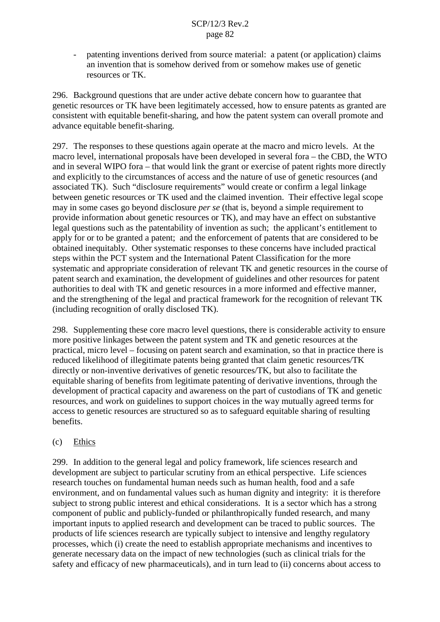- patenting inventions derived from source material: a patent (or application) claims an invention that is somehow derived from or somehow makes use of genetic resources or TK.

296. Background questions that are under active debate concern how to guarantee that genetic resources or TK have been legitimately accessed, how to ensure patents as granted are consistent with equitable benefit-sharing, and how the patent system can overall promote and advance equitable benefit-sharing.

297. The responses to these questions again operate at the macro and micro levels. At the macro level, international proposals have been developed in several fora – the CBD, the WTO and in several WIPO fora – that would link the grant or exercise of patent rights more directly and explicitly to the circumstances of access and the nature of use of genetic resources (and associated TK). Such "disclosure requirements" would create or confirm a legal linkage between genetic resources or TK used and the claimed invention. Their effective legal scope may in some cases go beyond disclosure *per se* (that is, beyond a simple requirement to provide information about genetic resources or TK), and may have an effect on substantive legal questions such as the patentability of invention as such; the applicant's entitlement to apply for or to be granted a patent; and the enforcement of patents that are considered to be obtained inequitably. Other systematic responses to these concerns have included practical steps within the PCT system and the International Patent Classification for the more systematic and appropriate consideration of relevant TK and genetic resources in the course of patent search and examination, the development of guidelines and other resources for patent authorities to deal with TK and genetic resources in a more informed and effective manner, and the strengthening of the legal and practical framework for the recognition of relevant TK (including recognition of orally disclosed TK).

298. Supplementing these core macro level questions, there is considerable activity to ensure more positive linkages between the patent system and TK and genetic resources at the practical, micro level – focusing on patent search and examination, so that in practice there is reduced likelihood of illegitimate patents being granted that claim genetic resources/TK directly or non-inventive derivatives of genetic resources/TK, but also to facilitate the equitable sharing of benefits from legitimate patenting of derivative inventions, through the development of practical capacity and awareness on the part of custodians of TK and genetic resources, and work on guidelines to support choices in the way mutually agreed terms for access to genetic resources are structured so as to safeguard equitable sharing of resulting benefits.

# (c) Ethics

299. In addition to the general legal and policy framework, life sciences research and development are subject to particular scrutiny from an ethical perspective. Life sciences research touches on fundamental human needs such as human health, food and a safe environment, and on fundamental values such as human dignity and integrity: it is therefore subject to strong public interest and ethical considerations. It is a sector which has a strong component of public and publicly-funded or philanthropically funded research, and many important inputs to applied research and development can be traced to public sources. The products of life sciences research are typically subject to intensive and lengthy regulatory processes, which (i) create the need to establish appropriate mechanisms and incentives to generate necessary data on the impact of new technologies (such as clinical trials for the safety and efficacy of new pharmaceuticals), and in turn lead to (ii) concerns about access to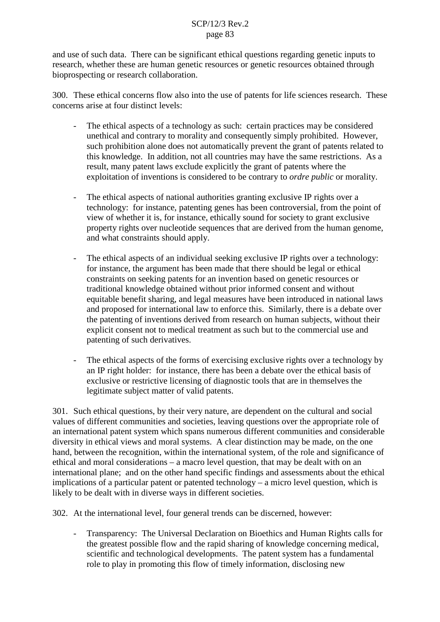and use of such data. There can be significant ethical questions regarding genetic inputs to research, whether these are human genetic resources or genetic resources obtained through bioprospecting or research collaboration.

300. These ethical concerns flow also into the use of patents for life sciences research. These concerns arise at four distinct levels:

- The ethical aspects of a technology as such: certain practices may be considered unethical and contrary to morality and consequently simply prohibited. However, such prohibition alone does not automatically prevent the grant of patents related to this knowledge. In addition, not all countries may have the same restrictions. As a result, many patent laws exclude explicitly the grant of patents where the exploitation of inventions is considered to be contrary to *ordre public* or morality.
- The ethical aspects of national authorities granting exclusive IP rights over a technology: for instance, patenting genes has been controversial, from the point of view of whether it is, for instance, ethically sound for society to grant exclusive property rights over nucleotide sequences that are derived from the human genome, and what constraints should apply.
- The ethical aspects of an individual seeking exclusive IP rights over a technology: for instance, the argument has been made that there should be legal or ethical constraints on seeking patents for an invention based on genetic resources or traditional knowledge obtained without prior informed consent and without equitable benefit sharing, and legal measures have been introduced in national laws and proposed for international law to enforce this. Similarly, there is a debate over the patenting of inventions derived from research on human subjects, without their explicit consent not to medical treatment as such but to the commercial use and patenting of such derivatives.
- The ethical aspects of the forms of exercising exclusive rights over a technology by an IP right holder: for instance, there has been a debate over the ethical basis of exclusive or restrictive licensing of diagnostic tools that are in themselves the legitimate subject matter of valid patents.

301. Such ethical questions, by their very nature, are dependent on the cultural and social values of different communities and societies, leaving questions over the appropriate role of an international patent system which spans numerous different communities and considerable diversity in ethical views and moral systems. A clear distinction may be made, on the one hand, between the recognition, within the international system, of the role and significance of ethical and moral considerations – a macro level question, that may be dealt with on an international plane; and on the other hand specific findings and assessments about the ethical implications of a particular patent or patented technology – a micro level question, which is likely to be dealt with in diverse ways in different societies.

302. At the international level, four general trends can be discerned, however:

- Transparency: The Universal Declaration on Bioethics and Human Rights calls for the greatest possible flow and the rapid sharing of knowledge concerning medical, scientific and technological developments. The patent system has a fundamental role to play in promoting this flow of timely information, disclosing new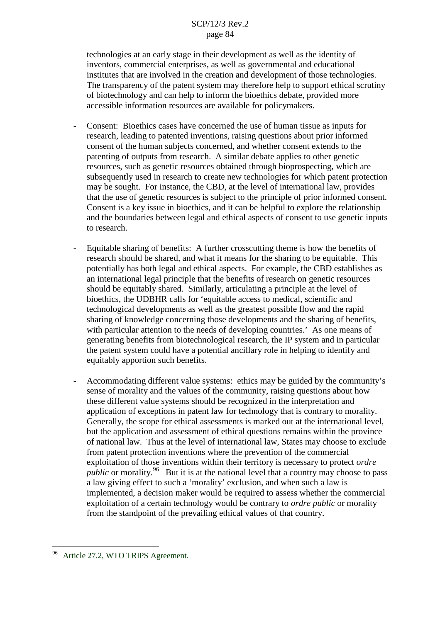technologies at an early stage in their development as well as the identity of inventors, commercial enterprises, as well as governmental and educational institutes that are involved in the creation and development of those technologies. The transparency of the patent system may therefore help to support ethical scrutiny of biotechnology and can help to inform the bioethics debate, provided more accessible information resources are available for policymakers.

- Consent: Bioethics cases have concerned the use of human tissue as inputs for research, leading to patented inventions, raising questions about prior informed consent of the human subjects concerned, and whether consent extends to the patenting of outputs from research. A similar debate applies to other genetic resources, such as genetic resources obtained through bioprospecting, which are subsequently used in research to create new technologies for which patent protection may be sought. For instance, the CBD, at the level of international law, provides that the use of genetic resources is subject to the principle of prior informed consent. Consent is a key issue in bioethics, and it can be helpful to explore the relationship and the boundaries between legal and ethical aspects of consent to use genetic inputs to research.
- Equitable sharing of benefits: A further crosscutting theme is how the benefits of research should be shared, and what it means for the sharing to be equitable. This potentially has both legal and ethical aspects. For example, the CBD establishes as an international legal principle that the benefits of research on genetic resources should be equitably shared. Similarly, articulating a principle at the level of bioethics, the UDBHR calls for 'equitable access to medical, scientific and technological developments as well as the greatest possible flow and the rapid sharing of knowledge concerning those developments and the sharing of benefits, with particular attention to the needs of developing countries.' As one means of generating benefits from biotechnological research, the IP system and in particular the patent system could have a potential ancillary role in helping to identify and equitably apportion such benefits.
- Accommodating different value systems: ethics may be guided by the community's sense of morality and the values of the community, raising questions about how these different value systems should be recognized in the interpretation and application of exceptions in patent law for technology that is contrary to morality. Generally, the scope for ethical assessments is marked out at the international level, but the application and assessment of ethical questions remains within the province of national law. Thus at the level of international law, States may choose to exclude from patent protection inventions where the prevention of the commercial exploitation of those inventions within their territory is necessary to protect *ordre public* or morality.<sup>96</sup> But it is at the national level that a country may choose to pass a law giving effect to such a 'morality' exclusion, and when such a law is implemented, a decision maker would be required to assess whether the commercial exploitation of a certain technology would be contrary to *ordre public* or morality from the standpoint of the prevailing ethical values of that country.

Article 27.2, WTO TRIPS Agreement.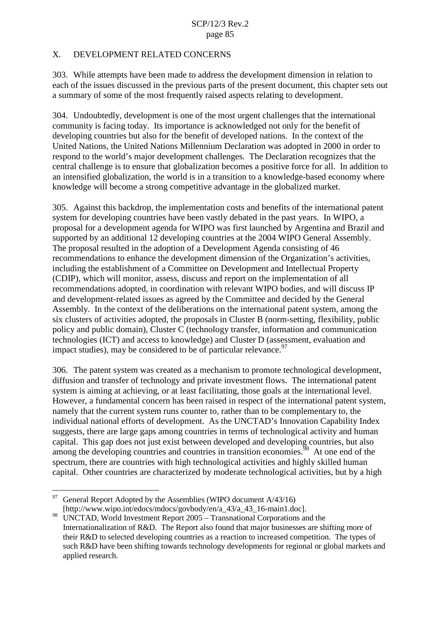## X. DEVELOPMENT RELATED CONCERNS

303. While attempts have been made to address the development dimension in relation to each of the issues discussed in the previous parts of the present document, this chapter sets out a summary of some of the most frequently raised aspects relating to development.

304. Undoubtedly, development is one of the most urgent challenges that the international community is facing today. Its importance is acknowledged not only for the benefit of developing countries but also for the benefit of developed nations. In the context of the United Nations, the United Nations Millennium Declaration was adopted in 2000 in order to respond to the world's major development challenges. The Declaration recognizes that the central challenge is to ensure that globalization becomes a positive force for all. In addition to an intensified globalization, the world is in a transition to a knowledge-based economy where knowledge will become a strong competitive advantage in the globalized market.

305. Against this backdrop, the implementation costs and benefits of the international patent system for developing countries have been vastly debated in the past years. In WIPO, a proposal for a development agenda for WIPO was first launched by Argentina and Brazil and supported by an additional 12 developing countries at the 2004 WIPO General Assembly. The proposal resulted in the adoption of a Development Agenda consisting of 46 recommendations to enhance the development dimension of the Organization's activities, including the establishment of a Committee on Development and Intellectual Property (CDIP), which will monitor, assess, discuss and report on the implementation of all recommendations adopted, in coordination with relevant WIPO bodies, and will discuss IP and development-related issues as agreed by the Committee and decided by the General Assembly. In the context of the deliberations on the international patent system, among the six clusters of activities adopted, the proposals in Cluster B (norm-setting, flexibility, public policy and public domain), Cluster C (technology transfer, information and communication technologies (ICT) and access to knowledge) and Cluster D (assessment, evaluation and impact studies), may be considered to be of particular relevance.<sup>97</sup>

306. The patent system was created as a mechanism to promote technological development, diffusion and transfer of technology and private investment flows. The international patent system is aiming at achieving, or at least facilitating, those goals at the international level. However, a fundamental concern has been raised in respect of the international patent system, namely that the current system runs counter to, rather than to be complementary to, the individual national efforts of development. As the UNCTAD's Innovation Capability Index suggests, there are large gaps among countries in terms of technological activity and human capital. This gap does not just exist between developed and developing countries, but also among the developing countries and countries in transition economies.<sup>58</sup> At one end of the spectrum, there are countries with high technological activities and highly skilled human capital. Other countries are characterized by moderate technological activities, but by a high

<sup>&</sup>lt;sup>97</sup> General Report Adopted by the Assemblies (WIPO document  $A/43/16$ )

<sup>[</sup>http://www.wipo.int/edocs/mdocs/govbody/en/a\_43/a\_43\_16-main1.doc]. <sup>98</sup> UNCTAD, World Investment Report <sup>2005</sup> – Transnational Corporations and the Internationalization of R&D. The Report also found that major businesses are shifting more of their R&D to selected developing countries as a reaction to increased competition. The types of such R&D have been shifting towards technology developments for regional or global markets and applied research.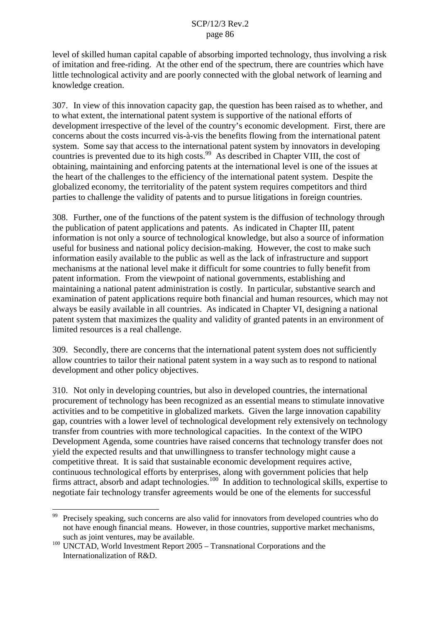level of skilled human capital capable of absorbing imported technology, thus involving a risk of imitation and free-riding. At the other end of the spectrum, there are countries which have little technological activity and are poorly connected with the global network of learning and knowledge creation.

307. In view of this innovation capacity gap, the question has been raised as to whether, and to what extent, the international patent system is supportive of the national efforts of development irrespective of the level of the country's economic development. First, there are concerns about the costs incurred vis-à-vis the benefits flowing from the international patent system. Some say that access to the international patent system by innovators in developing countries is prevented due to its high costs. <sup>99</sup> As described in Chapter VIII, the cost of obtaining, maintaining and enforcing patents at the international level is one of the issues at the heart of the challenges to the efficiency of the international patent system. Despite the globalized economy, the territoriality of the patent system requires competitors and third parties to challenge the validity of patents and to pursue litigations in foreign countries.

308. Further, one of the functions of the patent system is the diffusion of technology through the publication of patent applications and patents. As indicated in Chapter III, patent information is not only a source of technological knowledge, but also a source of information useful for business and national policy decision-making. However, the cost to make such information easily available to the public as well as the lack of infrastructure and support mechanisms at the national level make it difficult for some countries to fully benefit from patent information. From the viewpoint of national governments, establishing and maintaining a national patent administration is costly. In particular, substantive search and examination of patent applications require both financial and human resources, which may not always be easily available in all countries. As indicated in Chapter VI, designing a national patent system that maximizes the quality and validity of granted patents in an environment of limited resources is a real challenge.

309. Secondly, there are concerns that the international patent system does not sufficiently allow countries to tailor their national patent system in a way such as to respond to national development and other policy objectives.

310. Not only in developing countries, but also in developed countries, the international procurement of technology has been recognized as an essential means to stimulate innovative activities and to be competitive in globalized markets. Given the large innovation capability gap, countries with a lower level of technological development rely extensively on technology transfer from countries with more technological capacities. In the context of the WIPO Development Agenda, some countries have raised concerns that technology transfer does not yield the expected results and that unwillingness to transfer technology might cause a competitive threat. It is said that sustainable economic development requires active, continuous technological efforts by enterprises, along with government policies that help firms attract, absorb and adapt technologies.<sup>100</sup> In addition to technological skills, expertise to negotiate fair technology transfer agreements would be one of the elements for successful

<sup>&</sup>lt;sup>99</sup> Precisely speaking, such concerns are also valid for innovators from developed countries who do not have enough financial means. However, in those countries, supportive market mechanisms,

such as joint ventures, may be available.  $100$  UNCTAD, World Investment Report 2005 – Transnational Corporations and the Internationalization of R&D.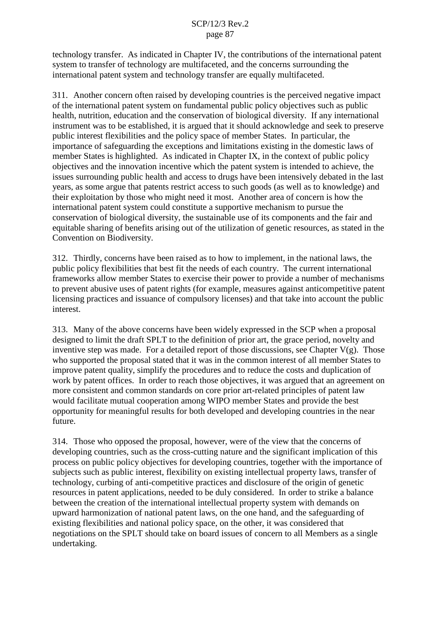technology transfer. As indicated in Chapter IV, the contributions of the international patent system to transfer of technology are multifaceted, and the concerns surrounding the international patent system and technology transfer are equally multifaceted.

311. Another concern often raised by developing countries is the perceived negative impact of the international patent system on fundamental public policy objectives such as public health, nutrition, education and the conservation of biological diversity. If any international instrument was to be established, it is argued that it should acknowledge and seek to preserve public interest flexibilities and the policy space of member States. In particular, the importance of safeguarding the exceptions and limitations existing in the domestic laws of member States is highlighted. As indicated in Chapter IX, in the context of public policy objectives and the innovation incentive which the patent system is intended to achieve, the issues surrounding public health and access to drugs have been intensively debated in the last years, as some argue that patents restrict access to such goods (as well as to knowledge) and their exploitation by those who might need it most. Another area of concern is how the international patent system could constitute a supportive mechanism to pursue the conservation of biological diversity, the sustainable use of its components and the fair and equitable sharing of benefits arising out of the utilization of genetic resources, as stated in the Convention on Biodiversity.

312. Thirdly, concerns have been raised as to how to implement, in the national laws, the public policy flexibilities that best fit the needs of each country. The current international frameworks allow member States to exercise their power to provide a number of mechanisms to prevent abusive uses of patent rights (for example, measures against anticompetitive patent licensing practices and issuance of compulsory licenses) and that take into account the public interest.

313. Many of the above concerns have been widely expressed in the SCP when a proposal designed to limit the draft SPLT to the definition of prior art, the grace period, novelty and inventive step was made. For a detailed report of those discussions, see Chapter  $V(g)$ . Those who supported the proposal stated that it was in the common interest of all member States to improve patent quality, simplify the procedures and to reduce the costs and duplication of work by patent offices. In order to reach those objectives, it was argued that an agreement on more consistent and common standards on core prior art-related principles of patent law would facilitate mutual cooperation among WIPO member States and provide the best opportunity for meaningful results for both developed and developing countries in the near future.

314. Those who opposed the proposal, however, were of the view that the concerns of developing countries, such as the cross-cutting nature and the significant implication of this process on public policy objectives for developing countries, together with the importance of subjects such as public interest, flexibility on existing intellectual property laws, transfer of technology, curbing of anti-competitive practices and disclosure of the origin of genetic resources in patent applications, needed to be duly considered. In order to strike a balance between the creation of the international intellectual property system with demands on upward harmonization of national patent laws, on the one hand, and the safeguarding of existing flexibilities and national policy space, on the other, it was considered that negotiations on the SPLT should take on board issues of concern to all Members as a single undertaking.